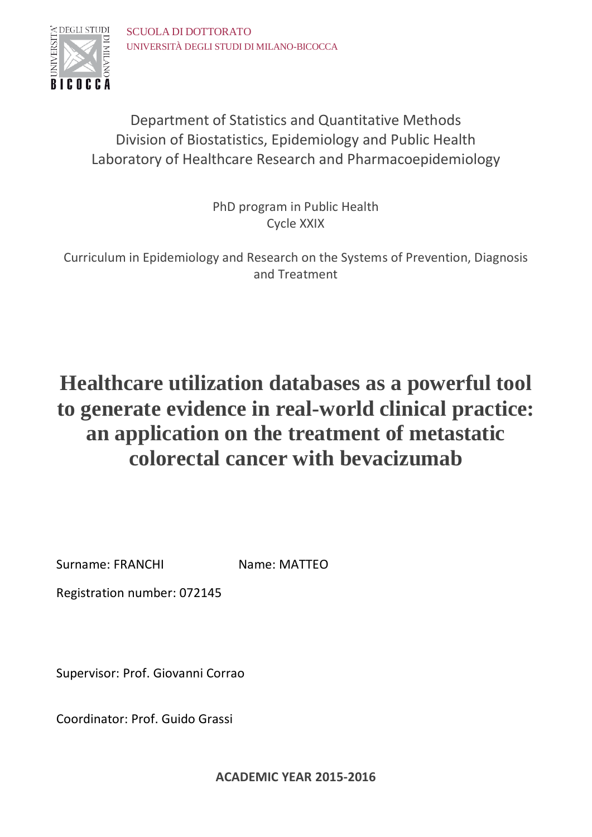

Department of Statistics and Quantitative Methods Division of Biostatistics, Epidemiology and Public Health Laboratory of Healthcare Research and Pharmacoepidemiology

> PhD program in Public Health Cycle XXIX

Curriculum in Epidemiology and Research on the Systems of Prevention, Diagnosis and Treatment

# **Healthcare utilization databases as a powerful tool to generate evidence in real-world clinical practice: an application on the treatment of metastatic colorectal cancer with bevacizumab**

Surname: FRANCHI Name: MATTEO

Registration number: 072145

Supervisor: Prof. Giovanni Corrao

Coordinator: Prof. Guido Grassi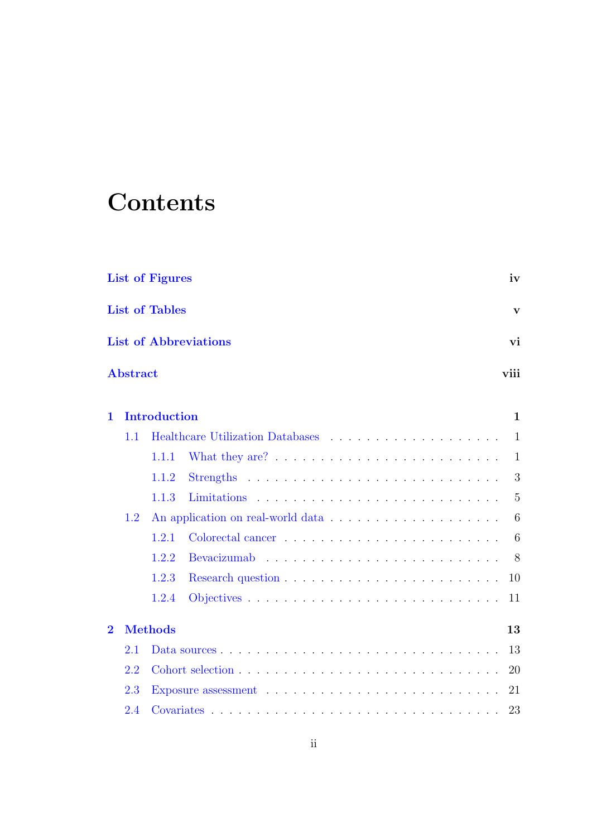# **Contents**

|                         |                 | <b>List of Figures</b> |                              | iv             |
|-------------------------|-----------------|------------------------|------------------------------|----------------|
|                         |                 | <b>List of Tables</b>  |                              | $\mathbf{V}$   |
|                         |                 |                        | <b>List of Abbreviations</b> | vi             |
|                         | <b>Abstract</b> |                        |                              | viii           |
| $\mathbf 1$             |                 | <b>Introduction</b>    |                              | $\mathbf{1}$   |
|                         | 1.1             |                        |                              | 1              |
|                         |                 | 1.1.1                  |                              | -1             |
|                         |                 | 1.1.2                  |                              | 3              |
|                         |                 | 1.1.3                  |                              | $\overline{5}$ |
|                         | 1.2             |                        |                              | 6              |
|                         |                 | 1.2.1                  |                              | 6              |
|                         |                 | 1.2.2                  |                              | 8              |
|                         |                 | 1.2.3                  |                              | 10             |
|                         |                 | 1.2.4                  |                              | 11             |
| $\overline{\mathbf{2}}$ |                 | <b>Methods</b>         |                              | 13             |
|                         | 2.1             |                        |                              | 13             |
|                         | 2.2             |                        |                              | 20             |
|                         | 2.3             |                        |                              | 21             |
|                         | 2.4             |                        |                              | 23             |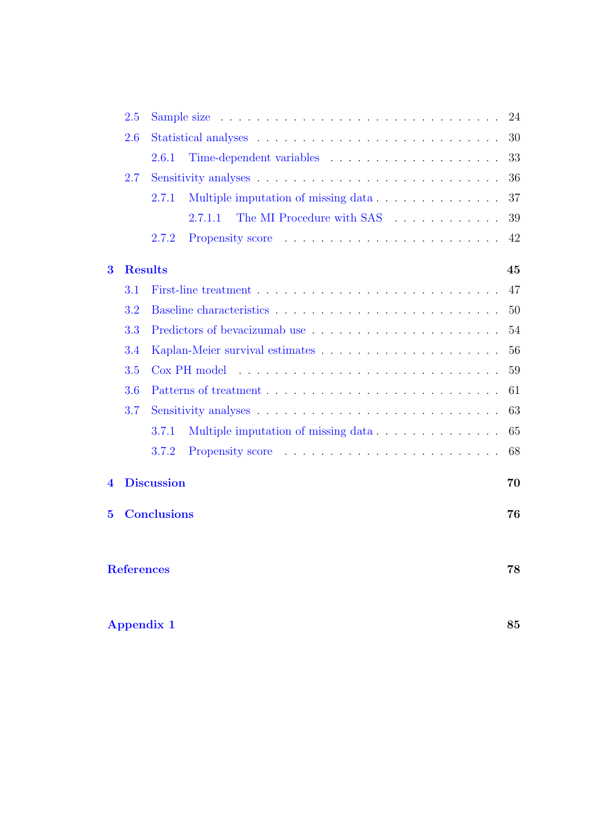|                | 2.5               | Sample size $\ldots \ldots \ldots \ldots \ldots \ldots \ldots \ldots \ldots \ldots \ldots$ | 24 |
|----------------|-------------------|--------------------------------------------------------------------------------------------|----|
|                | 2.6               |                                                                                            | 30 |
|                |                   | 2.6.1                                                                                      | 33 |
|                | 2.7               |                                                                                            | 36 |
|                |                   | Multiple imputation of missing data<br>2.7.1                                               | 37 |
|                |                   | The MI Procedure with SAS<br>2.7.1.1                                                       | 39 |
|                |                   | 2.7.2                                                                                      | 42 |
| 3              | <b>Results</b>    |                                                                                            | 45 |
|                | $3.1\,$           |                                                                                            | 47 |
|                | 3.2               |                                                                                            | 50 |
|                | 3.3               |                                                                                            | 54 |
|                | 3.4               |                                                                                            | 56 |
|                | 3.5               |                                                                                            | 59 |
|                | 3.6               |                                                                                            | 61 |
|                | 3.7               |                                                                                            | 63 |
|                |                   | Multiple imputation of missing data<br>3.7.1                                               | 65 |
|                |                   | 3.7.2                                                                                      | 68 |
| $\overline{4}$ |                   | <b>Discussion</b>                                                                          | 70 |
| $\bf{5}$       |                   | <b>Conclusions</b>                                                                         | 76 |
|                | <b>References</b> |                                                                                            | 78 |
|                |                   | <b>Appendix 1</b>                                                                          | 85 |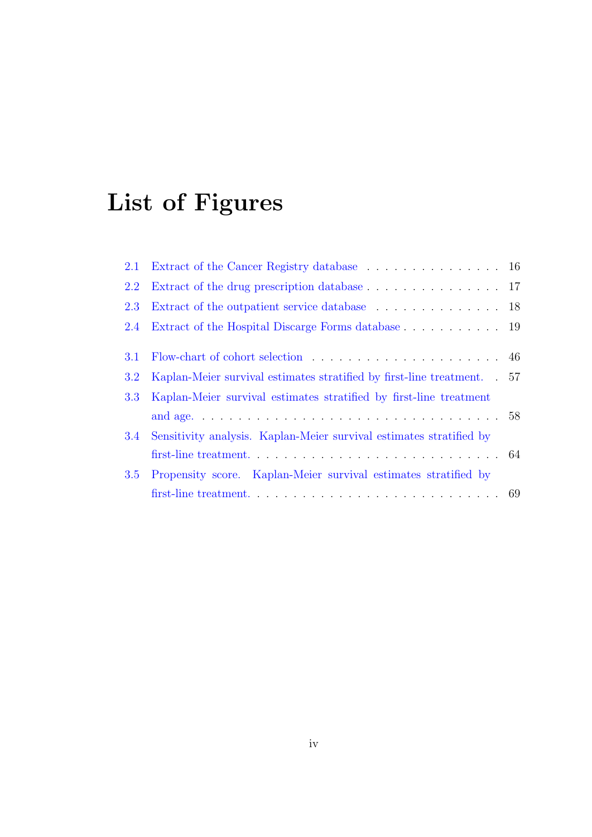# <span id="page-4-0"></span>List of Figures

| 2.1 | Extract of the Cancer Registry database 16                               |  |
|-----|--------------------------------------------------------------------------|--|
| 2.2 | Extract of the drug prescription database 17                             |  |
| 2.3 | Extract of the outpatient service database 18                            |  |
| 2.4 | Extract of the Hospital Discarge Forms database 19                       |  |
| 3.1 |                                                                          |  |
| 3.2 | Kaplan-Meier survival estimates stratified by first-line treatment. . 57 |  |
| 3.3 | Kaplan-Meier survival estimates stratified by first-line treatment       |  |
|     |                                                                          |  |
| 3.4 | Sensitivity analysis. Kaplan-Meier survival estimates stratified by      |  |
|     |                                                                          |  |
| 3.5 | Propensity score. Kaplan-Meier survival estimates stratified by          |  |
|     |                                                                          |  |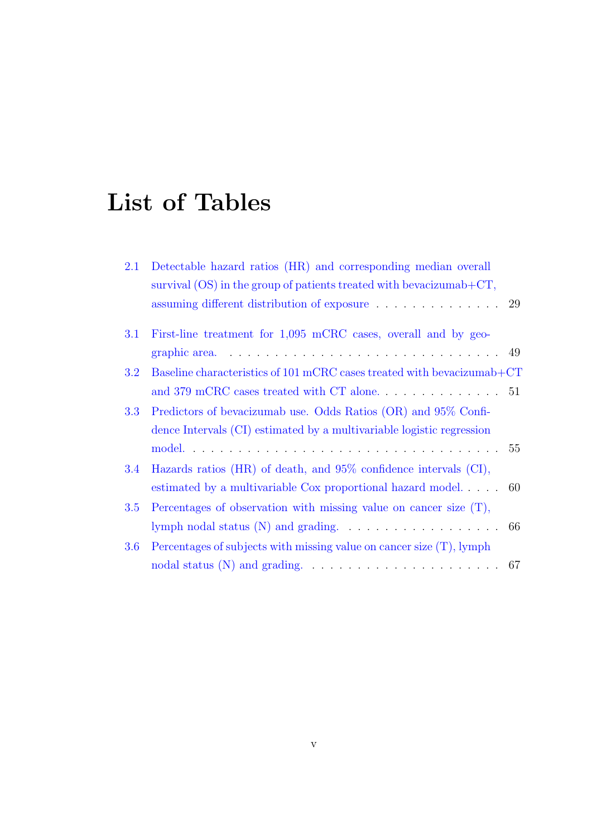# <span id="page-5-0"></span>List of Tables

| 2.1 | Detectable hazard ratios (HR) and corresponding median overall<br>survival $(OS)$ in the group of patients treated with bevacizumab+ $CT$ , |  |
|-----|---------------------------------------------------------------------------------------------------------------------------------------------|--|
|     |                                                                                                                                             |  |
| 3.1 | First-line treatment for 1,095 mCRC cases, overall and by geo-                                                                              |  |
|     | graphic area. $\ldots \ldots \ldots \ldots \ldots \ldots \ldots \ldots \ldots \ldots$                                                       |  |
| 3.2 | Baseline characteristics of 101 mCRC cases treated with bevacizumab+CT                                                                      |  |
|     |                                                                                                                                             |  |
| 3.3 | Predictors of bevacizumab use. Odds Ratios (OR) and 95% Confi-                                                                              |  |
|     | dence Intervals (CI) estimated by a multivariable logistic regression                                                                       |  |
|     |                                                                                                                                             |  |
| 3.4 | Hazards ratios (HR) of death, and $95\%$ confidence intervals (CI),                                                                         |  |
|     | estimated by a multivariable Cox proportional hazard model 60                                                                               |  |
| 3.5 | Percentages of observation with missing value on cancer size $(T)$ ,                                                                        |  |
|     | lymph nodal status $(N)$ and grading. $\ldots \ldots \ldots \ldots \ldots \ldots$ 66                                                        |  |
| 3.6 | Percentages of subjects with missing value on cancer size $(T)$ , lymph                                                                     |  |
|     | nodal status $(N)$ and grading. $\ldots \ldots \ldots \ldots \ldots \ldots \ldots \ldots 67$                                                |  |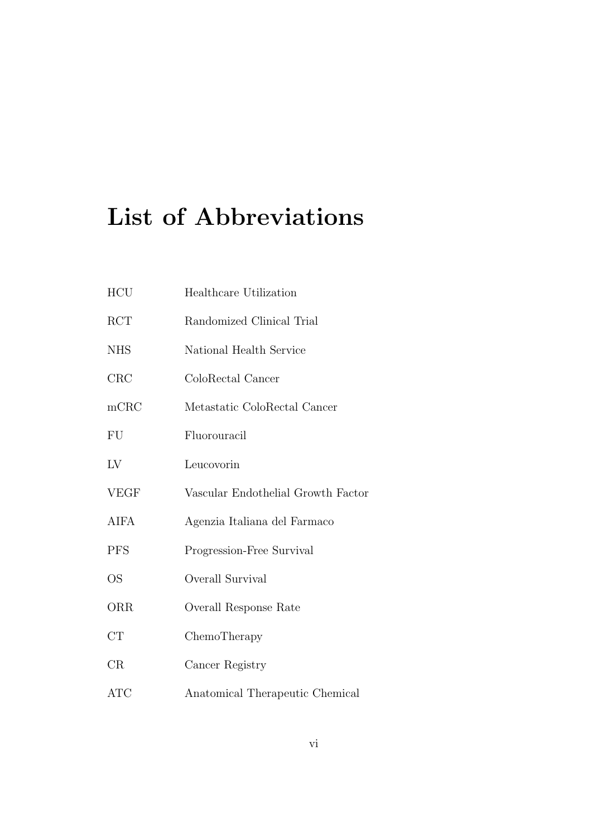# <span id="page-6-0"></span>List of Abbreviations

| HCU              | Healthcare Utilization             |
|------------------|------------------------------------|
| <b>RCT</b>       | Randomized Clinical Trial          |
| <b>NHS</b>       | National Health Service            |
| CRC              | ColoRectal Cancer                  |
| m <sub>CRC</sub> | Metastatic ColoRectal Cancer       |
| FU               | Fluorouracil                       |
| LV               | Leucovorin                         |
| <b>VEGF</b>      | Vascular Endothelial Growth Factor |
| <b>AIFA</b>      | Agenzia Italiana del Farmaco       |
| <b>PFS</b>       | Progression-Free Survival          |
| <b>OS</b>        | Overall Survival                   |
| ORR              | Overall Response Rate              |
| CT               | ChemoTherapy                       |
| CR               | Cancer Registry                    |
| <b>ATC</b>       | Anatomical Therapeutic Chemical    |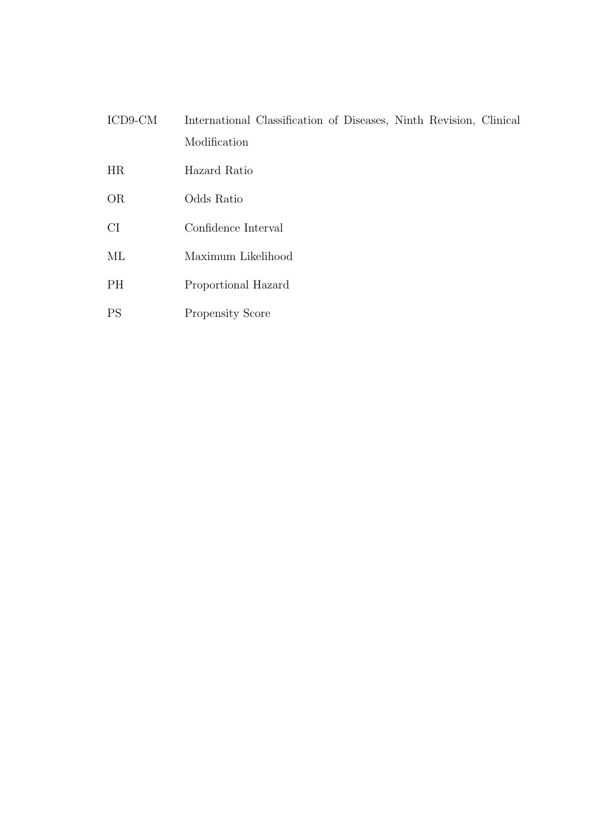- ICD9-CM International Classification of Diseases, Ninth Revision, Clinical Modification
- HR Hazard Ratio
- OR Odds Ratio
- CI Confidence Interval
- ML Maximum Likelihood
- PH Proportional Hazard
- PS Propensity Score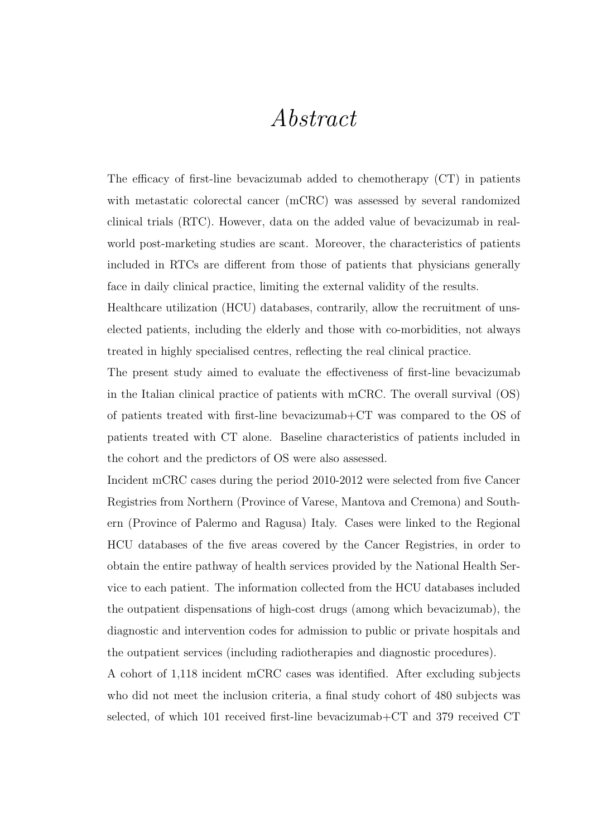## Abstract

<span id="page-8-0"></span>The efficacy of first-line bevacizumab added to chemotherapy (CT) in patients with metastatic colorectal cancer (mCRC) was assessed by several randomized clinical trials (RTC). However, data on the added value of bevacizumab in realworld post-marketing studies are scant. Moreover, the characteristics of patients included in RTCs are different from those of patients that physicians generally face in daily clinical practice, limiting the external validity of the results.

Healthcare utilization (HCU) databases, contrarily, allow the recruitment of unselected patients, including the elderly and those with co-morbidities, not always treated in highly specialised centres, reflecting the real clinical practice.

The present study aimed to evaluate the effectiveness of first-line bevacizumab in the Italian clinical practice of patients with mCRC. The overall survival (OS) of patients treated with first-line bevacizumab+CT was compared to the OS of patients treated with CT alone. Baseline characteristics of patients included in the cohort and the predictors of OS were also assessed.

Incident mCRC cases during the period 2010-2012 were selected from five Cancer Registries from Northern (Province of Varese, Mantova and Cremona) and Southern (Province of Palermo and Ragusa) Italy. Cases were linked to the Regional HCU databases of the five areas covered by the Cancer Registries, in order to obtain the entire pathway of health services provided by the National Health Service to each patient. The information collected from the HCU databases included the outpatient dispensations of high-cost drugs (among which bevacizumab), the diagnostic and intervention codes for admission to public or private hospitals and the outpatient services (including radiotherapies and diagnostic procedures).

A cohort of 1,118 incident mCRC cases was identified. After excluding subjects who did not meet the inclusion criteria, a final study cohort of 480 subjects was selected, of which 101 received first-line bevacizumab+CT and 379 received CT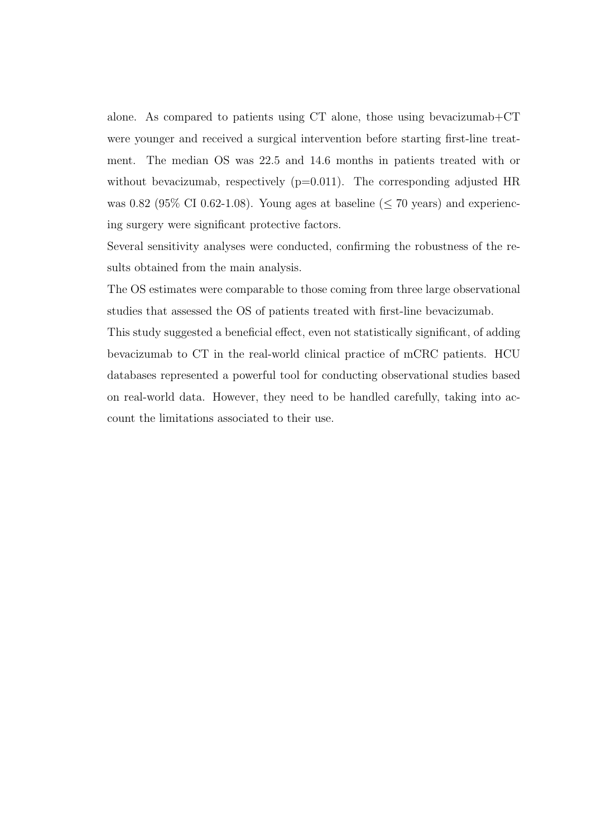alone. As compared to patients using CT alone, those using bevacizumab+CT were younger and received a surgical intervention before starting first-line treatment. The median OS was 22.5 and 14.6 months in patients treated with or without bevacizumab, respectively  $(p=0.011)$ . The corresponding adjusted HR was 0.82 (95\% CI 0.62-1.08). Young ages at baseline ( $\leq$  70 years) and experiencing surgery were significant protective factors.

Several sensitivity analyses were conducted, confirming the robustness of the results obtained from the main analysis.

The OS estimates were comparable to those coming from three large observational studies that assessed the OS of patients treated with first-line bevacizumab.

This study suggested a beneficial effect, even not statistically significant, of adding bevacizumab to CT in the real-world clinical practice of mCRC patients. HCU databases represented a powerful tool for conducting observational studies based on real-world data. However, they need to be handled carefully, taking into account the limitations associated to their use.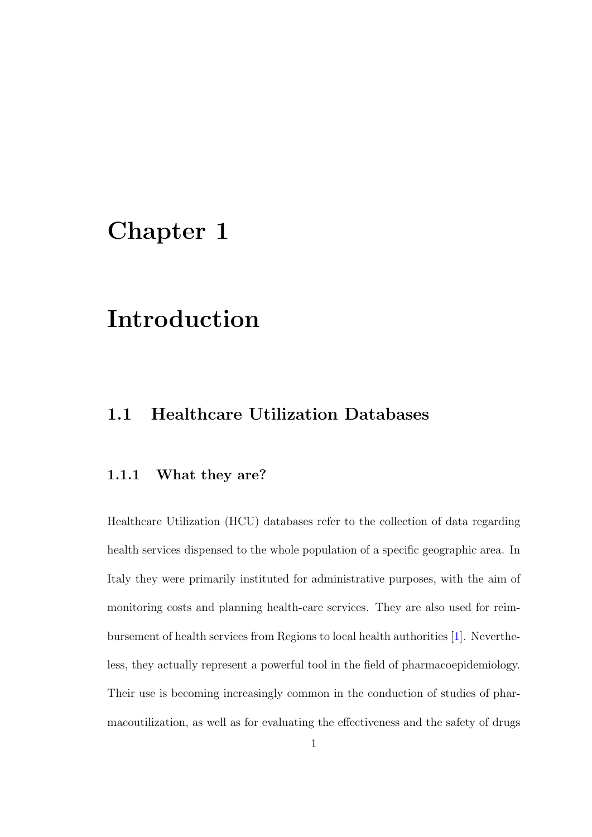## <span id="page-10-0"></span>Chapter 1

## Introduction

### <span id="page-10-1"></span>1.1 Healthcare Utilization Databases

#### <span id="page-10-2"></span>1.1.1 What they are?

Healthcare Utilization (HCU) databases refer to the collection of data regarding health services dispensed to the whole population of a specific geographic area. In Italy they were primarily instituted for administrative purposes, with the aim of monitoring costs and planning health-care services. They are also used for reimbursement of health services from Regions to local health authorities [\[1\]](#page-87-1). Nevertheless, they actually represent a powerful tool in the field of pharmacoepidemiology. Their use is becoming increasingly common in the conduction of studies of pharmacoutilization, as well as for evaluating the effectiveness and the safety of drugs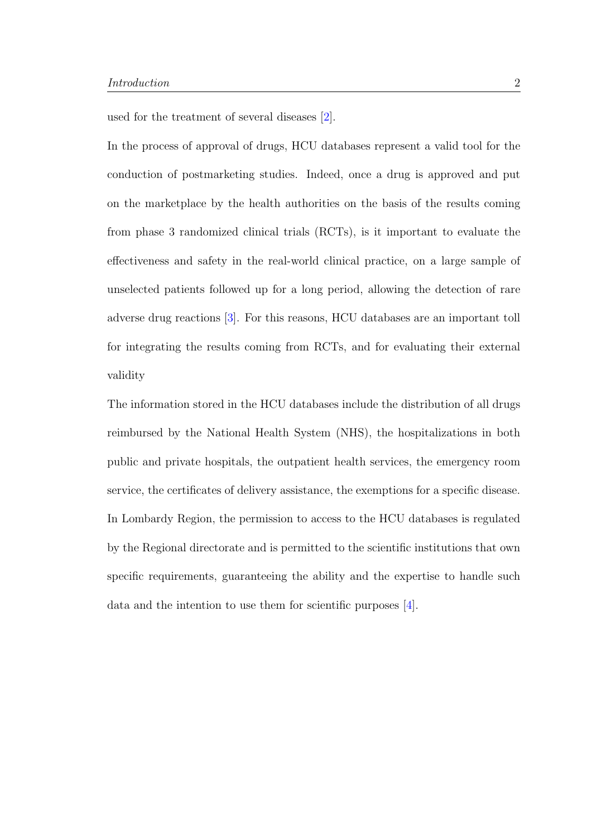used for the treatment of several diseases [\[2\]](#page-87-2).

In the process of approval of drugs, HCU databases represent a valid tool for the conduction of postmarketing studies. Indeed, once a drug is approved and put on the marketplace by the health authorities on the basis of the results coming from phase 3 randomized clinical trials (RCTs), is it important to evaluate the effectiveness and safety in the real-world clinical practice, on a large sample of unselected patients followed up for a long period, allowing the detection of rare adverse drug reactions [\[3\]](#page-87-3). For this reasons, HCU databases are an important toll for integrating the results coming from RCTs, and for evaluating their external validity

<span id="page-11-0"></span>The information stored in the HCU databases include the distribution of all drugs reimbursed by the National Health System (NHS), the hospitalizations in both public and private hospitals, the outpatient health services, the emergency room service, the certificates of delivery assistance, the exemptions for a specific disease. In Lombardy Region, the permission to access to the HCU databases is regulated by the Regional directorate and is permitted to the scientific institutions that own specific requirements, guaranteeing the ability and the expertise to handle such data and the intention to use them for scientific purposes [\[4\]](#page-87-4).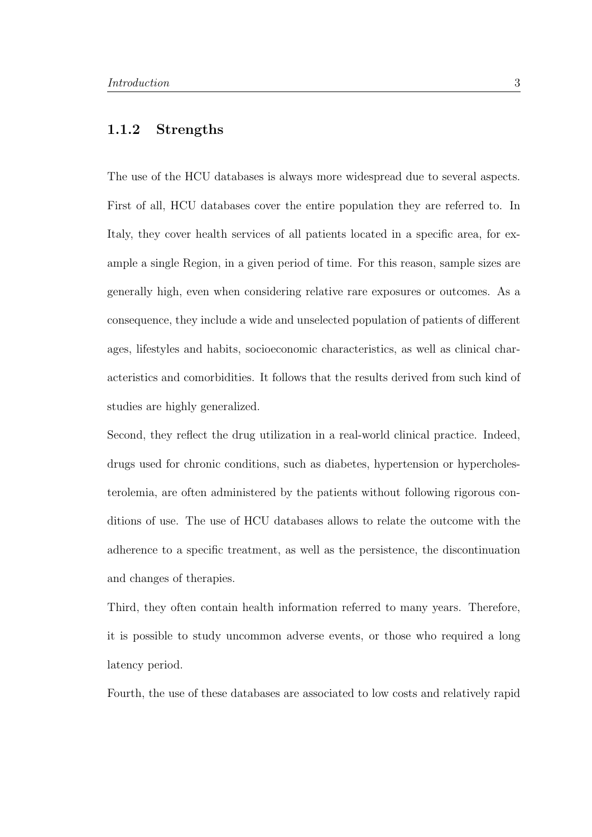#### 1.1.2 Strengths

The use of the HCU databases is always more widespread due to several aspects. First of all, HCU databases cover the entire population they are referred to. In Italy, they cover health services of all patients located in a specific area, for example a single Region, in a given period of time. For this reason, sample sizes are generally high, even when considering relative rare exposures or outcomes. As a consequence, they include a wide and unselected population of patients of different ages, lifestyles and habits, socioeconomic characteristics, as well as clinical characteristics and comorbidities. It follows that the results derived from such kind of studies are highly generalized.

Second, they reflect the drug utilization in a real-world clinical practice. Indeed, drugs used for chronic conditions, such as diabetes, hypertension or hypercholesterolemia, are often administered by the patients without following rigorous conditions of use. The use of HCU databases allows to relate the outcome with the adherence to a specific treatment, as well as the persistence, the discontinuation and changes of therapies.

Third, they often contain health information referred to many years. Therefore, it is possible to study uncommon adverse events, or those who required a long latency period.

Fourth, the use of these databases are associated to low costs and relatively rapid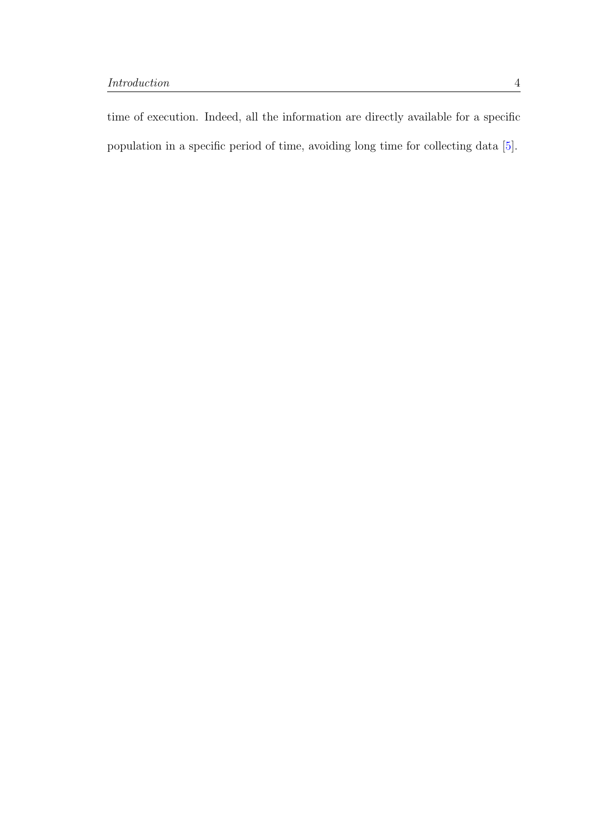<span id="page-13-0"></span>time of execution. Indeed, all the information are directly available for a specific population in a specific period of time, avoiding long time for collecting data [\[5\]](#page-87-5).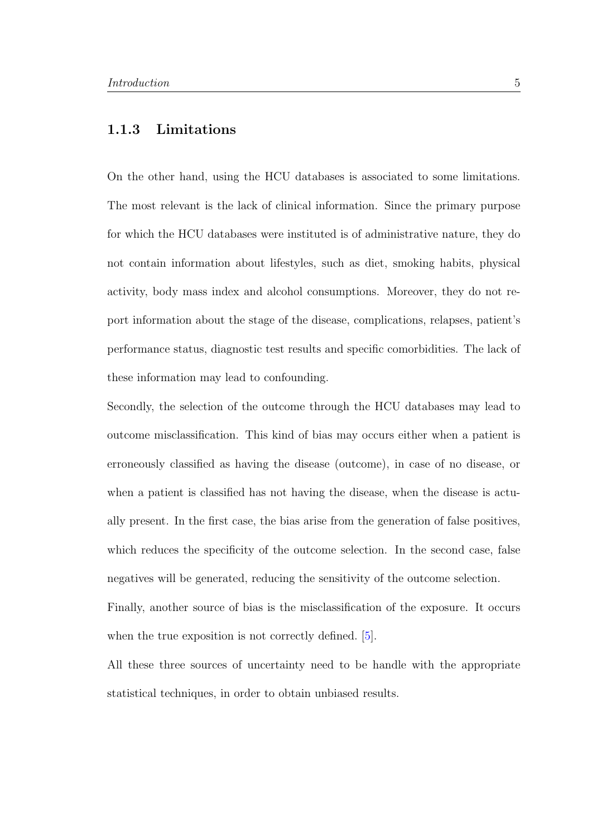#### 1.1.3 Limitations

On the other hand, using the HCU databases is associated to some limitations. The most relevant is the lack of clinical information. Since the primary purpose for which the HCU databases were instituted is of administrative nature, they do not contain information about lifestyles, such as diet, smoking habits, physical activity, body mass index and alcohol consumptions. Moreover, they do not report information about the stage of the disease, complications, relapses, patient's performance status, diagnostic test results and specific comorbidities. The lack of these information may lead to confounding.

Secondly, the selection of the outcome through the HCU databases may lead to outcome misclassification. This kind of bias may occurs either when a patient is erroneously classified as having the disease (outcome), in case of no disease, or when a patient is classified has not having the disease, when the disease is actually present. In the first case, the bias arise from the generation of false positives, which reduces the specificity of the outcome selection. In the second case, false negatives will be generated, reducing the sensitivity of the outcome selection.

Finally, another source of bias is the misclassification of the exposure. It occurs when the true exposition is not correctly defined. [\[5\]](#page-87-5).

<span id="page-14-0"></span>All these three sources of uncertainty need to be handle with the appropriate statistical techniques, in order to obtain unbiased results.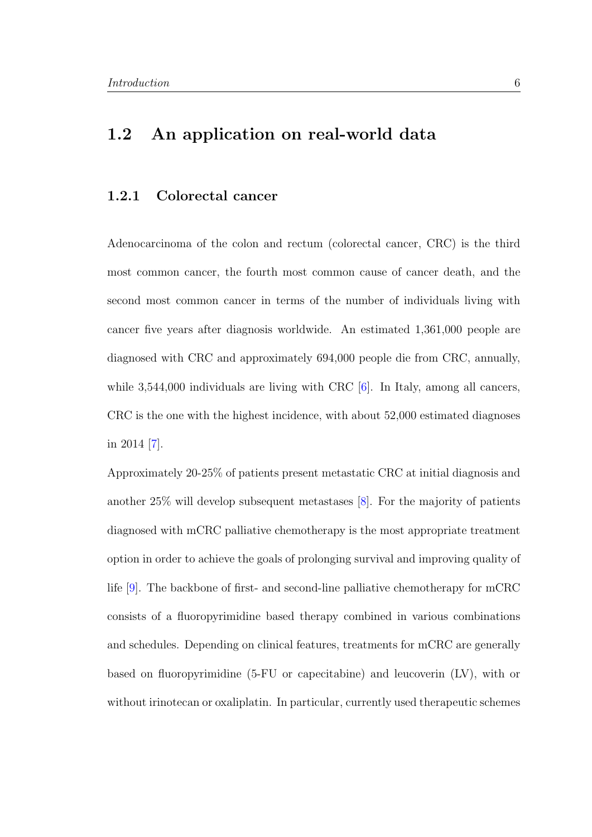### 1.2 An application on real-world data

#### <span id="page-15-0"></span>1.2.1 Colorectal cancer

Adenocarcinoma of the colon and rectum (colorectal cancer, CRC) is the third most common cancer, the fourth most common cause of cancer death, and the second most common cancer in terms of the number of individuals living with cancer five years after diagnosis worldwide. An estimated 1,361,000 people are diagnosed with CRC and approximately 694,000 people die from CRC, annually, while 3,544,000 individuals are living with CRC [\[6\]](#page-87-6). In Italy, among all cancers, CRC is the one with the highest incidence, with about 52,000 estimated diagnoses in 2014 [\[7\]](#page-87-7).

Approximately 20-25% of patients present metastatic CRC at initial diagnosis and another 25% will develop subsequent metastases [\[8\]](#page-88-0). For the majority of patients diagnosed with mCRC palliative chemotherapy is the most appropriate treatment option in order to achieve the goals of prolonging survival and improving quality of life [\[9\]](#page-88-1). The backbone of first- and second-line palliative chemotherapy for mCRC consists of a fluoropyrimidine based therapy combined in various combinations and schedules. Depending on clinical features, treatments for mCRC are generally based on fluoropyrimidine (5-FU or capecitabine) and leucoverin (LV), with or without irinotecan or oxaliplatin. In particular, currently used therapeutic schemes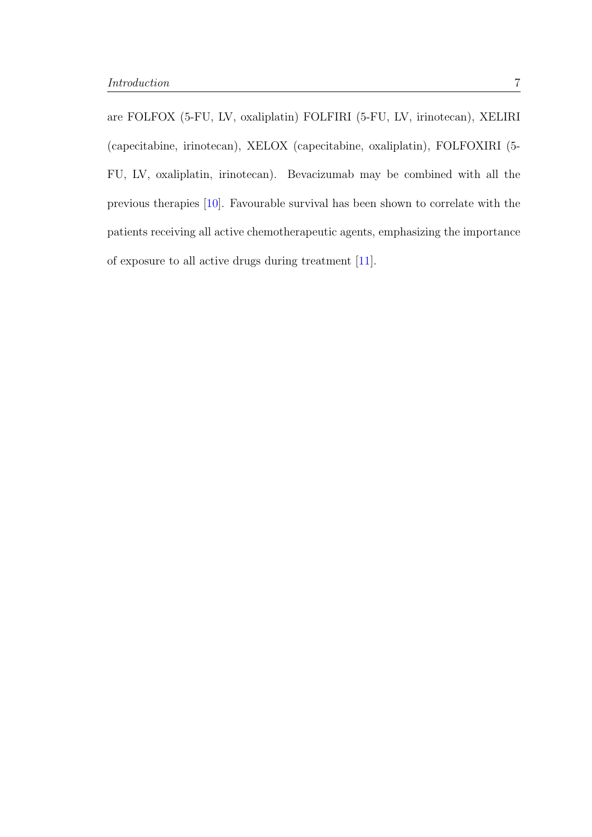<span id="page-16-0"></span>are FOLFOX (5-FU, LV, oxaliplatin) FOLFIRI (5-FU, LV, irinotecan), XELIRI (capecitabine, irinotecan), XELOX (capecitabine, oxaliplatin), FOLFOXIRI (5- FU, LV, oxaliplatin, irinotecan). Bevacizumab may be combined with all the previous therapies [\[10\]](#page-88-2). Favourable survival has been shown to correlate with the patients receiving all active chemotherapeutic agents, emphasizing the importance of exposure to all active drugs during treatment [\[11\]](#page-88-3).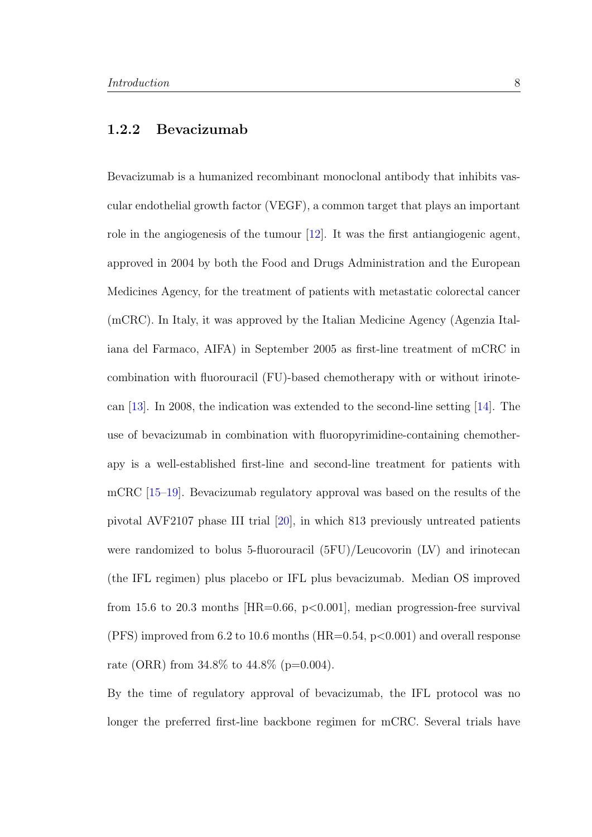#### 1.2.2 Bevacizumab

Bevacizumab is a humanized recombinant monoclonal antibody that inhibits vascular endothelial growth factor (VEGF), a common target that plays an important role in the angiogenesis of the tumour  $[12]$ . It was the first antiangiogenic agent, approved in 2004 by both the Food and Drugs Administration and the European Medicines Agency, for the treatment of patients with metastatic colorectal cancer (mCRC). In Italy, it was approved by the Italian Medicine Agency (Agenzia Italiana del Farmaco, AIFA) in September 2005 as first-line treatment of mCRC in combination with fluorouracil (FU)-based chemotherapy with or without irinotecan [\[13\]](#page-88-5). In 2008, the indication was extended to the second-line setting [\[14\]](#page-88-6). The use of bevacizumab in combination with fluoropyrimidine-containing chemotherapy is a well-established first-line and second-line treatment for patients with mCRC [\[15–](#page-88-7)[19\]](#page-89-0). Bevacizumab regulatory approval was based on the results of the pivotal AVF2107 phase III trial [\[20\]](#page-89-1), in which 813 previously untreated patients were randomized to bolus 5-fluorouracil (5FU)/Leucovorin (LV) and irinotecan (the IFL regimen) plus placebo or IFL plus bevacizumab. Median OS improved from 15.6 to 20.3 months  $|HR=0.66, p<0.001|$ , median progression-free survival (PFS) improved from 6.2 to 10.6 months (HR= $0.54$ , p $< 0.001$ ) and overall response rate (ORR) from  $34.8\%$  to  $44.8\%$  (p=0.004).

By the time of regulatory approval of bevacizumab, the IFL protocol was no longer the preferred first-line backbone regimen for mCRC. Several trials have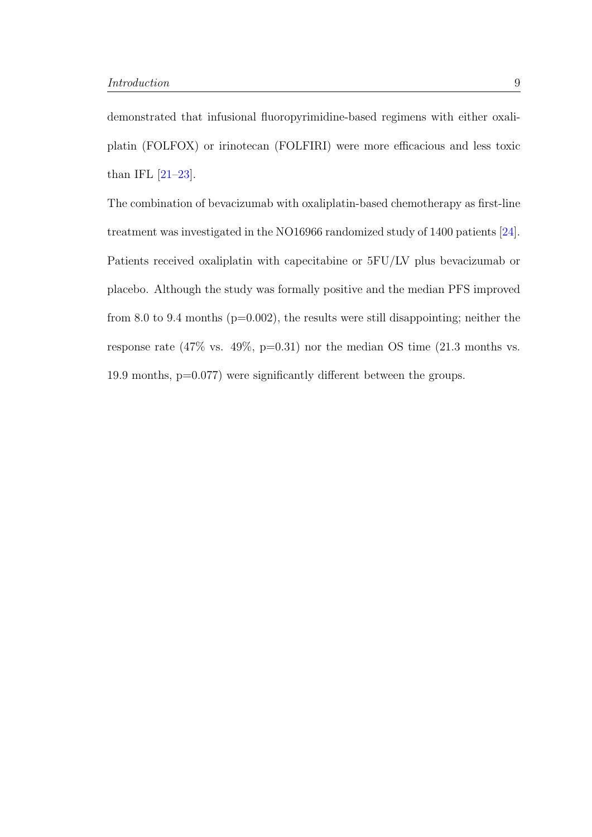demonstrated that infusional fluoropyrimidine-based regimens with either oxaliplatin (FOLFOX) or irinotecan (FOLFIRI) were more efficacious and less toxic than IFL  $[21-23]$  $[21-23]$ .

<span id="page-18-0"></span>The combination of bevacizumab with oxaliplatin-based chemotherapy as first-line treatment was investigated in the NO16966 randomized study of 1400 patients [\[24\]](#page-90-0). Patients received oxaliplatin with capecitabine or 5FU/LV plus bevacizumab or placebo. Although the study was formally positive and the median PFS improved from 8.0 to 9.4 months ( $p=0.002$ ), the results were still disappointing; neither the response rate (47\% vs. 49\%, p=0.31) nor the median OS time (21.3 months vs. 19.9 months, p=0.077) were significantly different between the groups.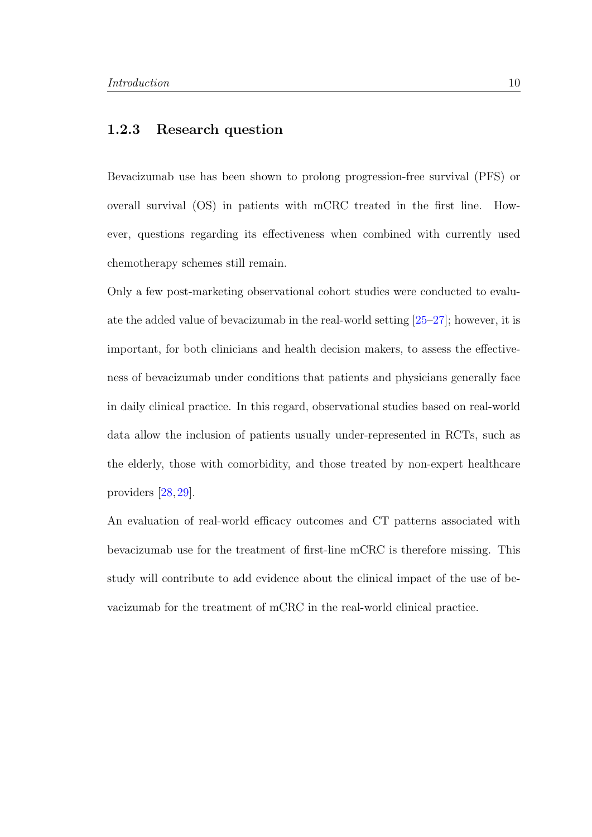#### 1.2.3 Research question

Bevacizumab use has been shown to prolong progression-free survival (PFS) or overall survival (OS) in patients with mCRC treated in the first line. However, questions regarding its effectiveness when combined with currently used chemotherapy schemes still remain.

Only a few post-marketing observational cohort studies were conducted to evaluate the added value of bevacizumab in the real-world setting [\[25–](#page-90-1)[27\]](#page-90-2); however, it is important, for both clinicians and health decision makers, to assess the effectiveness of bevacizumab under conditions that patients and physicians generally face in daily clinical practice. In this regard, observational studies based on real-world data allow the inclusion of patients usually under-represented in RCTs, such as the elderly, those with comorbidity, and those treated by non-expert healthcare providers [\[28,](#page-90-3) [29\]](#page-90-4).

<span id="page-19-0"></span>An evaluation of real-world efficacy outcomes and CT patterns associated with bevacizumab use for the treatment of first-line mCRC is therefore missing. This study will contribute to add evidence about the clinical impact of the use of bevacizumab for the treatment of mCRC in the real-world clinical practice.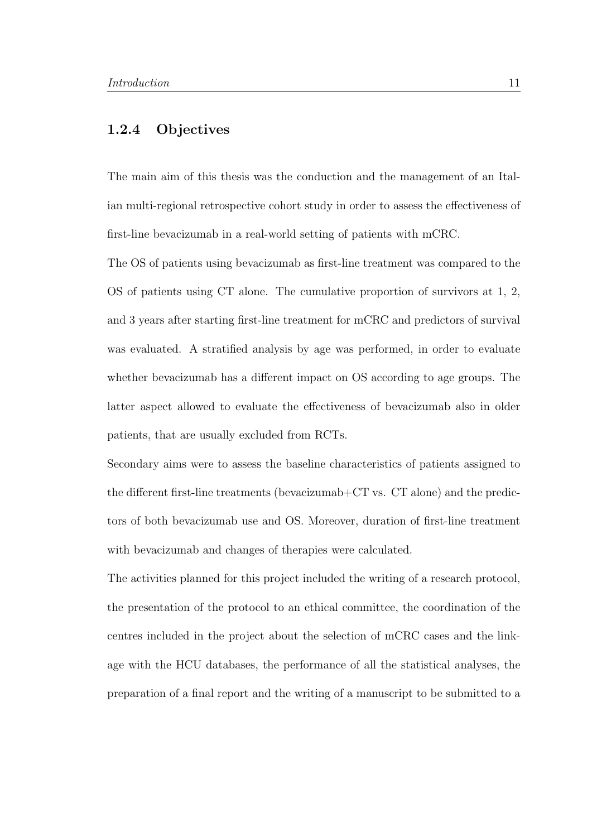#### 1.2.4 Objectives

The main aim of this thesis was the conduction and the management of an Italian multi-regional retrospective cohort study in order to assess the effectiveness of first-line bevacizumab in a real-world setting of patients with mCRC.

The OS of patients using bevacizumab as first-line treatment was compared to the OS of patients using CT alone. The cumulative proportion of survivors at 1, 2, and 3 years after starting first-line treatment for mCRC and predictors of survival was evaluated. A stratified analysis by age was performed, in order to evaluate whether bevacizumab has a different impact on OS according to age groups. The latter aspect allowed to evaluate the effectiveness of bevacizumab also in older patients, that are usually excluded from RCTs.

Secondary aims were to assess the baseline characteristics of patients assigned to the different first-line treatments (bevacizumab+CT vs. CT alone) and the predictors of both bevacizumab use and OS. Moreover, duration of first-line treatment with bevacizumab and changes of therapies were calculated.

The activities planned for this project included the writing of a research protocol, the presentation of the protocol to an ethical committee, the coordination of the centres included in the project about the selection of mCRC cases and the linkage with the HCU databases, the performance of all the statistical analyses, the preparation of a final report and the writing of a manuscript to be submitted to a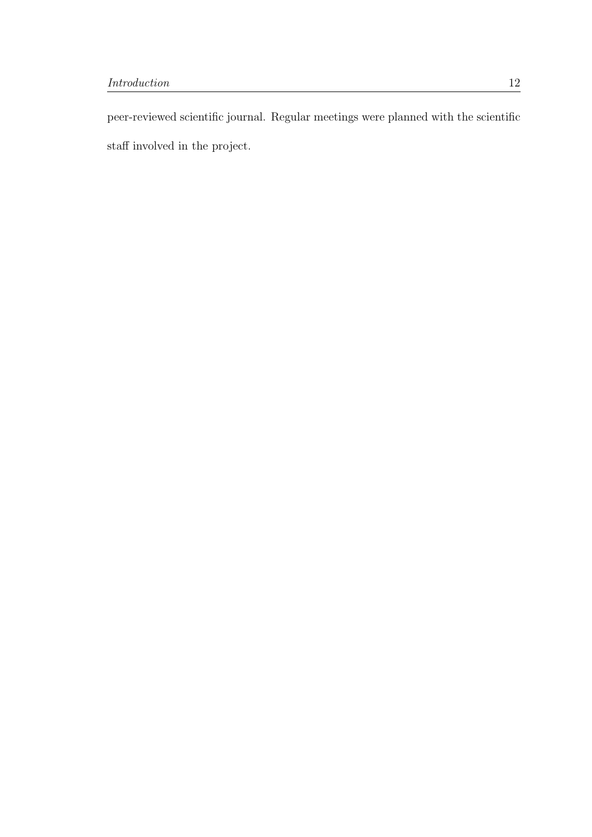peer-reviewed scientific journal. Regular meetings were planned with the scientific staff involved in the project.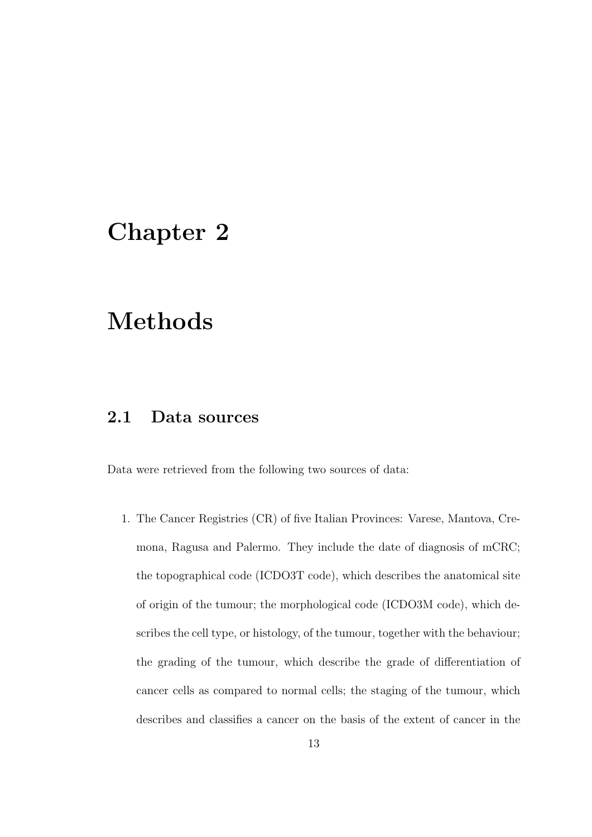## <span id="page-22-0"></span>Chapter 2

# Methods

#### <span id="page-22-1"></span>2.1 Data sources

Data were retrieved from the following two sources of data:

1. The Cancer Registries (CR) of five Italian Provinces: Varese, Mantova, Cremona, Ragusa and Palermo. They include the date of diagnosis of mCRC; the topographical code (ICDO3T code), which describes the anatomical site of origin of the tumour; the morphological code (ICDO3M code), which describes the cell type, or histology, of the tumour, together with the behaviour; the grading of the tumour, which describe the grade of differentiation of cancer cells as compared to normal cells; the staging of the tumour, which describes and classifies a cancer on the basis of the extent of cancer in the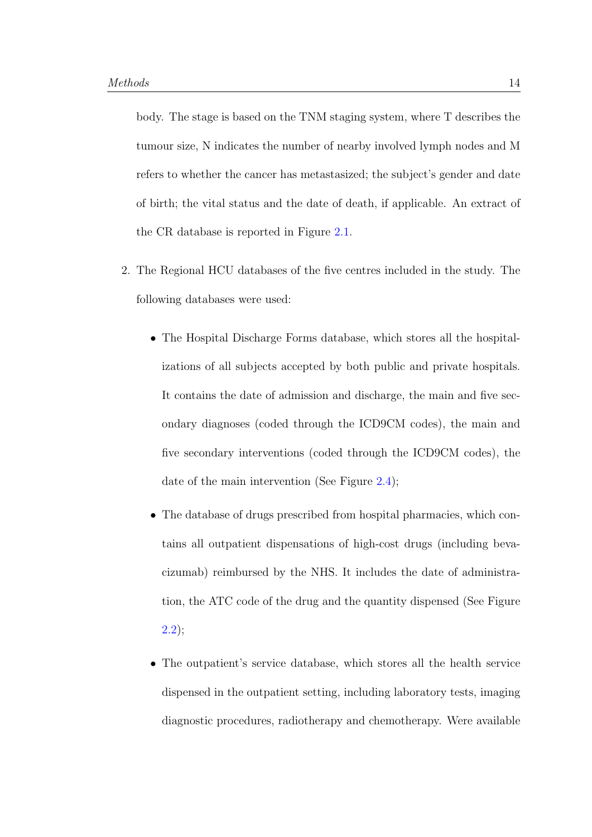body. The stage is based on the TNM staging system, where T describes the tumour size, N indicates the number of nearby involved lymph nodes and M refers to whether the cancer has metastasized; the subject's gender and date of birth; the vital status and the date of death, if applicable. An extract of the CR database is reported in Figure [2.1.](#page-25-0)

- 2. The Regional HCU databases of the five centres included in the study. The following databases were used:
	- The Hospital Discharge Forms database, which stores all the hospitalizations of all subjects accepted by both public and private hospitals. It contains the date of admission and discharge, the main and five secondary diagnoses (coded through the ICD9CM codes), the main and five secondary interventions (coded through the ICD9CM codes), the date of the main intervention (See Figure [2.4\)](#page-28-0);
	- The database of drugs prescribed from hospital pharmacies, which contains all outpatient dispensations of high-cost drugs (including bevacizumab) reimbursed by the NHS. It includes the date of administration, the ATC code of the drug and the quantity dispensed (See Figure [2.2\)](#page-26-0);
	- The outpatient's service database, which stores all the health service dispensed in the outpatient setting, including laboratory tests, imaging diagnostic procedures, radiotherapy and chemotherapy. Were available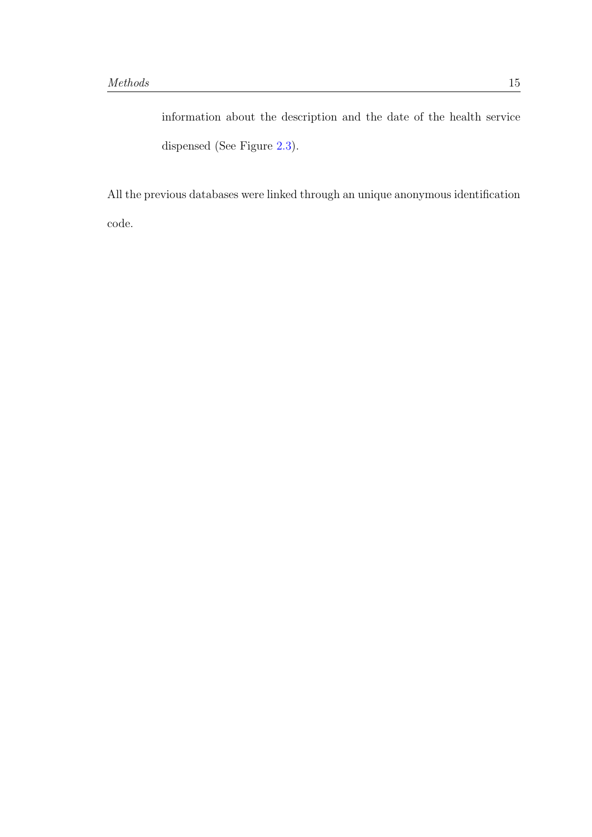information about the description and the date of the health service dispensed (See Figure [2.3\)](#page-27-0).

All the previous databases were linked through an unique anonymous identification code.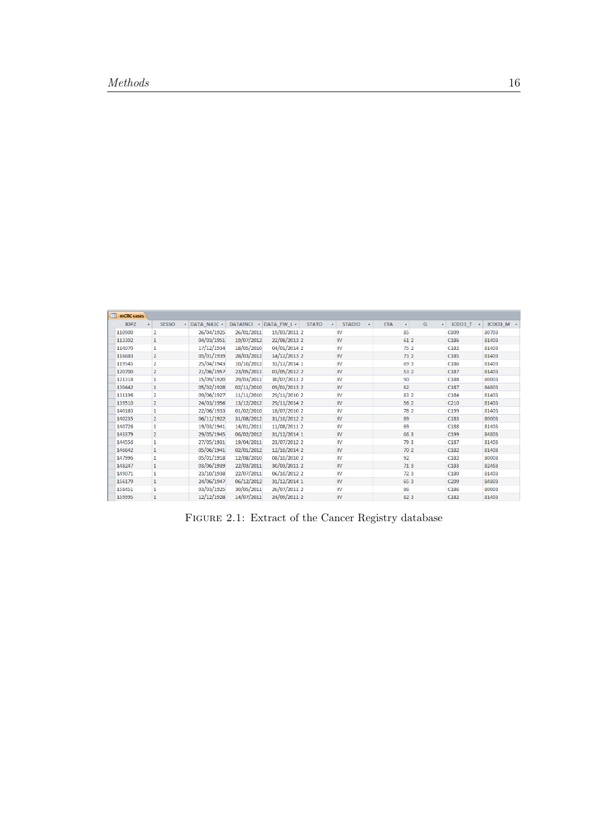<span id="page-25-0"></span>

| ⊞<br>mCRC cases |                         |               |            |              |              |               |            |                         |                  |           |
|-----------------|-------------------------|---------------|------------|--------------|--------------|---------------|------------|-------------------------|------------------|-----------|
| <b>IDPZ</b>     | <b>SESSO</b><br>٠       | - DATA NASC - | DATAINCI - | DATA FW L -  | <b>STATO</b> | <b>STADIO</b> | <b>ETA</b> | G<br>$\bar{\mathbf{v}}$ | ICDO3 T          | ICDO3 M + |
| 110900          | $\overline{\mathbf{2}}$ | 26/04/1925    | 26/01/2011 | 19/03/2011 2 |              | IV            | 85         |                         | <b>C809</b>      | 80703     |
| 113302          | $\mathbf{1}$            | 04/03/1951    | 19/07/2012 | 22/08/2013 2 |              | <b>IV</b>     | 61 2       |                         | C186             | 81403     |
| 114070          | $\mathbf{1}$            | 17/12/1934    | 18/05/2010 | 04/01/2014 2 |              | <b>IV</b>     |            | 752                     | C182             | 81403     |
| 116683          | $\overline{2}$          | 05/01/1939    | 28/03/2012 | 14/12/2013 2 |              | <b>IV</b>     |            | 73 2                    | C <sub>185</sub> | 81403     |
| 119545          | $\overline{2}$          | 25/04/1943    | 10/10/2012 | 31/12/2014 1 |              | <b>IV</b>     | 69 3       |                         | C <sub>186</sub> | 81403     |
| 120700          | $\overline{2}$          | 21/06/1957    | 23/05/2011 | 03/05/2012 2 |              | <b>IV</b>     |            | 53 2                    | C <sub>187</sub> | 81403     |
| 121318          | 1                       | 15/09/1920    | 29/03/2011 | 30/07/2011 2 |              | <b>IV</b>     | 90         |                         | C <sub>188</sub> | 80003     |
| 130442          | $\mathbf{1}$            | 05/02/1928    | 02/11/2010 | 09/01/2013 2 |              | <b>IV</b>     | 82         |                         | C <sub>187</sub> | 84803     |
| 131196          | $\overline{2}$          | 09/06/1927    | 11/11/2010 | 29/11/2010 2 |              | <b>IV</b>     | 83 2       |                         | C <sub>184</sub> | 81403     |
| 139510          | $\overline{2}$          | 24/03/1956    | 13/12/2012 | 29/11/2014 2 |              | <b>IV</b>     | 562        |                         | C <sub>210</sub> | 81403     |
| 140163          | $\mathbf{1}$            | 22/06/1933    | 01/02/2010 | 18/07/2010 2 |              | <b>IV</b>     |            | 762                     | C <sub>199</sub> | 81403     |
| 140235          | $\overline{2}$          | 06/11/1922    | 31/08/2012 | 31/10/2012 2 |              | <b>IV</b>     | 89         |                         | C <sub>183</sub> | 80003     |
| 140726          | 1                       | 19/03/1941    | 14/01/2011 | 11/08/2011 2 |              | IV            | 69         |                         | C <sub>188</sub> | 81403     |
| 143379          | $\overline{2}$          | 29/05/1945    | 06/02/2012 | 31/12/2014 1 |              | <b>IV</b>     | 66 3       |                         | C <sub>199</sub> | 84803     |
| 144556          | $\mathbf{1}$            | 27/05/1931    | 19/04/2011 | 23/07/2012 2 |              | IV            | 79 3       |                         | C <sub>187</sub> | 81403     |
| 146642          | $\mathbf{1}$            | 05/06/1941    | 02/01/2012 | 12/10/2014 2 |              | <b>IV</b>     |            | 70 <sub>2</sub>         | C182             | 81403     |
| 147996          | 1                       | 05/01/1918    | 12/08/2010 | 08/10/2010 2 |              | <b>IV</b>     | 92         |                         | C <sub>182</sub> | 80003     |
| 148247          | $\mathbf{1}$            | 03/06/1939    | 22/03/2011 | 30/03/2011 2 |              | <b>IV</b>     |            | 713                     | C <sub>183</sub> | 82463     |
| 149071          | $\mathbf{1}$            | 23/10/1938    | 22/07/2011 | 06/10/2012 2 |              | IV            |            | 723                     | C <sub>180</sub> | 81403     |
| 156179          | $\mathbf{1}$            | 24/06/1947    | 06/12/2012 | 31/12/2014 1 |              | <b>IV</b>     |            | 65 3                    | C <sub>209</sub> | 84803     |
| 158451          | $\mathbf{1}$            | 03/03/1925    | 30/05/2011 | 26/07/2011 2 |              | <b>IV</b>     | 86         |                         | C <sub>186</sub> | 80003     |
| 159995          | $\mathbf{1}$            | 12/12/1928    | 14/07/2011 | 24/09/2011 2 |              | <b>IV</b>     | 823        |                         | C <sub>182</sub> | 81403     |

FIGURE 2.1: Extract of the Cancer Registry database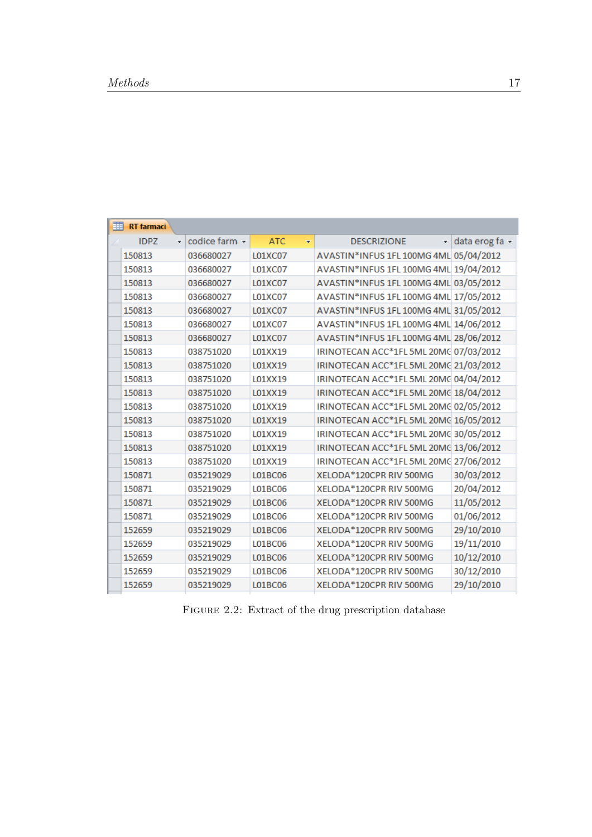<span id="page-26-0"></span>

| 睴 | <b>RT</b> farmaci |                |                 |                                        |                |
|---|-------------------|----------------|-----------------|----------------------------------------|----------------|
|   | <b>IDPZ</b><br>÷. | codice farm. - | <b>ATC</b><br>÷ | <b>DESCRIZIONE</b><br>÷                | data erog fa - |
|   | 150813            | 036680027      | L01XC07         | AVASTIN*INFUS 1FL 100MG 4ML 05/04/2012 |                |
|   | 150813            | 036680027      | L01XC07         | AVASTIN*INFUS 1FL 100MG 4ML 19/04/2012 |                |
|   | 150813            | 036680027      | L01XC07         | AVASTIN*INFUS 1FL 100MG 4ML 03/05/2012 |                |
|   | 150813            | 036680027      | L01XC07         | AVASTIN*INFUS 1FL 100MG 4ML 17/05/2012 |                |
|   | 150813            | 036680027      | L01XC07         | AVASTIN*INFUS 1FL 100MG 4ML 31/05/2012 |                |
|   | 150813            | 036680027      | L01XC07         | AVASTIN*INFUS 1FL 100MG 4ML 14/06/2012 |                |
|   | 150813            | 036680027      | L01XC07         | AVASTIN*INFUS 1FL 100MG 4ML 28/06/2012 |                |
|   | 150813            | 038751020      | L01XX19         | IRINOTECAN ACC*1FL 5ML 20MC 07/03/2012 |                |
|   | 150813            | 038751020      | L01XX19         | IRINOTECAN ACC*1FL 5ML 20MC 21/03/2012 |                |
|   | 150813            | 038751020      | L01XX19         | IRINOTECAN ACC*1FL 5ML 20MC 04/04/2012 |                |
|   | 150813            | 038751020      | L01XX19         | IRINOTECAN ACC*1FL 5ML 20MC 18/04/2012 |                |
|   | 150813            | 038751020      | L01XX19         | IRINOTECAN ACC*1FL 5ML 20MC 02/05/2012 |                |
|   | 150813            | 038751020      | L01XX19         | IRINOTECAN ACC*1FL 5ML 20MC 16/05/2012 |                |
|   | 150813            | 038751020      | L01XX19         | IRINOTECAN ACC*1FL 5ML 20MC 30/05/2012 |                |
|   | 150813            | 038751020      | L01XX19         | IRINOTECAN ACC*1FL 5ML 20MC 13/06/2012 |                |
|   | 150813            | 038751020      | L01XX19         | IRINOTECAN ACC*1FL 5ML 20MC 27/06/2012 |                |
|   | 150871            | 035219029      | L01BC06         | XELODA * 120CPR RIV 500MG              | 30/03/2012     |
|   | 150871            | 035219029      | <b>L01BC06</b>  | XELODA * 120CPR RIV 500MG              | 20/04/2012     |
|   | 150871            | 035219029      | L01BC06         | XELODA*120CPR RIV 500MG                | 11/05/2012     |
|   | 150871            | 035219029      | L01BC06         | XELODA*120CPR RIV 500MG                | 01/06/2012     |
|   | 152659            | 035219029      | L01BC06         | XELODA*120CPR RIV 500MG                | 29/10/2010     |
|   | 152659            | 035219029      | L01BC06         | XELODA*120CPR RIV 500MG                | 19/11/2010     |
|   | 152659            | 035219029      | L01BC06         | XELODA*120CPR RIV 500MG                | 10/12/2010     |
|   | 152659            | 035219029      | L01BC06         | XELODA*120CPR RIV 500MG                | 30/12/2010     |
|   | 152659            | 035219029      | L01BC06         | XELODA*120CPR RIV 500MG                | 29/10/2010     |
|   |                   |                |                 |                                        |                |

FIGURE 2.2: Extract of the drug prescription database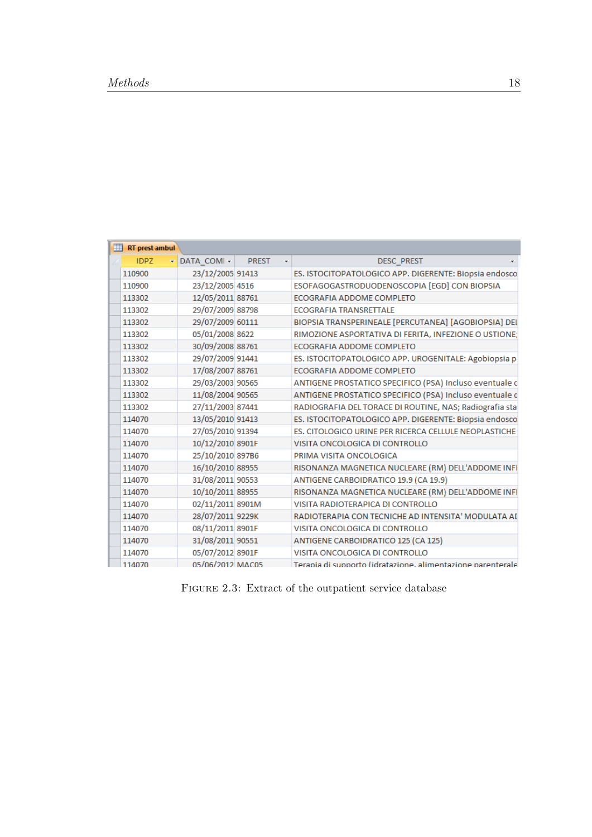<span id="page-27-0"></span>

| RT prest ambul |                                                             |              |                                                             |
|----------------|-------------------------------------------------------------|--------------|-------------------------------------------------------------|
| <b>IDPZ</b>    | $\overline{\phantom{a}}$ DATA COMI $\overline{\phantom{a}}$ | <b>PREST</b> | <b>DESC PREST</b>                                           |
| 110900         | 23/12/2005 91413                                            |              | ES. ISTOCITOPATOLOGICO APP. DIGERENTE: Biopsia endosco      |
| 110900         | 23/12/2005 4516                                             |              | ESOFAGOGASTRODUODENOSCOPIA [EGD] CON BIOPSIA                |
| 113302         | 12/05/2011 88761                                            |              | ECOGRAFIA ADDOME COMPLETO                                   |
| 113302         | 29/07/2009 88798                                            |              | <b>ECOGRAFIA TRANSRETTALE</b>                               |
| 113302         | 29/07/2009 60111                                            |              | BIOPSIA TRANSPERINEALE [PERCUTANEA] [AGOBIOPSIA] DEI        |
| 113302         | 05/01/2008 8622                                             |              | RIMOZIONE ASPORTATIVA DI FERITA, INFEZIONE O USTIONE;       |
| 113302         | 30/09/2008 88761                                            |              | <b>ECOGRAFIA ADDOME COMPLETO</b>                            |
| 113302         | 29/07/2009 91441                                            |              | ES. ISTOCITOPATOLOGICO APP. UROGENITALE: Agobiopsia p       |
| 113302         | 17/08/2007 88761                                            |              | ECOGRAFIA ADDOME COMPLETO                                   |
| 113302         | 29/03/2003 90565                                            |              | ANTIGENE PROSTATICO SPECIFICO (PSA) Incluso eventuale c     |
| 113302         | 11/08/2004 90565                                            |              | ANTIGENE PROSTATICO SPECIFICO (PSA) Incluso eventuale c     |
| 113302         | 27/11/2003 87441                                            |              | RADIOGRAFIA DEL TORACE DI ROUTINE, NAS; Radiografia sta     |
| 114070         | 13/05/2010 91413                                            |              | ES. ISTOCITOPATOLOGICO APP. DIGERENTE: Biopsia endosco      |
| 114070         | 27/05/2010 91394                                            |              | ES. CITOLOGICO URINE PER RICERCA CELLULE NEOPLASTICHE       |
| 114070         | 10/12/2010 8901F                                            |              | VISITA ONCOLOGICA DI CONTROLLO                              |
| 114070         | 25/10/2010 897B6                                            |              | PRIMA VISITA ONCOLOGICA                                     |
| 114070         | 16/10/2010 88955                                            |              | RISONANZA MAGNETICA NUCLEARE (RM) DELL'ADDOME INFI          |
| 114070         | 31/08/2011 90553                                            |              | ANTIGENE CARBOIDRATICO 19.9 (CA 19.9)                       |
| 114070         | 10/10/2011 88955                                            |              | RISONANZA MAGNETICA NUCLEARE (RM) DELL'ADDOME INFI          |
| 114070         | 02/11/2011 8901M                                            |              | VISITA RADIOTERAPICA DI CONTROLLO                           |
| 114070         | 28/07/2011 9229K                                            |              | RADIOTERAPIA CON TECNICHE AD INTENSITA' MODULATA AI         |
| 114070         | 08/11/2011 8901F                                            |              | VISITA ONCOLOGICA DI CONTROLLO                              |
| 114070         | 31/08/2011 90551                                            |              | ANTIGENE CARBOIDRATICO 125 (CA 125)                         |
| 114070         | 05/07/2012 8901F                                            |              | VISITA ONCOLOGICA DI CONTROLLO                              |
| 114070         | 05/06/2012 MAC05                                            |              | Terania di supporto (idratazione, alimentazione parenterale |

FIGURE 2.3: Extract of the outpatient service database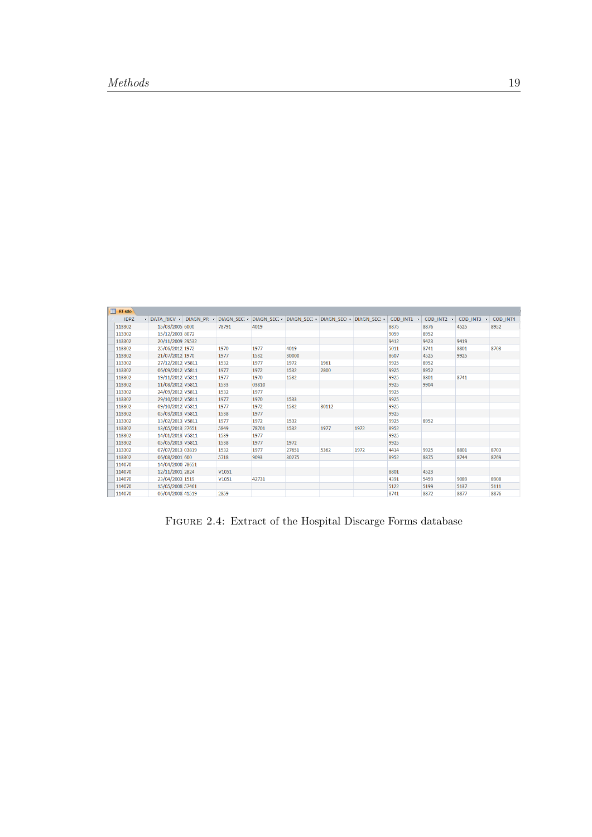<span id="page-28-0"></span>

| <b>IDPZ</b> | - DATA RICV - DIAGN PR - DIAGN SEC: - DIAGN SEC: - DIAGN SEC: - DIAGN SEC: - DIAGN SEC: - |       |       |       |       |      | COD INT1 + | COD INT2 + | COD INT3 - | COD INT4 |
|-------------|-------------------------------------------------------------------------------------------|-------|-------|-------|-------|------|------------|------------|------------|----------|
| 113302      | 15/03/2005 6000                                                                           | 78791 | 4019  |       |       |      | 8875       | 8876       | 4525       | 8952     |
| 113302      | 15/12/2003 8072                                                                           |       |       |       |       |      | 9059       | 8952       |            |          |
| 113302      | 20/11/2009 29532                                                                          |       |       |       |       |      | 9412       | 9423       | 9419       |          |
| 113302      | 25/06/2012 1972                                                                           | 1970  | 1977  | 4019  |       |      | 5011       | 8741       | 8801       | 8703     |
| 113302      | 21/07/2012 1970                                                                           | 1977  | 1532  | 30000 |       |      | 8607       | 4525       | 9925       |          |
| 113302      | 27/12/2012 V5811                                                                          | 1532  | 1977  | 1972  | 1961  |      | 9925       | 8952       |            |          |
| 113302      | 06/09/2012 V5811                                                                          | 1977  | 1972  | 1532  | 2800  |      | 9925       | 8952       |            |          |
| 113302      | 19/11/2012 V5811                                                                          | 1977  | 1970  | 1532  |       |      | 9925       | 8801       | 8741       |          |
| 113302      | 11/08/2012 V5811                                                                          | 1533  | 03810 |       |       |      | 9925       | 9904       |            |          |
| 113302      | 24/09/2012 V5811                                                                          | 1532  | 1977  |       |       |      | 9925       |            |            |          |
| 113302      | 29/10/2012 V5811                                                                          | 1977  | 1970  | 1533  |       |      | 9925       |            |            |          |
| 113302      | 09/10/2012 V5811                                                                          | 1977  | 1972  | 1532  | 30112 |      | 9925       |            |            |          |
| 113302      | 05/03/2013 V5811                                                                          | 1538  | 1977  |       |       |      | 9925       |            |            |          |
| 113302      | 13/02/2013 V5811                                                                          | 1977  | 1972  | 1532  |       |      | 9925       | 8952       |            |          |
| 113302      | 13/05/2013 27651                                                                          | 5849  | 78701 | 1532  | 1977  | 1972 | 8952       |            |            |          |
| 113302      | 14/01/2013 V5811                                                                          | 1539  | 1977  |       |       |      | 9925       |            |            |          |
| 113302      | 05/05/2013 V5811                                                                          | 1538  | 1977  | 1972  |       |      | 9925       |            |            |          |
| 113302      | 07/07/2013 03819                                                                          | 1532  | 1977  | 27651 | 5362  | 1972 | 4414       | 9925       | 8801       | 8703     |
| 113302      | 06/08/2001 600                                                                            | 5718  | 9093  | 30275 |       |      | 8952       | 8875       | 8744       | 8769     |
| 114070      | 14/04/2000 78651                                                                          |       |       |       |       |      |            |            |            |          |
| 114070      | 12/11/2001 2824                                                                           | V1051 |       |       |       |      | 8801       | 4523       |            |          |
| 114070      | 23/04/2003 1519                                                                           | V1051 | 42731 |       |       |      | 4391       | 5459       | 9089       | 8908     |
| 114070      | 15/05/2008 57461                                                                          |       |       |       |       |      | 5122       | 5199       | 5137       | 5111     |
| 114070      | 06/04/2008 41519                                                                          | 2859  |       |       |       |      | 8741       | 8872       | 8877       | 8876     |

FIGURE 2.4: Extract of the Hospital Discarge Forms database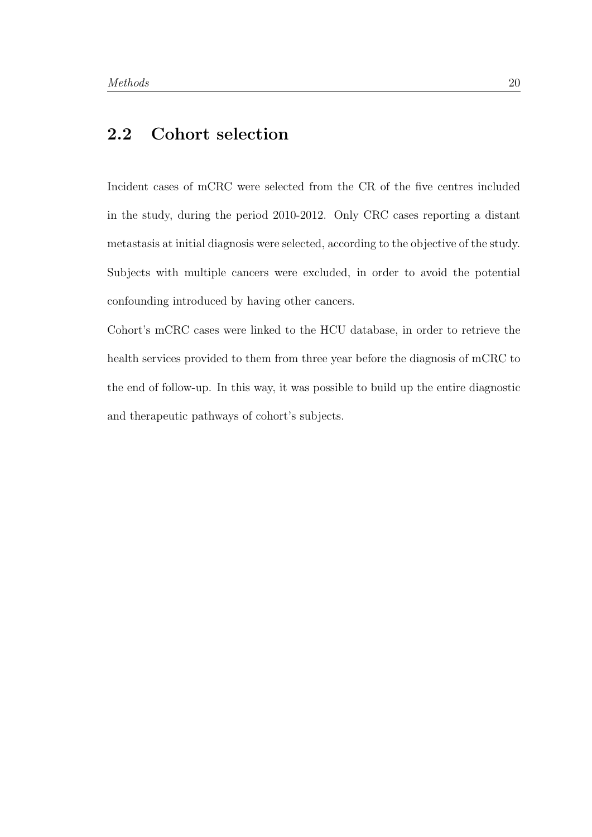## 2.2 Cohort selection

Incident cases of mCRC were selected from the CR of the five centres included in the study, during the period 2010-2012. Only CRC cases reporting a distant metastasis at initial diagnosis were selected, according to the objective of the study. Subjects with multiple cancers were excluded, in order to avoid the potential confounding introduced by having other cancers.

<span id="page-29-0"></span>Cohort's mCRC cases were linked to the HCU database, in order to retrieve the health services provided to them from three year before the diagnosis of mCRC to the end of follow-up. In this way, it was possible to build up the entire diagnostic and therapeutic pathways of cohort's subjects.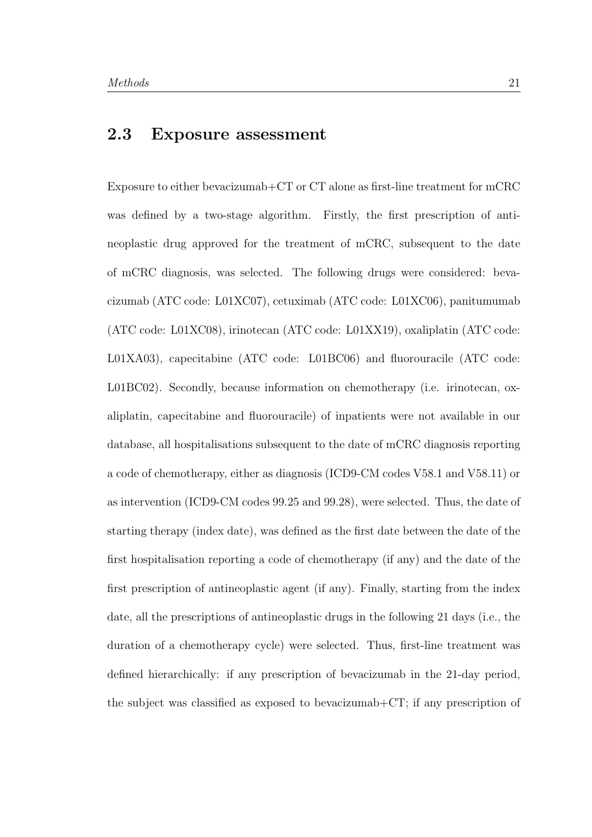## 2.3 Exposure assessment

Exposure to either bevacizumab+CT or CT alone as first-line treatment for mCRC was defined by a two-stage algorithm. Firstly, the first prescription of antineoplastic drug approved for the treatment of mCRC, subsequent to the date of mCRC diagnosis, was selected. The following drugs were considered: bevacizumab (ATC code: L01XC07), cetuximab (ATC code: L01XC06), panitumumab (ATC code: L01XC08), irinotecan (ATC code: L01XX19), oxaliplatin (ATC code: L01XA03), capecitabine (ATC code: L01BC06) and fluorouracile (ATC code: L01BC02). Secondly, because information on chemotherapy (i.e. irinotecan, oxaliplatin, capecitabine and fluorouracile) of inpatients were not available in our database, all hospitalisations subsequent to the date of mCRC diagnosis reporting a code of chemotherapy, either as diagnosis (ICD9-CM codes V58.1 and V58.11) or as intervention (ICD9-CM codes 99.25 and 99.28), were selected. Thus, the date of starting therapy (index date), was defined as the first date between the date of the first hospitalisation reporting a code of chemotherapy (if any) and the date of the first prescription of antineoplastic agent (if any). Finally, starting from the index date, all the prescriptions of antineoplastic drugs in the following 21 days (i.e., the duration of a chemotherapy cycle) were selected. Thus, first-line treatment was defined hierarchically: if any prescription of bevacizumab in the 21-day period, the subject was classified as exposed to bevacizumab+CT; if any prescription of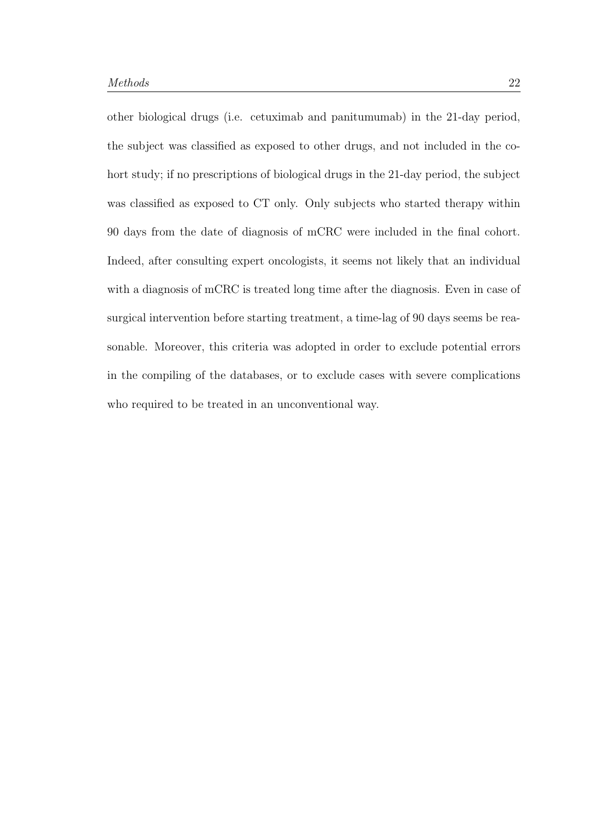<span id="page-31-0"></span>other biological drugs (i.e. cetuximab and panitumumab) in the 21-day period, the subject was classified as exposed to other drugs, and not included in the cohort study; if no prescriptions of biological drugs in the 21-day period, the subject was classified as exposed to CT only. Only subjects who started therapy within 90 days from the date of diagnosis of mCRC were included in the final cohort. Indeed, after consulting expert oncologists, it seems not likely that an individual with a diagnosis of mCRC is treated long time after the diagnosis. Even in case of surgical intervention before starting treatment, a time-lag of 90 days seems be reasonable. Moreover, this criteria was adopted in order to exclude potential errors in the compiling of the databases, or to exclude cases with severe complications who required to be treated in an unconventional way.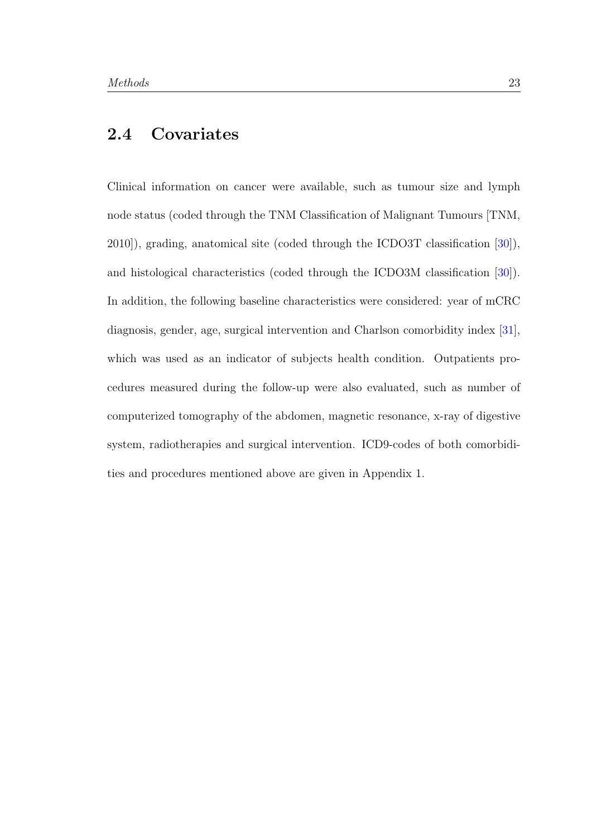## 2.4 Covariates

<span id="page-32-0"></span>Clinical information on cancer were available, such as tumour size and lymph node status (coded through the TNM Classification of Malignant Tumours [TNM, 2010]), grading, anatomical site (coded through the ICDO3T classification [\[30\]](#page-90-5)), and histological characteristics (coded through the ICDO3M classification [\[30\]](#page-90-5)). In addition, the following baseline characteristics were considered: year of mCRC diagnosis, gender, age, surgical intervention and Charlson comorbidity index [\[31\]](#page-90-6), which was used as an indicator of subjects health condition. Outpatients procedures measured during the follow-up were also evaluated, such as number of computerized tomography of the abdomen, magnetic resonance, x-ray of digestive system, radiotherapies and surgical intervention. ICD9-codes of both comorbidities and procedures mentioned above are given in Appendix 1.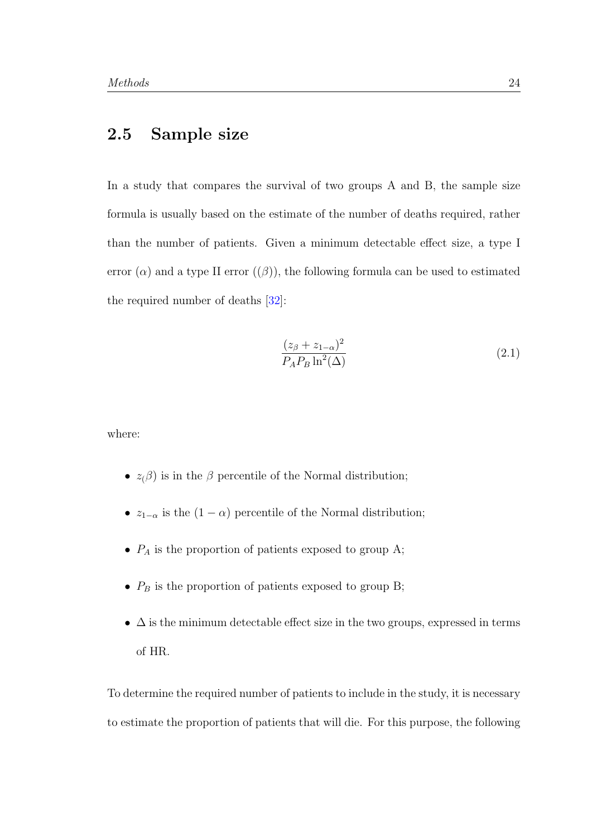### 2.5 Sample size

In a study that compares the survival of two groups A and B, the sample size formula is usually based on the estimate of the number of deaths required, rather than the number of patients. Given a minimum detectable effect size, a type I error  $(\alpha)$  and a type II error  $((\beta))$ , the following formula can be used to estimated the required number of deaths [\[32\]](#page-91-0):

<span id="page-33-0"></span>
$$
\frac{(z_{\beta} + z_{1-\alpha})^2}{P_A P_B \ln^2(\Delta)}\tag{2.1}
$$

where:

- $z(\beta)$  is in the  $\beta$  percentile of the Normal distribution;
- $z_{1-\alpha}$  is the  $(1-\alpha)$  percentile of the Normal distribution;
- $P_A$  is the proportion of patients exposed to group A;
- $\bullet$   $\mathrel{P_B}$  is the proportion of patients exposed to group B;
- $\Delta$  is the minimum detectable effect size in the two groups, expressed in terms of HR.

To determine the required number of patients to include in the study, it is necessary to estimate the proportion of patients that will die. For this purpose, the following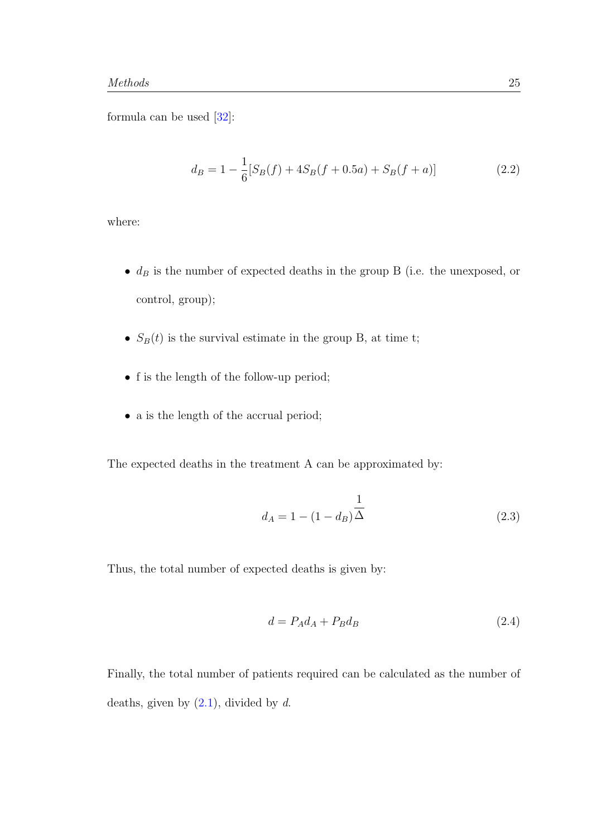formula can be used [\[32\]](#page-91-0):

$$
d_B = 1 - \frac{1}{6} [S_B(f) + 4S_B(f + 0.5a) + S_B(f + a)]
$$
\n(2.2)

where:

- $\bullet$   $\,d_B$  is the number of expected deaths in the group B (i.e. the unexposed, or control, group);
- $S_B(t)$  is the survival estimate in the group B, at time t;
- f is the length of the follow-up period;
- a is the length of the accrual period;

The expected deaths in the treatment A can be approximated by:

$$
d_A = 1 - (1 - d_B)\frac{1}{\Delta} \tag{2.3}
$$

Thus, the total number of expected deaths is given by:

$$
d = P_A d_A + P_B d_B \tag{2.4}
$$

Finally, the total number of patients required can be calculated as the number of deaths, given by  $(2.1)$ , divided by d.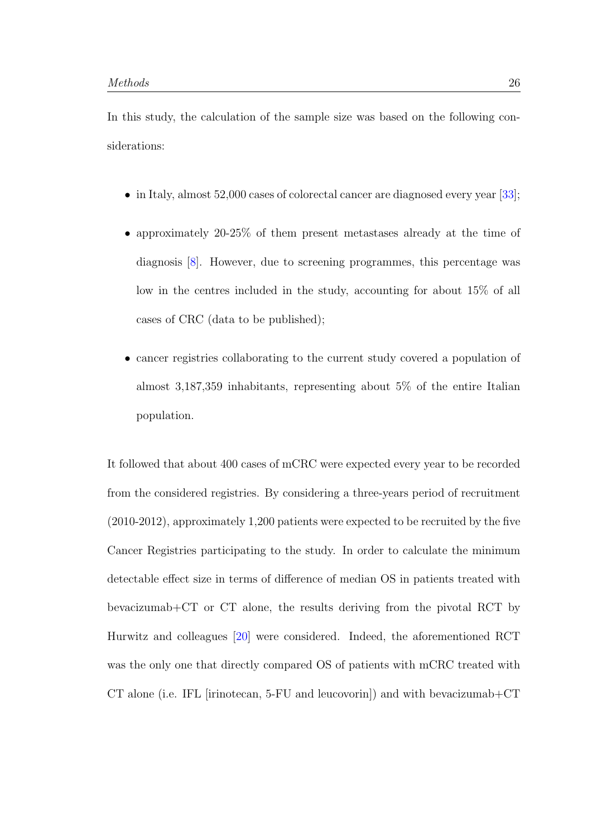In this study, the calculation of the sample size was based on the following considerations:

- in Italy, almost 52,000 cases of colorectal cancer are diagnosed every year [\[33\]](#page-91-1);
- approximately 20-25% of them present metastases already at the time of diagnosis [\[8\]](#page-88-0). However, due to screening programmes, this percentage was low in the centres included in the study, accounting for about 15% of all cases of CRC (data to be published);
- cancer registries collaborating to the current study covered a population of almost 3,187,359 inhabitants, representing about 5% of the entire Italian population.

It followed that about 400 cases of mCRC were expected every year to be recorded from the considered registries. By considering a three-years period of recruitment (2010-2012), approximately 1,200 patients were expected to be recruited by the five Cancer Registries participating to the study. In order to calculate the minimum detectable effect size in terms of difference of median OS in patients treated with bevacizumab+CT or CT alone, the results deriving from the pivotal RCT by Hurwitz and colleagues [\[20\]](#page-89-1) were considered. Indeed, the aforementioned RCT was the only one that directly compared OS of patients with mCRC treated with CT alone (i.e. IFL [irinotecan, 5-FU and leucovorin]) and with bevacizumab+CT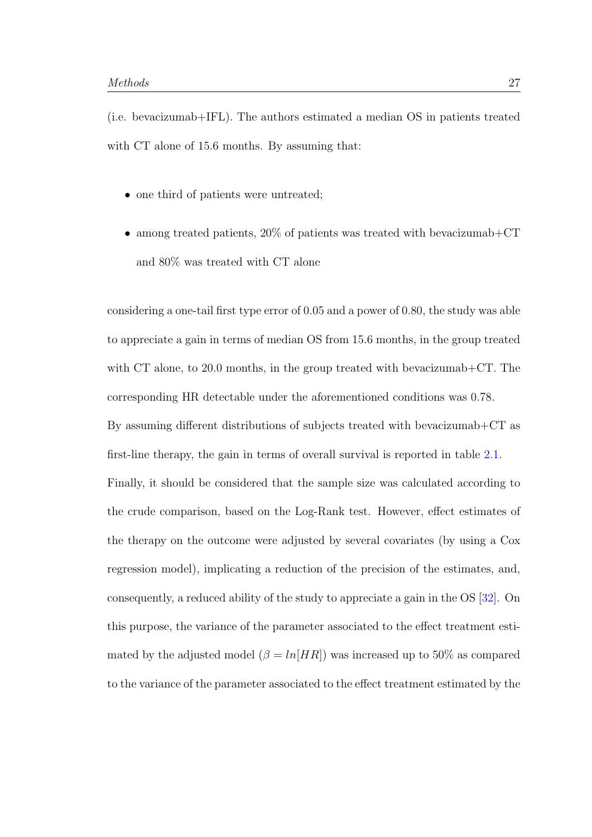(i.e. bevacizumab+IFL). The authors estimated a median OS in patients treated with CT alone of 15.6 months. By assuming that:

- one third of patients were untreated;
- among treated patients, 20% of patients was treated with bevacizumab+CT and 80% was treated with CT alone

considering a one-tail first type error of 0.05 and a power of 0.80, the study was able to appreciate a gain in terms of median OS from 15.6 months, in the group treated with CT alone, to 20.0 months, in the group treated with bevacizumab+CT. The corresponding HR detectable under the aforementioned conditions was 0.78. By assuming different distributions of subjects treated with bevacizumab+CT as first-line therapy, the gain in terms of overall survival is reported in table [2.1.](#page-38-0) Finally, it should be considered that the sample size was calculated according to the crude comparison, based on the Log-Rank test. However, effect estimates of the therapy on the outcome were adjusted by several covariates (by using a Cox regression model), implicating a reduction of the precision of the estimates, and, consequently, a reduced ability of the study to appreciate a gain in the OS [\[32\]](#page-91-0). On this purpose, the variance of the parameter associated to the effect treatment estimated by the adjusted model  $(\beta = ln[HR])$  was increased up to 50% as compared to the variance of the parameter associated to the effect treatment estimated by the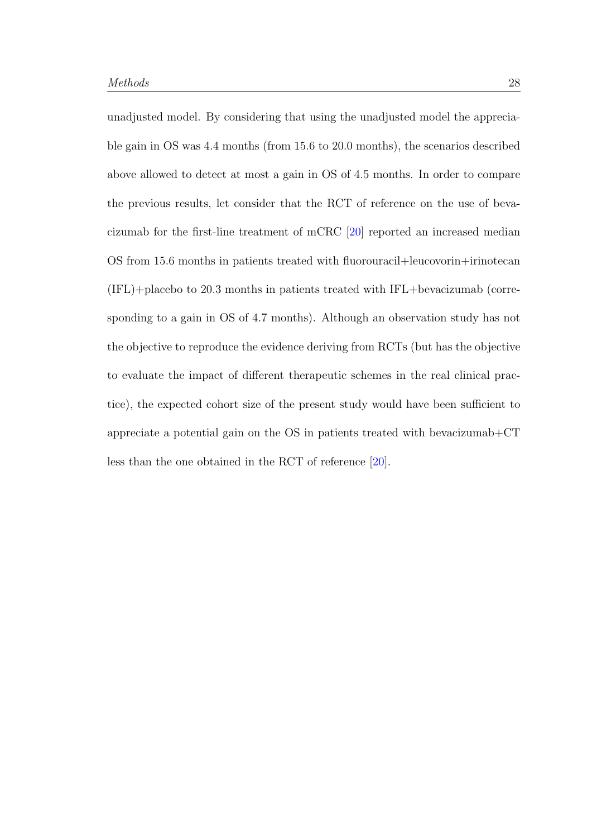unadjusted model. By considering that using the unadjusted model the appreciable gain in OS was 4.4 months (from 15.6 to 20.0 months), the scenarios described above allowed to detect at most a gain in OS of 4.5 months. In order to compare the previous results, let consider that the RCT of reference on the use of bevacizumab for the first-line treatment of mCRC [\[20\]](#page-89-0) reported an increased median OS from 15.6 months in patients treated with fluorouracil+leucovorin+irinotecan (IFL)+placebo to 20.3 months in patients treated with IFL+bevacizumab (corresponding to a gain in OS of 4.7 months). Although an observation study has not the objective to reproduce the evidence deriving from RCTs (but has the objective to evaluate the impact of different therapeutic schemes in the real clinical practice), the expected cohort size of the present study would have been sufficient to appreciate a potential gain on the OS in patients treated with bevacizumab+CT less than the one obtained in the RCT of reference [\[20\]](#page-89-0).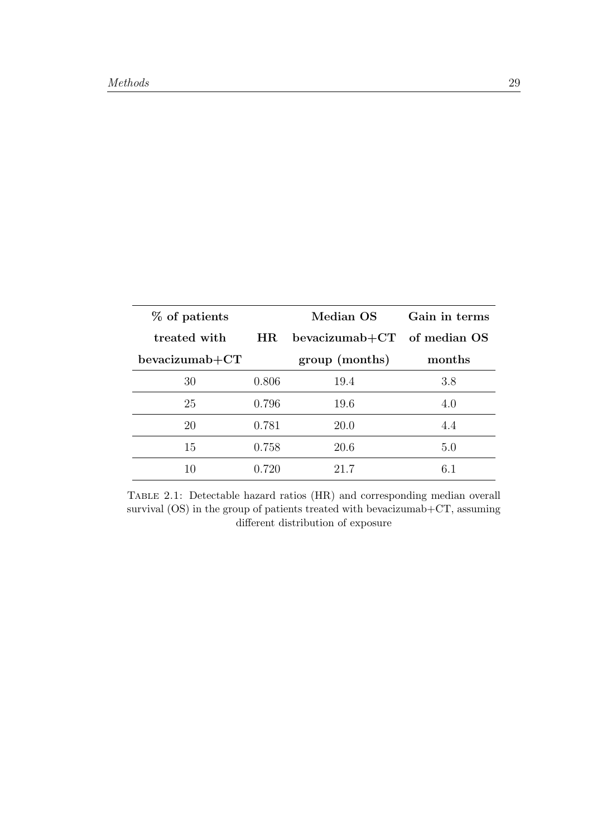<span id="page-38-0"></span>

| % of patients  |       | Median OS        | Gain in terms |
|----------------|-------|------------------|---------------|
| treated with   | HR    | $bevacizumab+CT$ | of median OS  |
| bevacizumab+CT |       | group (months)   | months        |
| 30             | 0.806 | 19.4             | 3.8           |
| 25             | 0.796 | 19.6             | 4.0           |
| 20             | 0.781 | 20.0             | 4.4           |
| 15             | 0.758 | 20.6             | 5.0           |
| 10             | 0.720 | 21.7             | 6 1           |

Table 2.1: Detectable hazard ratios (HR) and corresponding median overall survival (OS) in the group of patients treated with bevacizumab+CT, assuming different distribution of exposure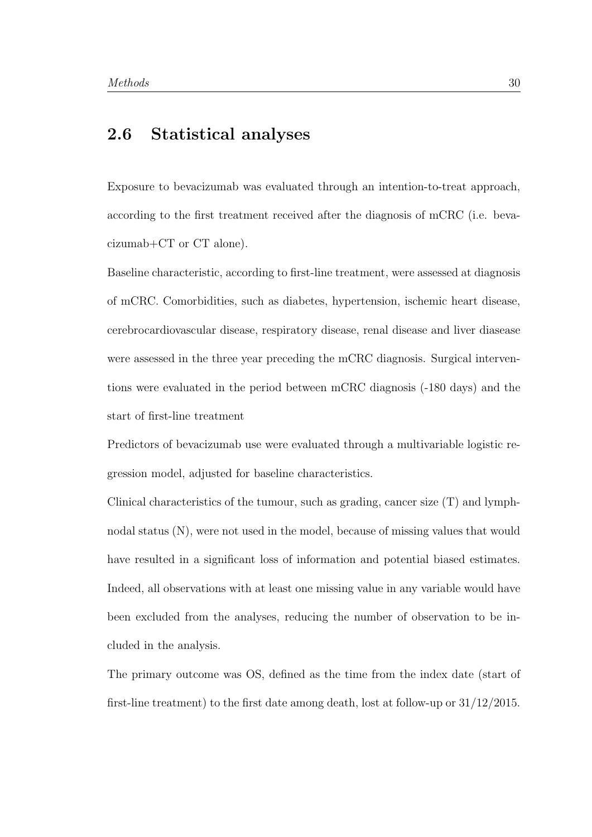## 2.6 Statistical analyses

Exposure to bevacizumab was evaluated through an intention-to-treat approach, according to the first treatment received after the diagnosis of mCRC (i.e. bevacizumab+CT or CT alone).

Baseline characteristic, according to first-line treatment, were assessed at diagnosis of mCRC. Comorbidities, such as diabetes, hypertension, ischemic heart disease, cerebrocardiovascular disease, respiratory disease, renal disease and liver diasease were assessed in the three year preceding the mCRC diagnosis. Surgical interventions were evaluated in the period between mCRC diagnosis (-180 days) and the start of first-line treatment

Predictors of bevacizumab use were evaluated through a multivariable logistic regression model, adjusted for baseline characteristics.

Clinical characteristics of the tumour, such as grading, cancer size (T) and lymphnodal status (N), were not used in the model, because of missing values that would have resulted in a significant loss of information and potential biased estimates. Indeed, all observations with at least one missing value in any variable would have been excluded from the analyses, reducing the number of observation to be included in the analysis.

The primary outcome was OS, defined as the time from the index date (start of first-line treatment) to the first date among death, lost at follow-up or 31/12/2015.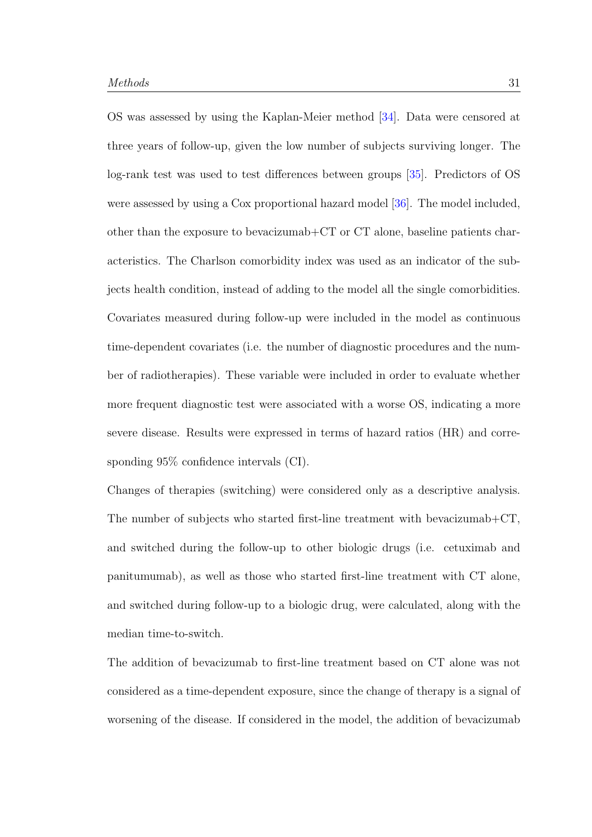OS was assessed by using the Kaplan-Meier method [\[34\]](#page-91-1). Data were censored at three years of follow-up, given the low number of subjects surviving longer. The log-rank test was used to test differences between groups [\[35\]](#page-91-2). Predictors of OS were assessed by using a Cox proportional hazard model [\[36\]](#page-91-3). The model included, other than the exposure to bevacizumab+CT or CT alone, baseline patients characteristics. The Charlson comorbidity index was used as an indicator of the subjects health condition, instead of adding to the model all the single comorbidities. Covariates measured during follow-up were included in the model as continuous time-dependent covariates (i.e. the number of diagnostic procedures and the number of radiotherapies). These variable were included in order to evaluate whether more frequent diagnostic test were associated with a worse OS, indicating a more severe disease. Results were expressed in terms of hazard ratios (HR) and corresponding 95% confidence intervals (CI).

Changes of therapies (switching) were considered only as a descriptive analysis. The number of subjects who started first-line treatment with bevacizumab+CT, and switched during the follow-up to other biologic drugs (i.e. cetuximab and panitumumab), as well as those who started first-line treatment with CT alone, and switched during follow-up to a biologic drug, were calculated, along with the median time-to-switch.

The addition of bevacizumab to first-line treatment based on CT alone was not considered as a time-dependent exposure, since the change of therapy is a signal of worsening of the disease. If considered in the model, the addition of bevacizumab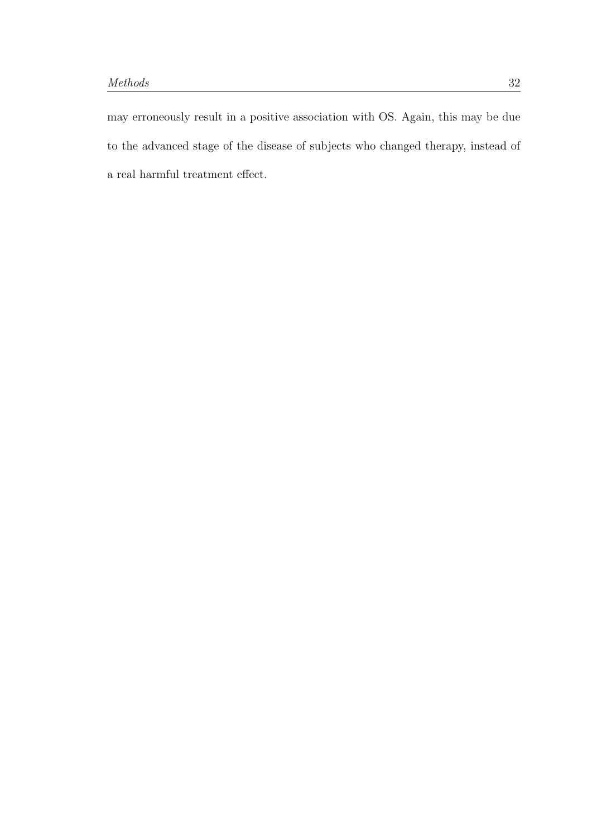may erroneously result in a positive association with OS. Again, this may be due to the advanced stage of the disease of subjects who changed therapy, instead of a real harmful treatment effect.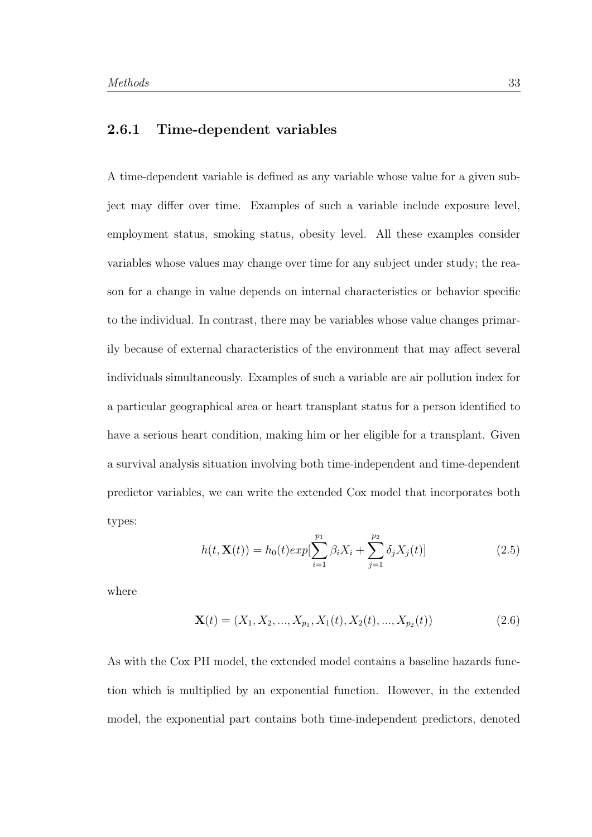## 2.6.1 Time-dependent variables

A time-dependent variable is defined as any variable whose value for a given subject may differ over time. Examples of such a variable include exposure level, employment status, smoking status, obesity level. All these examples consider variables whose values may change over time for any subject under study; the reason for a change in value depends on internal characteristics or behavior specific to the individual. In contrast, there may be variables whose value changes primarily because of external characteristics of the environment that may affect several individuals simultaneously. Examples of such a variable are air pollution index for a particular geographical area or heart transplant status for a person identified to have a serious heart condition, making him or her eligible for a transplant. Given a survival analysis situation involving both time-independent and time-dependent predictor variables, we can write the extended Cox model that incorporates both types:

$$
h(t, \mathbf{X}(t)) = h_0(t) exp[\sum_{i=1}^{p_1} \beta_i X_i + \sum_{j=1}^{p_2} \delta_j X_j(t)]
$$
\n(2.5)

where

$$
\mathbf{X}(t) = (X_1, X_2, \dots, X_{p_1}, X_1(t), X_2(t), \dots, X_{p_2}(t))
$$
\n(2.6)

As with the Cox PH model, the extended model contains a baseline hazards function which is multiplied by an exponential function. However, in the extended model, the exponential part contains both time-independent predictors, denoted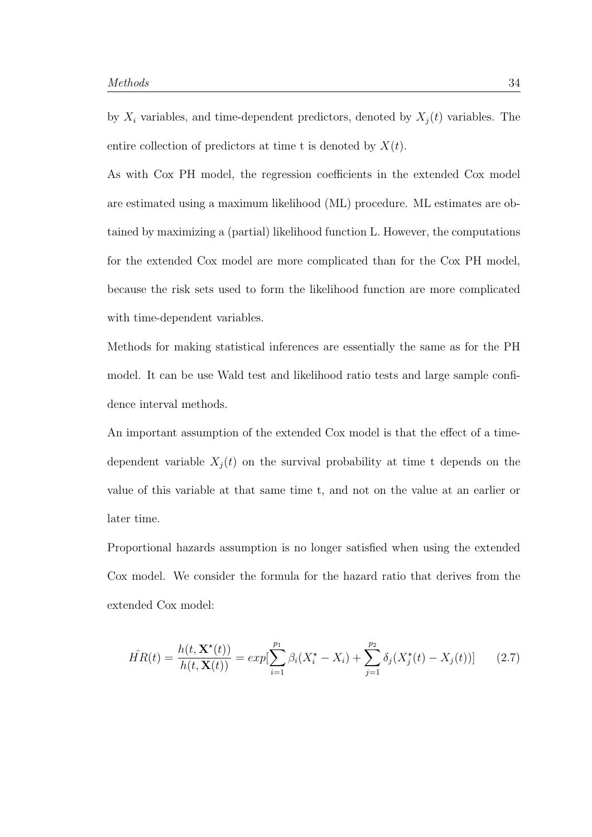by  $X_i$  variables, and time-dependent predictors, denoted by  $X_j(t)$  variables. The entire collection of predictors at time t is denoted by  $X(t)$ .

As with Cox PH model, the regression coefficients in the extended Cox model are estimated using a maximum likelihood (ML) procedure. ML estimates are obtained by maximizing a (partial) likelihood function L. However, the computations for the extended Cox model are more complicated than for the Cox PH model, because the risk sets used to form the likelihood function are more complicated with time-dependent variables.

Methods for making statistical inferences are essentially the same as for the PH model. It can be use Wald test and likelihood ratio tests and large sample confidence interval methods.

An important assumption of the extended Cox model is that the effect of a timedependent variable  $X_j(t)$  on the survival probability at time t depends on the value of this variable at that same time t, and not on the value at an earlier or later time.

Proportional hazards assumption is no longer satisfied when using the extended Cox model. We consider the formula for the hazard ratio that derives from the extended Cox model:

$$
\hat{HR}(t) = \frac{h(t, \mathbf{X}^*(t))}{h(t, \mathbf{X}(t))} = exp[\sum_{i=1}^{p_1} \beta_i (X_i^* - X_i) + \sum_{j=1}^{p_2} \delta_j (X_j^*(t) - X_j(t))]
$$
(2.7)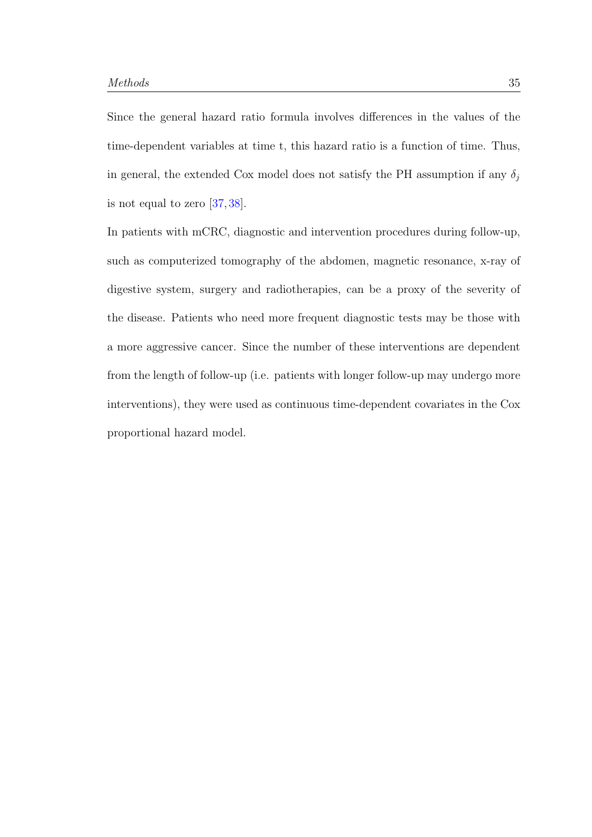Since the general hazard ratio formula involves differences in the values of the time-dependent variables at time t, this hazard ratio is a function of time. Thus, in general, the extended Cox model does not satisfy the PH assumption if any  $\delta_j$ is not equal to zero [\[37,](#page-91-4) [38\]](#page-91-5).

In patients with mCRC, diagnostic and intervention procedures during follow-up, such as computerized tomography of the abdomen, magnetic resonance, x-ray of digestive system, surgery and radiotherapies, can be a proxy of the severity of the disease. Patients who need more frequent diagnostic tests may be those with a more aggressive cancer. Since the number of these interventions are dependent from the length of follow-up (i.e. patients with longer follow-up may undergo more interventions), they were used as continuous time-dependent covariates in the Cox proportional hazard model.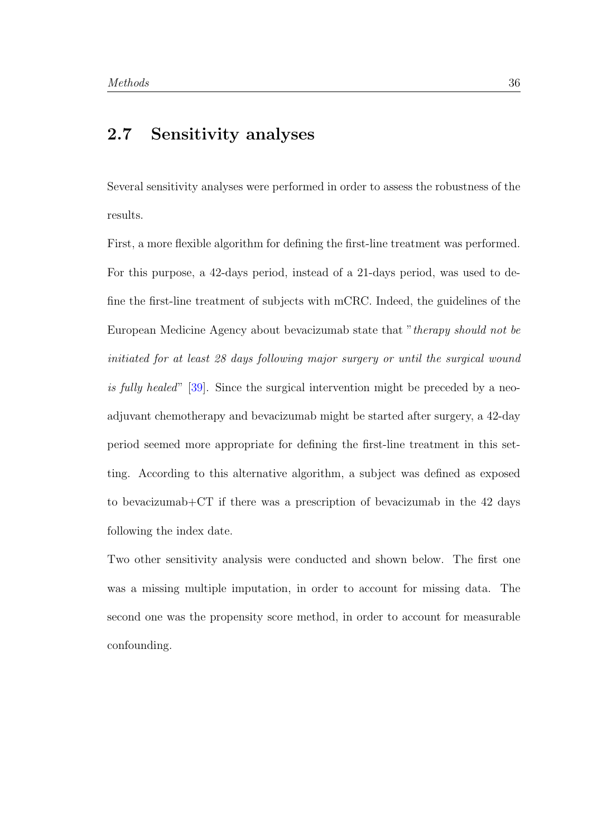## 2.7 Sensitivity analyses

Several sensitivity analyses were performed in order to assess the robustness of the results.

First, a more flexible algorithm for defining the first-line treatment was performed. For this purpose, a 42-days period, instead of a 21-days period, was used to define the first-line treatment of subjects with mCRC. Indeed, the guidelines of the European Medicine Agency about bevacizumab state that "therapy should not be initiated for at least 28 days following major surgery or until the surgical wound is fully healed" [\[39\]](#page-91-6). Since the surgical intervention might be preceded by a neoadjuvant chemotherapy and bevacizumab might be started after surgery, a 42-day period seemed more appropriate for defining the first-line treatment in this setting. According to this alternative algorithm, a subject was defined as exposed to bevacizumab $+CT$  if there was a prescription of bevacizumab in the 42 days following the index date.

Two other sensitivity analysis were conducted and shown below. The first one was a missing multiple imputation, in order to account for missing data. The second one was the propensity score method, in order to account for measurable confounding.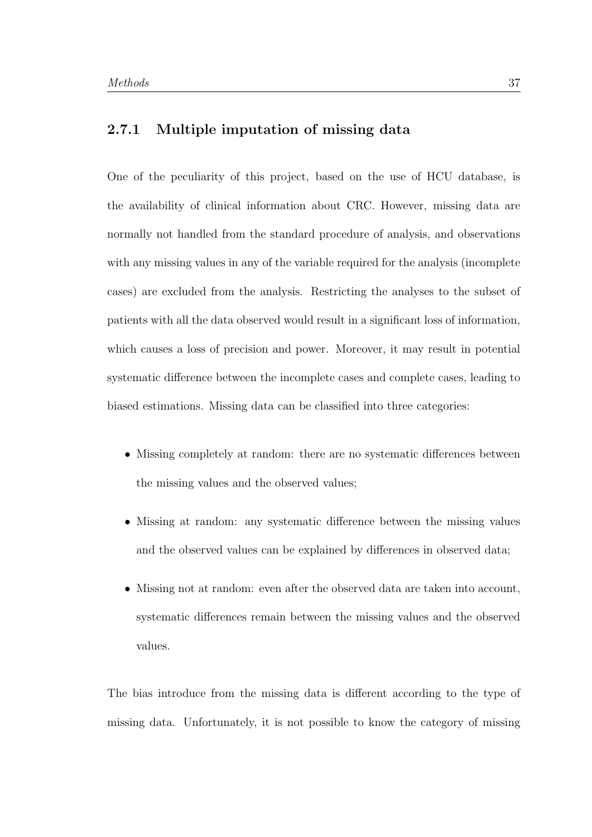## 2.7.1 Multiple imputation of missing data

One of the peculiarity of this project, based on the use of HCU database, is the availability of clinical information about CRC. However, missing data are normally not handled from the standard procedure of analysis, and observations with any missing values in any of the variable required for the analysis (incomplete cases) are excluded from the analysis. Restricting the analyses to the subset of patients with all the data observed would result in a significant loss of information, which causes a loss of precision and power. Moreover, it may result in potential systematic difference between the incomplete cases and complete cases, leading to biased estimations. Missing data can be classified into three categories:

- Missing completely at random: there are no systematic differences between the missing values and the observed values;
- Missing at random: any systematic difference between the missing values and the observed values can be explained by differences in observed data;
- Missing not at random: even after the observed data are taken into account, systematic differences remain between the missing values and the observed values.

The bias introduce from the missing data is different according to the type of missing data. Unfortunately, it is not possible to know the category of missing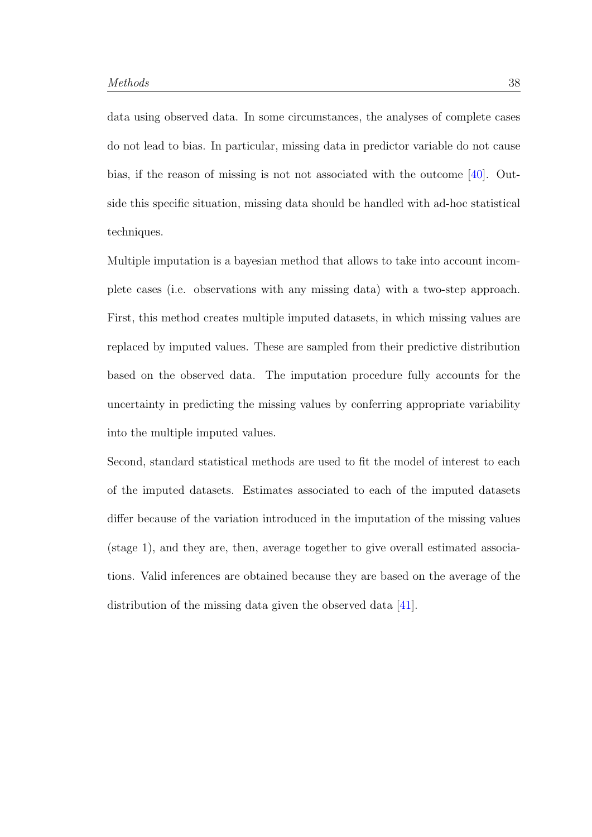data using observed data. In some circumstances, the analyses of complete cases do not lead to bias. In particular, missing data in predictor variable do not cause bias, if the reason of missing is not not associated with the outcome [\[40\]](#page-91-7). Outside this specific situation, missing data should be handled with ad-hoc statistical techniques.

Multiple imputation is a bayesian method that allows to take into account incomplete cases (i.e. observations with any missing data) with a two-step approach. First, this method creates multiple imputed datasets, in which missing values are replaced by imputed values. These are sampled from their predictive distribution based on the observed data. The imputation procedure fully accounts for the uncertainty in predicting the missing values by conferring appropriate variability into the multiple imputed values.

Second, standard statistical methods are used to fit the model of interest to each of the imputed datasets. Estimates associated to each of the imputed datasets differ because of the variation introduced in the imputation of the missing values (stage 1), and they are, then, average together to give overall estimated associations. Valid inferences are obtained because they are based on the average of the distribution of the missing data given the observed data [\[41\]](#page-92-0).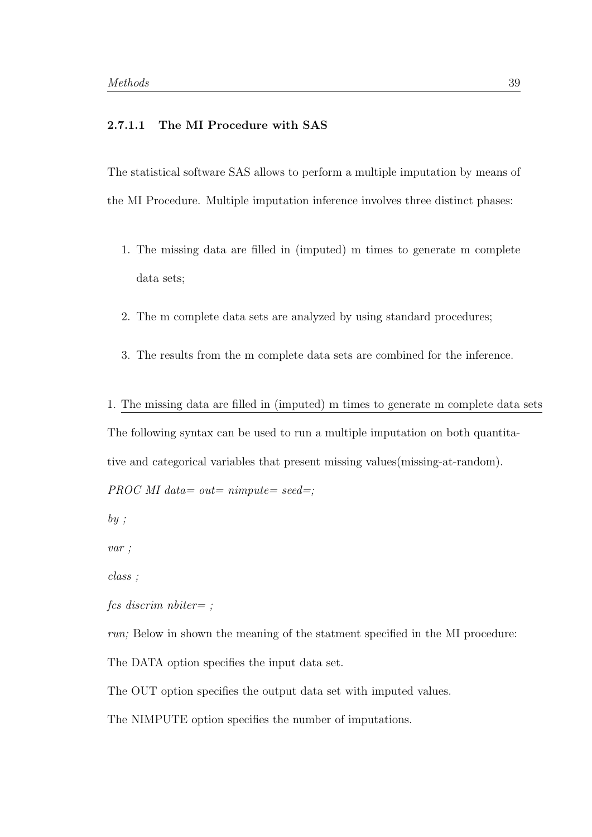### 2.7.1.1 The MI Procedure with SAS

The statistical software SAS allows to perform a multiple imputation by means of the MI Procedure. Multiple imputation inference involves three distinct phases:

- 1. The missing data are filled in (imputed) m times to generate m complete data sets;
- 2. The m complete data sets are analyzed by using standard procedures;
- 3. The results from the m complete data sets are combined for the inference.
- 1. The missing data are filled in (imputed) m times to generate m complete data sets The following syntax can be used to run a multiple imputation on both quantitative and categorical variables that present missing values(missing-at-random).

PROC MI data= out=  $nimpute=seed=$ ;

 $by;$ 

var ;

class ;

fcs discrim nbiter= ;

run; Below in shown the meaning of the statment specified in the MI procedure:

The DATA option specifies the input data set.

The OUT option specifies the output data set with imputed values.

The NIMPUTE option specifies the number of imputations.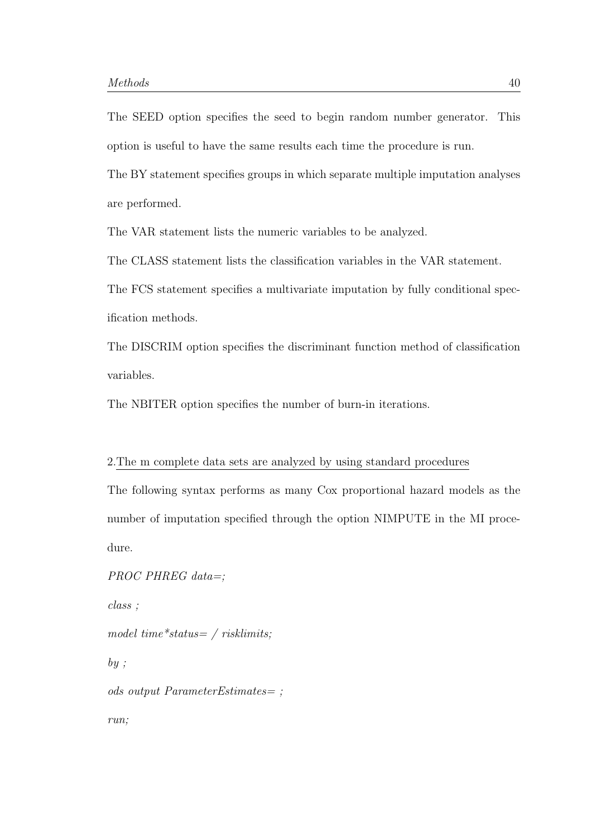The SEED option specifies the seed to begin random number generator. This option is useful to have the same results each time the procedure is run.

The BY statement specifies groups in which separate multiple imputation analyses are performed.

The VAR statement lists the numeric variables to be analyzed.

The CLASS statement lists the classification variables in the VAR statement.

The FCS statement specifies a multivariate imputation by fully conditional specification methods.

The DISCRIM option specifies the discriminant function method of classification variables.

The NBITER option specifies the number of burn-in iterations.

#### 2.The m complete data sets are analyzed by using standard procedures

The following syntax performs as many Cox proportional hazard models as the number of imputation specified through the option NIMPUTE in the MI procedure.

PROC PHREG data=; class ; model time\*status=  $\frac{ }{$  risklimits;  $by;$ ods output ParameterEstimates= ; run;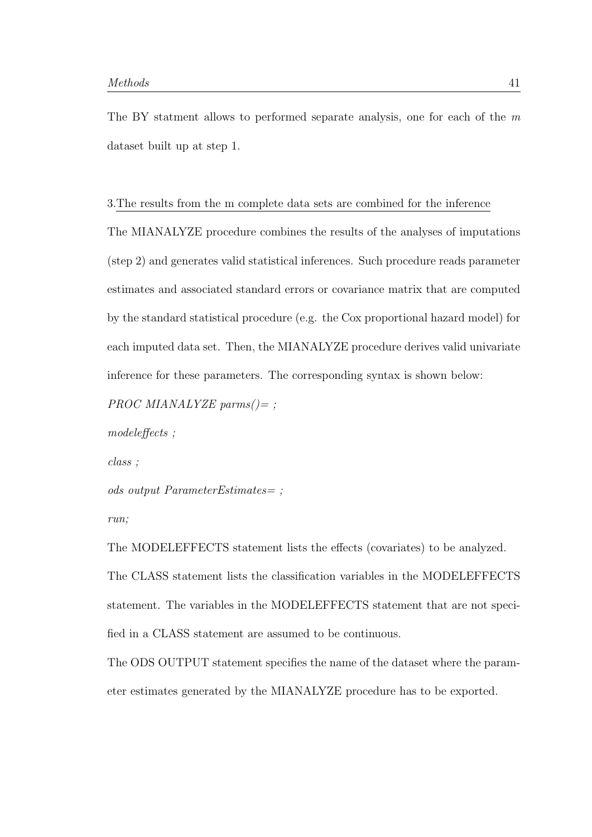The BY statment allows to performed separate analysis, one for each of the m dataset built up at step 1.

#### 3.The results from the m complete data sets are combined for the inference

The MIANALYZE procedure combines the results of the analyses of imputations (step 2) and generates valid statistical inferences. Such procedure reads parameter estimates and associated standard errors or covariance matrix that are computed by the standard statistical procedure (e.g. the Cox proportional hazard model) for each imputed data set. Then, the MIANALYZE procedure derives valid univariate inference for these parameters. The corresponding syntax is shown below:

PROC MIANALYZE parms $() = ;$ 

modeleffects ;

class ;

```
ods output ParameterEstimates= ;
```
run;

The MODELEFFECTS statement lists the effects (covariates) to be analyzed. The CLASS statement lists the classification variables in the MODELEFFECTS statement. The variables in the MODELEFFECTS statement that are not specified in a CLASS statement are assumed to be continuous.

The ODS OUTPUT statement specifies the name of the dataset where the parameter estimates generated by the MIANALYZE procedure has to be exported.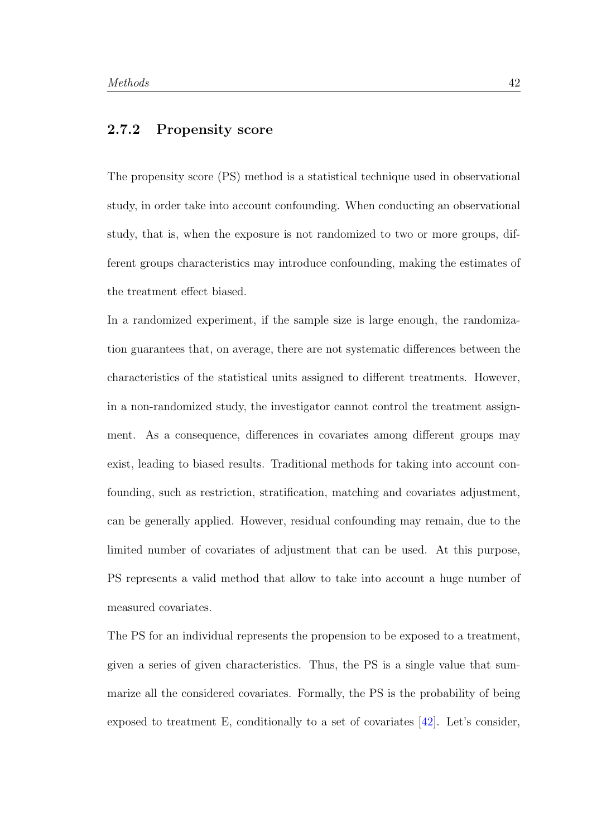### 2.7.2 Propensity score

The propensity score (PS) method is a statistical technique used in observational study, in order take into account confounding. When conducting an observational study, that is, when the exposure is not randomized to two or more groups, different groups characteristics may introduce confounding, making the estimates of the treatment effect biased.

In a randomized experiment, if the sample size is large enough, the randomization guarantees that, on average, there are not systematic differences between the characteristics of the statistical units assigned to different treatments. However, in a non-randomized study, the investigator cannot control the treatment assignment. As a consequence, differences in covariates among different groups may exist, leading to biased results. Traditional methods for taking into account confounding, such as restriction, stratification, matching and covariates adjustment, can be generally applied. However, residual confounding may remain, due to the limited number of covariates of adjustment that can be used. At this purpose, PS represents a valid method that allow to take into account a huge number of measured covariates.

The PS for an individual represents the propension to be exposed to a treatment, given a series of given characteristics. Thus, the PS is a single value that summarize all the considered covariates. Formally, the PS is the probability of being exposed to treatment E, conditionally to a set of covariates [\[42\]](#page-92-1). Let's consider,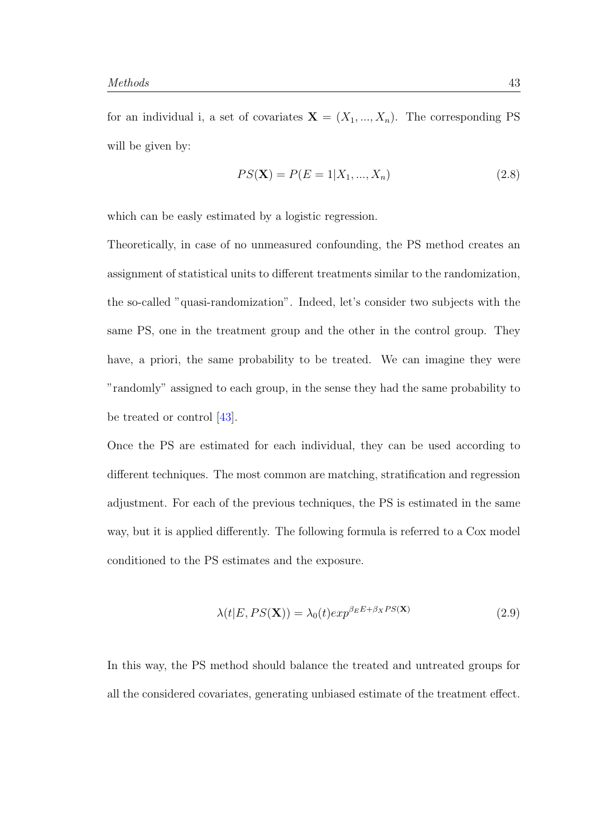for an individual i, a set of covariates  $X = (X_1, ..., X_n)$ . The corresponding PS will be given by:

$$
PS(\mathbf{X}) = P(E = 1 | X_1, ..., X_n)
$$
\n(2.8)

which can be easly estimated by a logistic regression.

Theoretically, in case of no unmeasured confounding, the PS method creates an assignment of statistical units to different treatments similar to the randomization, the so-called "quasi-randomization". Indeed, let's consider two subjects with the same PS, one in the treatment group and the other in the control group. They have, a priori, the same probability to be treated. We can imagine they were "randomly" assigned to each group, in the sense they had the same probability to be treated or control [\[43\]](#page-92-2).

Once the PS are estimated for each individual, they can be used according to different techniques. The most common are matching, stratification and regression adjustment. For each of the previous techniques, the PS is estimated in the same way, but it is applied differently. The following formula is referred to a Cox model conditioned to the PS estimates and the exposure.

$$
\lambda(t|E, PS(\mathbf{X})) = \lambda_0(t) exp^{\beta_E E + \beta_X PS(\mathbf{X})}
$$
\n(2.9)

In this way, the PS method should balance the treated and untreated groups for all the considered covariates, generating unbiased estimate of the treatment effect.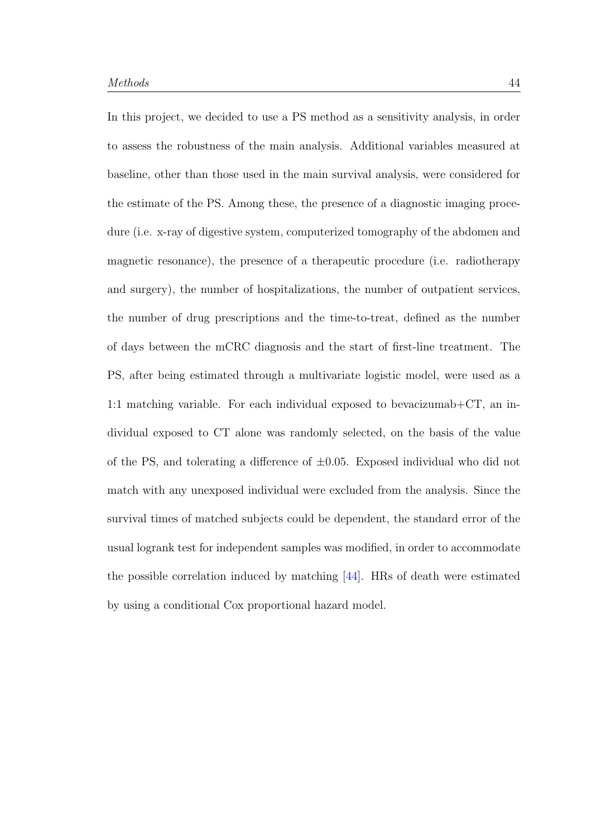In this project, we decided to use a PS method as a sensitivity analysis, in order to assess the robustness of the main analysis. Additional variables measured at baseline, other than those used in the main survival analysis, were considered for the estimate of the PS. Among these, the presence of a diagnostic imaging procedure (i.e. x-ray of digestive system, computerized tomography of the abdomen and magnetic resonance), the presence of a therapeutic procedure (i.e. radiotherapy and surgery), the number of hospitalizations, the number of outpatient services, the number of drug prescriptions and the time-to-treat, defined as the number of days between the mCRC diagnosis and the start of first-line treatment. The PS, after being estimated through a multivariate logistic model, were used as a 1:1 matching variable. For each individual exposed to bevacizumab+CT, an individual exposed to CT alone was randomly selected, on the basis of the value of the PS, and tolerating a difference of  $\pm 0.05$ . Exposed individual who did not match with any unexposed individual were excluded from the analysis. Since the survival times of matched subjects could be dependent, the standard error of the usual logrank test for independent samples was modified, in order to accommodate the possible correlation induced by matching [\[44\]](#page-92-3). HRs of death were estimated by using a conditional Cox proportional hazard model.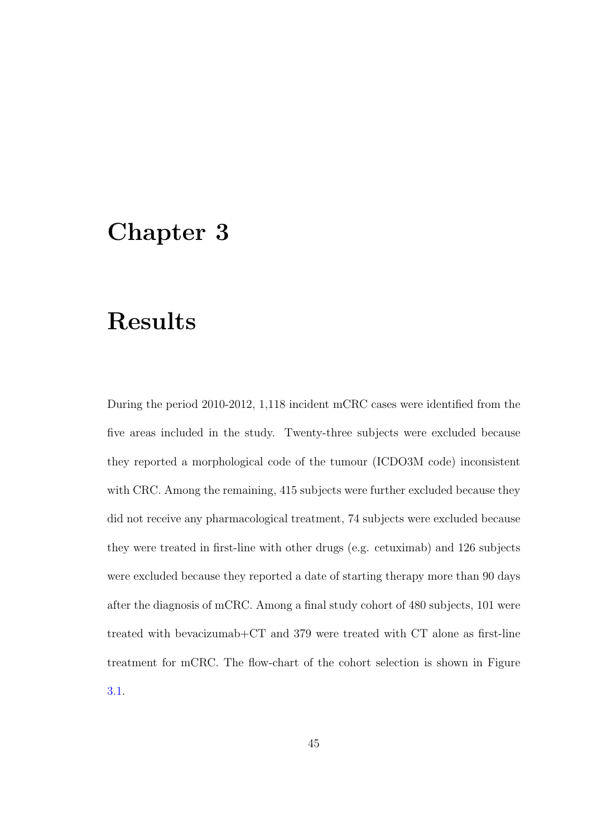# Chapter 3

# Results

During the period 2010-2012, 1,118 incident mCRC cases were identified from the five areas included in the study. Twenty-three subjects were excluded because they reported a morphological code of the tumour (ICDO3M code) inconsistent with CRC. Among the remaining, 415 subjects were further excluded because they did not receive any pharmacological treatment, 74 subjects were excluded because they were treated in first-line with other drugs (e.g. cetuximab) and 126 subjects were excluded because they reported a date of starting therapy more than 90 days after the diagnosis of mCRC. Among a final study cohort of 480 subjects, 101 were treated with bevacizumab+CT and 379 were treated with CT alone as first-line treatment for mCRC. The flow-chart of the cohort selection is shown in Figure [3.1.](#page-55-0)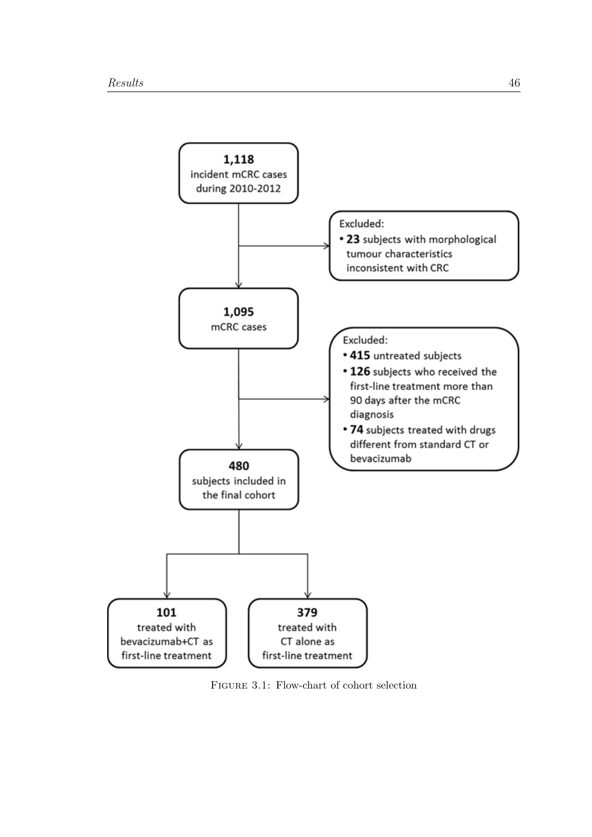<span id="page-55-0"></span>

Figure 3.1: Flow-chart of cohort selection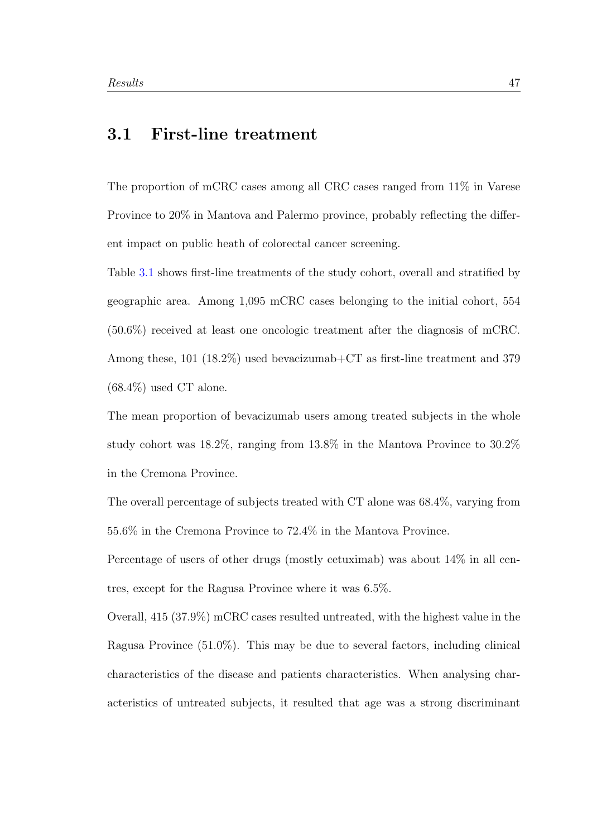## 3.1 First-line treatment

The proportion of mCRC cases among all CRC cases ranged from 11% in Varese Province to 20% in Mantova and Palermo province, probably reflecting the different impact on public heath of colorectal cancer screening.

Table [3.1](#page-58-0) shows first-line treatments of the study cohort, overall and stratified by geographic area. Among 1,095 mCRC cases belonging to the initial cohort, 554 (50.6%) received at least one oncologic treatment after the diagnosis of mCRC. Among these, 101 (18.2%) used bevacizumab+CT as first-line treatment and 379  $(68.4\%)$  used CT alone.

The mean proportion of bevacizumab users among treated subjects in the whole study cohort was 18.2%, ranging from 13.8% in the Mantova Province to 30.2% in the Cremona Province.

The overall percentage of subjects treated with CT alone was 68.4%, varying from 55.6% in the Cremona Province to 72.4% in the Mantova Province.

Percentage of users of other drugs (mostly cetuximab) was about 14% in all centres, except for the Ragusa Province where it was 6.5%.

Overall, 415 (37.9%) mCRC cases resulted untreated, with the highest value in the Ragusa Province (51.0%). This may be due to several factors, including clinical characteristics of the disease and patients characteristics. When analysing characteristics of untreated subjects, it resulted that age was a strong discriminant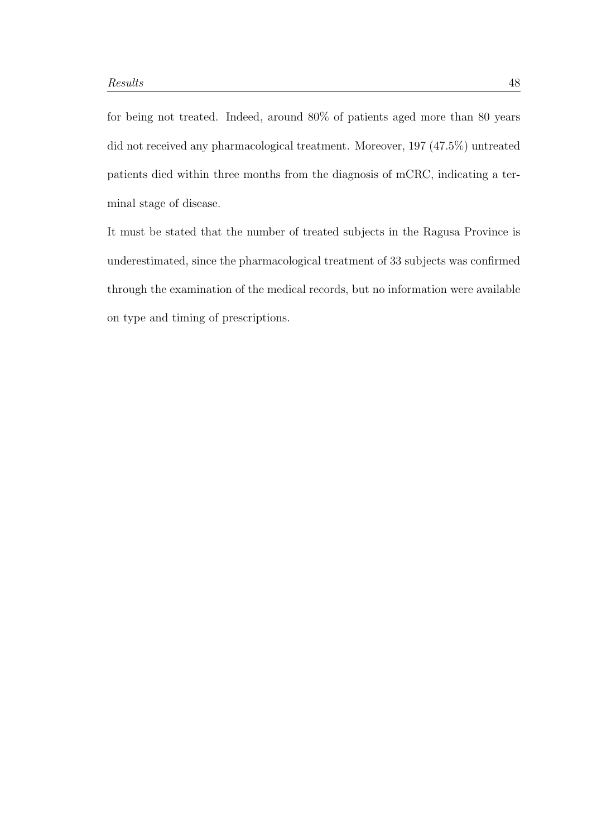for being not treated. Indeed, around 80% of patients aged more than 80 years did not received any pharmacological treatment. Moreover, 197 (47.5%) untreated patients died within three months from the diagnosis of mCRC, indicating a terminal stage of disease.

It must be stated that the number of treated subjects in the Ragusa Province is underestimated, since the pharmacological treatment of 33 subjects was confirmed through the examination of the medical records, but no information were available on type and timing of prescriptions.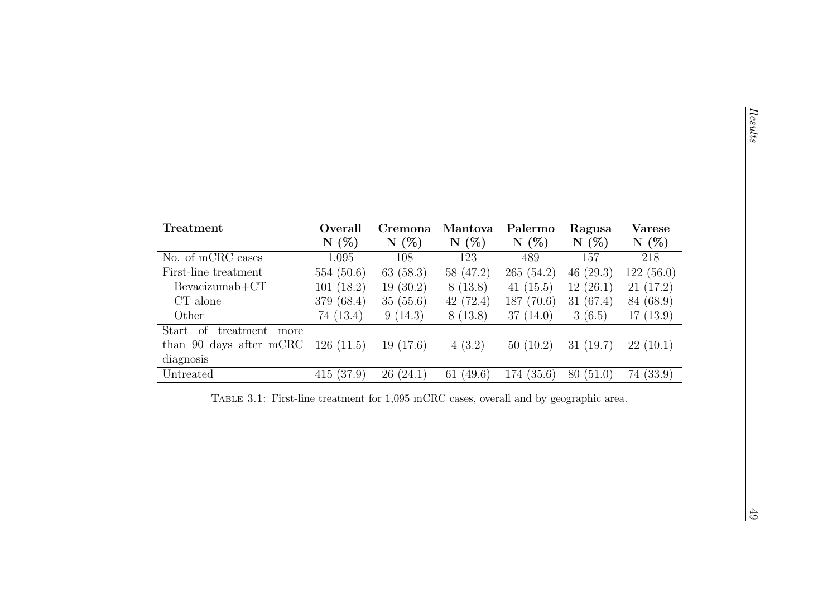<span id="page-58-0"></span>

| Treatment                                                                             | Overall    | Cremona  | Mantova     | Palermo     | Ragusa      | <b>Varese</b> |
|---------------------------------------------------------------------------------------|------------|----------|-------------|-------------|-------------|---------------|
|                                                                                       | N(%)       | N(%)     | N(%)        | N(%)        | N(%)        | N(%)          |
| No. of mCRC cases                                                                     | 1,095      | 108      | 123         | 489         | 157         | 218           |
| First-line treatment                                                                  | 554(50.6)  | 63(58.3) | 58 (47.2)   | 265(54.2)   | 46 $(29.3)$ | 122(56.0)     |
| $Bevacizumab+CT$                                                                      | 101(18.2)  | 19(30.2) | 8(13.8)     | 41 $(15.5)$ | 12(26.1)    | 21(17.2)      |
| CT alone                                                                              | 379 (68.4) | 35(55.6) | 42(72.4)    | 187(70.6)   | 31(67.4)    | 84 (68.9)     |
| Other                                                                                 | 74 (13.4)  | 9(14.3)  | 8(13.8)     | 37(14.0)    | 3(6.5)      | 17(13.9)      |
| Start of treatment<br>more                                                            |            |          |             |             |             |               |
| than 90 days after mCRC                                                               | 126(11.5)  | 19(17.6) | 4(3.2)      | 50(10.2)    | 31(19.7)    | 22(10.1)      |
| diagnosis                                                                             |            |          |             |             |             |               |
| Untreated                                                                             | 415(37.9)  | 26(24.1) | 61 $(49.6)$ | 174(35.6)   | 80(51.0)    | 74(33.9)      |
| TABLE 3.1: First-line treatment for 1,095 mCRC cases, overall and by geographic area. |            |          |             |             |             |               |
|                                                                                       |            |          |             |             |             |               |
|                                                                                       |            |          |             |             |             |               |
|                                                                                       |            |          |             |             |             |               |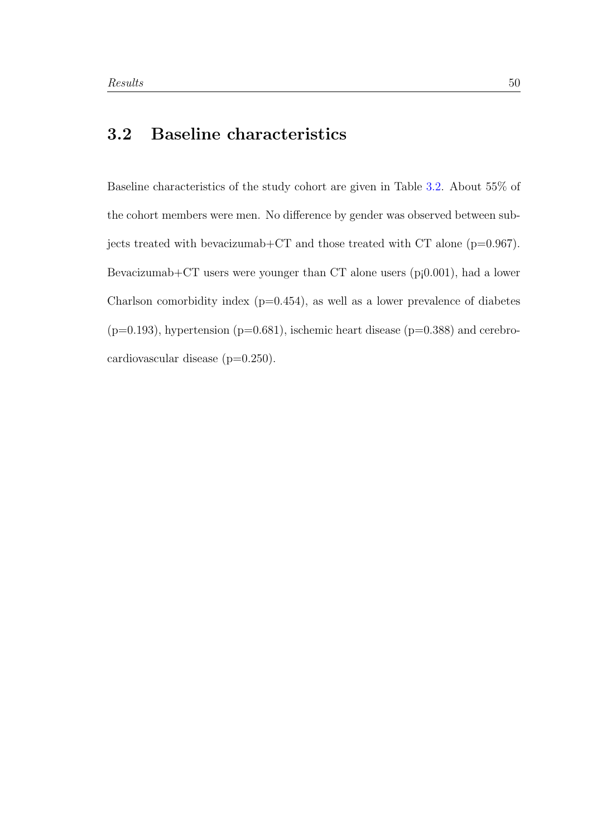# 3.2 Baseline characteristics

Baseline characteristics of the study cohort are given in Table [3.2.](#page-60-0) About 55% of the cohort members were men. No difference by gender was observed between subjects treated with bevacizumab+CT and those treated with CT alone (p=0.967). Bevacizumab+CT users were younger than CT alone users (p¡0.001), had a lower Charlson comorbidity index  $(p=0.454)$ , as well as a lower prevalence of diabetes  $(p=0.193)$ , hypertension  $(p=0.681)$ , ischemic heart disease  $(p=0.388)$  and cerebrocardiovascular disease (p=0.250).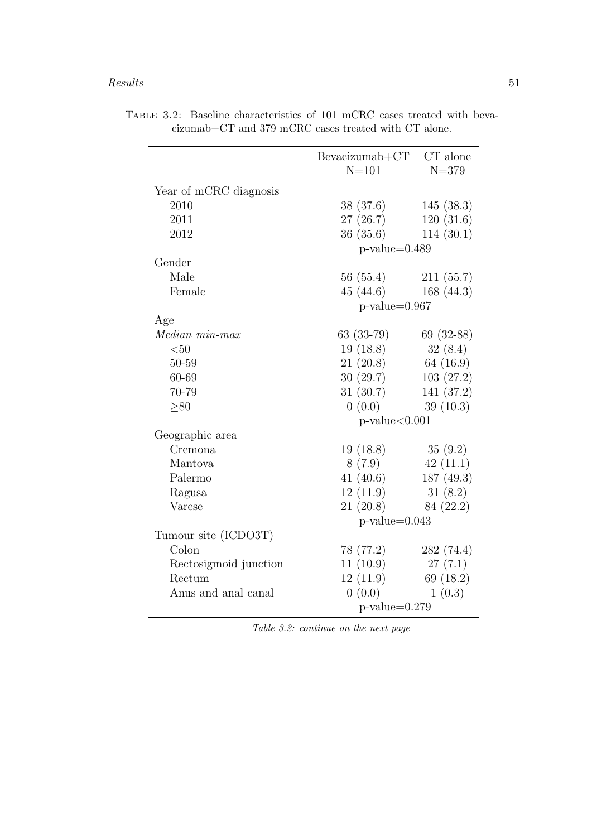|                          | $Bevacizumab+CT$     | CT alone    |
|--------------------------|----------------------|-------------|
|                          | $N = 101$            | $N = 379$   |
| Year of mCRC diagnosis   |                      |             |
| 2010                     | 38 (37.6)            | 145(38.3)   |
| 2011                     | 27(26.7)             | 120(31.6)   |
| 2012                     | 36 (35.6)            | 114(30.1)   |
|                          | $p$ -value=0.489     |             |
| Gender                   |                      |             |
| Male                     | 56 (55.4)            | 211(55.7)   |
| Female                   | 45(44.6)             | 168 (44.3)  |
|                          | $p-value=0.967$      |             |
| Age                      |                      |             |
| $Median\ min\text{-}max$ | $63(33-79)$          | $69(32-88)$ |
| $50$                     | 19(18.8)             | 32(8.4)     |
| 50-59                    | 21(20.8)             | 64 (16.9)   |
| 60-69                    | 30(29.7)             | 103(27.2)   |
| 70-79                    | 31 (30.7)            | 141 (37.2)  |
| > 80                     | 0(0.0)               | 39(10.3)    |
|                          | $p$ -value $< 0.001$ |             |
| Geographic area          |                      |             |
| Cremona                  | 19(18.8)             | 35(9.2)     |
| Mantova                  | 8(7.9)               | 42(11.1)    |
| Palermo                  | 41 $(40.6)$          | 187(49.3)   |
| Ragusa                   | 12(11.9)             | 31(8.2)     |
| Varese                   | 21(20.8)             | 84 (22.2)   |
|                          | $p-value=0.043$      |             |
| Tumour site (ICDO3T)     |                      |             |
| Colon                    | 78 (77.2)            | 282(74.4)   |
| Rectosigmoid junction    | 11(10.9)             | 27(7.1)     |
| Rectum                   | 12(11.9)             | 69 (18.2)   |
| Anus and anal canal      | 0(0.0)               | 1(0.3)      |
|                          | $p$ -value=0.279     |             |

<span id="page-60-0"></span>Table 3.2: Baseline characteristics of 101 mCRC cases treated with bevacizumab+CT and 379 mCRC cases treated with CT alone.

Table 3.2: continue on the next page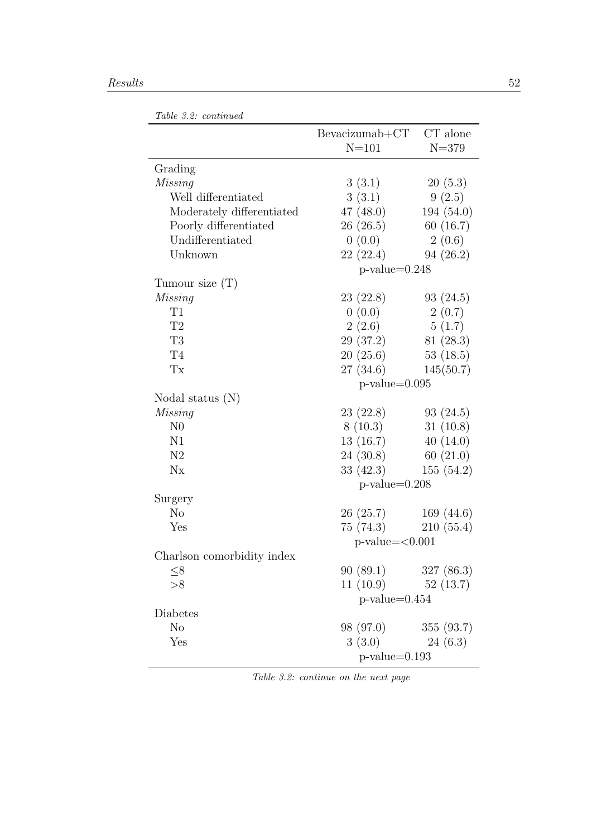|                            | $Bevacizumab+CT$ | CT alone     |
|----------------------------|------------------|--------------|
|                            | $N = 101$        | $N = 379$    |
| Grading                    |                  |              |
| Missing                    | 3(3.1)           | 20(5.3)      |
| Well differentiated        | 3(3.1)           | 9(2.5)       |
| Moderately differentiated  | 47(48.0)         | 194(54.0)    |
| Poorly differentiated      | 26(26.5)         | 60(16.7)     |
| Undifferentiated           | 0(0.0)           | 2(0.6)       |
| Unknown                    | 22(22.4)         | 94(26.2)     |
|                            | $p-value=0.248$  |              |
| Tumour size $(T)$          |                  |              |
| Missing                    | 23(22.8)         | 93(24.5)     |
| T1                         | 0(0.0)           | 2(0.7)       |
| T2                         | 2(2.6)           | 5(1.7)       |
| T <sub>3</sub>             | 29 (37.2)        | 81(28.3)     |
| T <sub>4</sub>             | 20(25.6)         | 53(18.5)     |
| Tx                         | 27(34.6)         | 145(50.7)    |
|                            | $p$ -value=0.095 |              |
| Nodal status $(N)$         |                  |              |
| Missing                    | 23(22.8)         | 93(24.5)     |
| N <sub>0</sub>             | 8(10.3)          | 31(10.8)     |
| N1                         | 13(16.7)         | 40(14.0)     |
| N2                         | 24 (30.8)        | 60(21.0)     |
| $N_{X}$                    | 33(42.3)         | 155(54.2)    |
|                            | $p-value=0.208$  |              |
| Surgery                    |                  |              |
| N <sub>o</sub>             | 26(25.7)         | 169 $(44.6)$ |
| Yes                        | 75 (74.3)        | 210(55.4)    |
|                            | $p-value=<0.001$ |              |
| Charlson comorbidity index |                  |              |
| $\leq$ 8                   | 90(89.1)         | 327(86.3)    |
| >8                         | 11(10.9)         | 52(13.7)     |
|                            | $p$ -value=0.454 |              |
| Diabetes                   |                  |              |
| N <sub>o</sub>             | 98 (97.0)        | 355(93.7)    |
| $_{\rm Yes}$               | 3(3.0)           | 24(6.3)      |
|                            | $p$ -value=0.193 |              |

Table 3.2: continue on the next page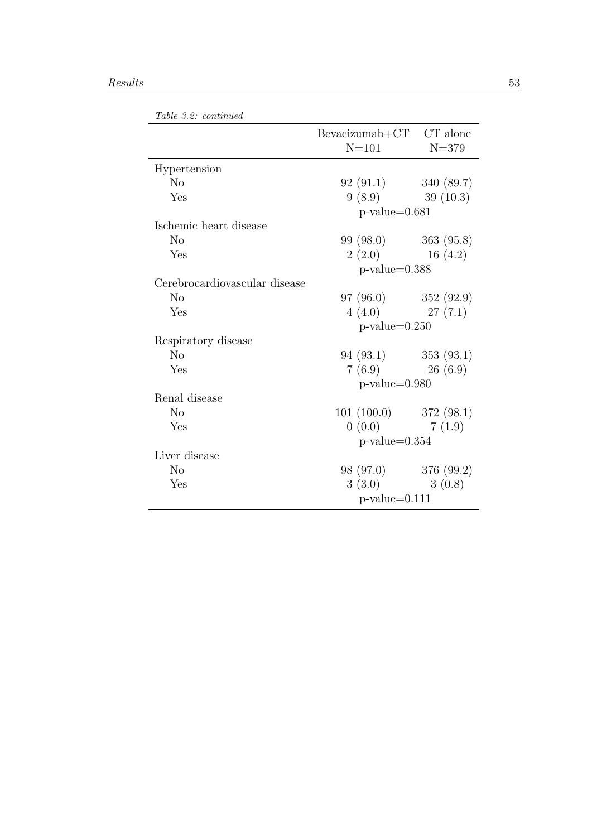|                               | Bevacizumab+CT CT alone<br>$N = 101$ | $N = 379$ |  |  |
|-------------------------------|--------------------------------------|-----------|--|--|
| Hypertension                  |                                      |           |  |  |
| N <sub>o</sub>                | $92(91.1)$ $340(89.7)$               |           |  |  |
| Yes                           | 9(8.9)                               | 39(10.3)  |  |  |
|                               | $p$ -value= $0.681$                  |           |  |  |
| Ischemic heart disease        |                                      |           |  |  |
| N <sub>o</sub>                | $99(98.0)$ $363(95.8)$               |           |  |  |
| Yes                           | 2(2.0)                               | 16(4.2)   |  |  |
|                               | $p$ -value=0.388                     |           |  |  |
| Cerebrocardiovascular disease |                                      |           |  |  |
| N <sub>o</sub>                | $97 (96.0)$ $352 (92.9)$             |           |  |  |
| Yes                           | 4(4.0)                               | 27(7.1)   |  |  |
|                               | $p$ -value=0.250                     |           |  |  |
| Respiratory disease           |                                      |           |  |  |
| No                            | $94(93.1)$ $353(93.1)$               |           |  |  |
| Yes                           | 7(6.9)                               | 26(6.9)   |  |  |
|                               | $p$ -value= $0.980$                  |           |  |  |
| Renal disease                 |                                      |           |  |  |
| N <sub>o</sub>                | $101(100.0)$ $372(98.1)$             |           |  |  |
| Yes                           | 0(0.0)                               | 7(1.9)    |  |  |
|                               | $p$ -value=0.354                     |           |  |  |
| Liver disease                 |                                      |           |  |  |
| N <sub>o</sub>                | 98 (97.0) 376 (99.2)                 |           |  |  |
| Yes                           | 3(3.0)                               | 3(0.8)    |  |  |
|                               | $p$ -value=0.111                     |           |  |  |

Table 3.2: continued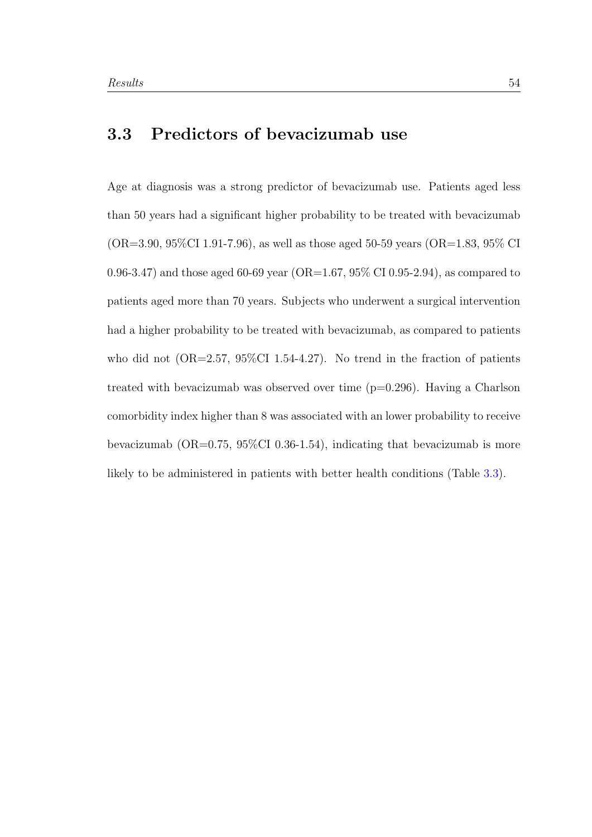## 3.3 Predictors of bevacizumab use

Age at diagnosis was a strong predictor of bevacizumab use. Patients aged less than 50 years had a significant higher probability to be treated with bevacizumab  $(OR=3.90, 95\%CI 1.91-7.96)$ , as well as those aged 50-59 years  $(OR=1.83, 95\% CI$ 0.96-3.47) and those aged 60-69 year (OR=1.67, 95% CI 0.95-2.94), as compared to patients aged more than 70 years. Subjects who underwent a surgical intervention had a higher probability to be treated with bevacizumab, as compared to patients who did not  $(OR=2.57, 95\%CI 1.54-4.27)$ . No trend in the fraction of patients treated with bevacizumab was observed over time (p=0.296). Having a Charlson comorbidity index higher than 8 was associated with an lower probability to receive bevacizumab (OR=0.75, 95%CI 0.36-1.54), indicating that bevacizumab is more likely to be administered in patients with better health conditions (Table [3.3\)](#page-64-0).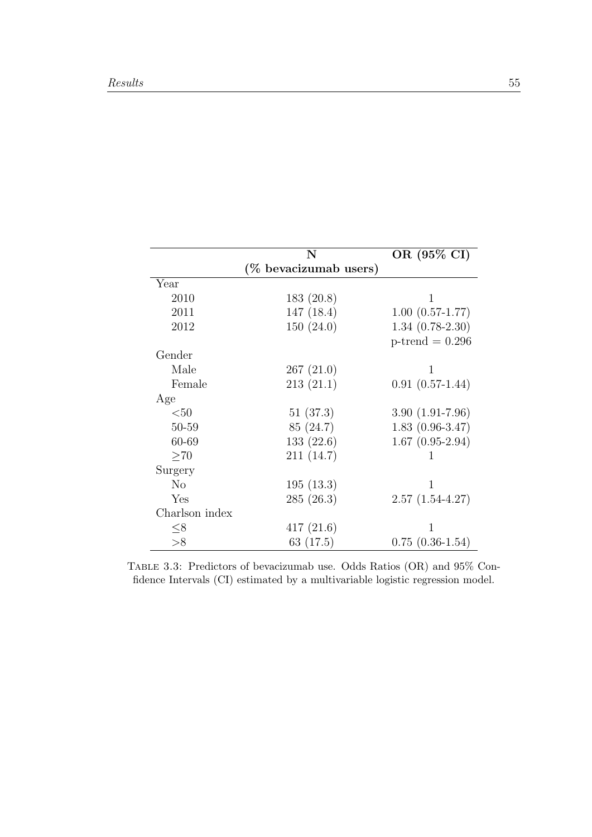<span id="page-64-0"></span>

|                | N                     | OR $(95\% \overline{\text{CI}})$ |
|----------------|-----------------------|----------------------------------|
|                | (% bevacizumab users) |                                  |
| Year           |                       |                                  |
| 2010           | 183(20.8)             | 1                                |
| 2011           | 147(18.4)             | $1.00(0.57-1.77)$                |
| 2012           | 150(24.0)             | $1.34(0.78-2.30)$                |
|                |                       | $p$ -trend = 0.296               |
| Gender         |                       |                                  |
| Male           | 267(21.0)             | 1                                |
| Female         | 213(21.1)             | $0.91(0.57-1.44)$                |
| Age            |                       |                                  |
| $50$           | 51(37.3)              | $3.90(1.91-7.96)$                |
| 50-59          | 85(24.7)              | $1.83(0.96-3.47)$                |
| 60-69          | 133(22.6)             | $1.67(0.95-2.94)$                |
| $\geq 70$      | 211(14.7)             |                                  |
| Surgery        |                       |                                  |
| N <sub>o</sub> | 195(13.3)             | 1                                |
| Yes            | 285(26.3)             | $2.57(1.54-4.27)$                |
| Charlson index |                       |                                  |
| $\leq 8$       | 417(21.6)             | 1                                |
| >8             | 63 $(17.5)$           | $0.75(0.36-1.54)$                |

Table 3.3: Predictors of bevacizumab use. Odds Ratios (OR) and 95% Confidence Intervals (CI) estimated by a multivariable logistic regression model.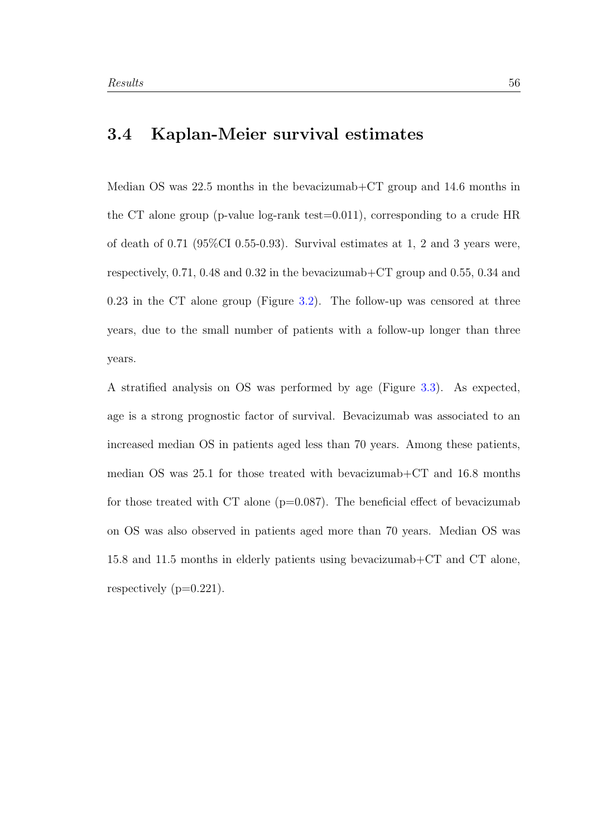## 3.4 Kaplan-Meier survival estimates

Median OS was 22.5 months in the bevacizumab+CT group and 14.6 months in the CT alone group (p-value log-rank test=0.011), corresponding to a crude HR of death of 0.71 (95%CI 0.55-0.93). Survival estimates at 1, 2 and 3 years were, respectively, 0.71, 0.48 and 0.32 in the bevacizumab+CT group and 0.55, 0.34 and 0.23 in the CT alone group (Figure [3.2\)](#page-66-0). The follow-up was censored at three years, due to the small number of patients with a follow-up longer than three years.

A stratified analysis on OS was performed by age (Figure [3.3\)](#page-67-0). As expected, age is a strong prognostic factor of survival. Bevacizumab was associated to an increased median OS in patients aged less than 70 years. Among these patients, median OS was 25.1 for those treated with bevacizumab+CT and 16.8 months for those treated with CT alone  $(p=0.087)$ . The beneficial effect of bevacizumab on OS was also observed in patients aged more than 70 years. Median OS was 15.8 and 11.5 months in elderly patients using bevacizumab+CT and CT alone, respectively  $(p=0.221)$ .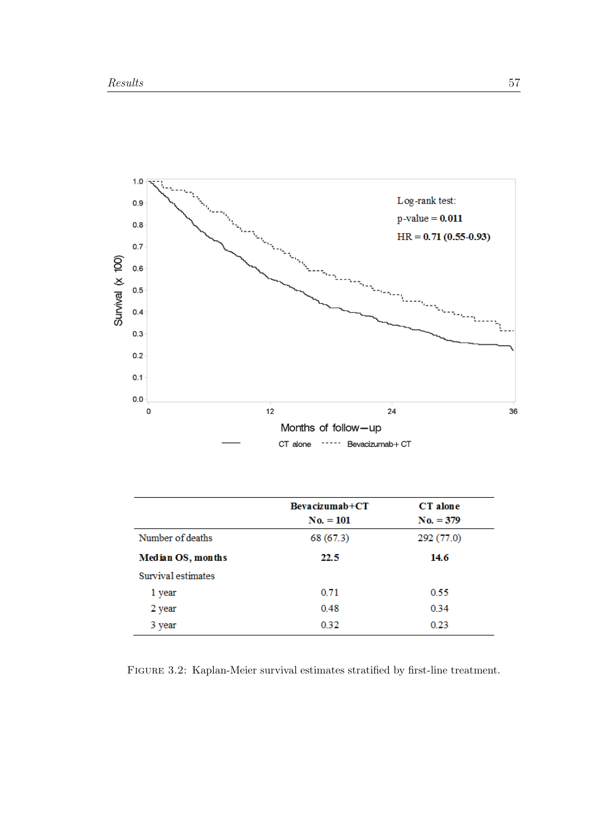<span id="page-66-0"></span>

|                    | $Bevacizumab+CT$ | CT alone    |
|--------------------|------------------|-------------|
|                    | $No. = 101$      | $No. = 379$ |
| Number of deaths   | 68 (67.3)        | 292 (77.0)  |
| Median OS, months  | 22.5             | 14.6        |
| Survival estimates |                  |             |
| 1 year             | 0.71             | 0.55        |
| 2 year             | 0.48             | 0.34        |
| 3 year             | 0.32             | 0.23        |

Figure 3.2: Kaplan-Meier survival estimates stratified by first-line treatment.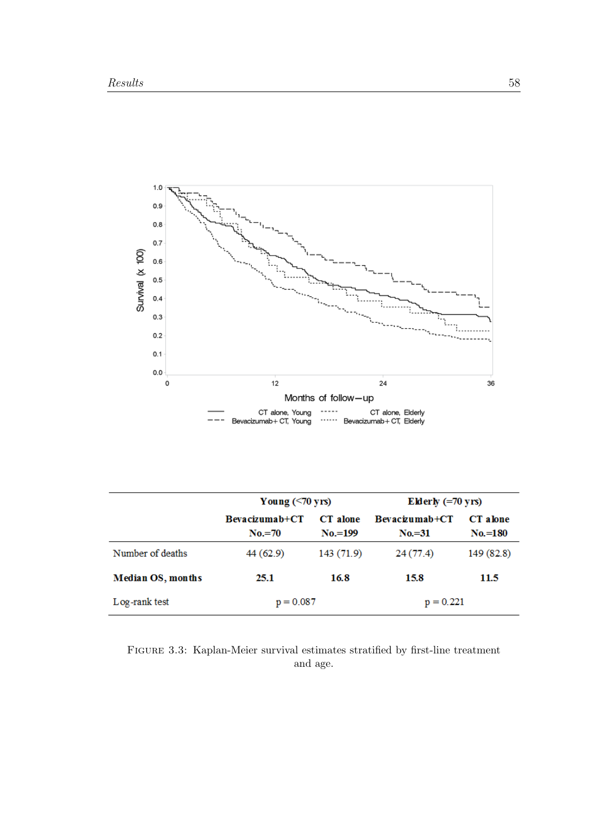<span id="page-67-0"></span>

|                          | Young $(\leq 70$ yrs)      |                       | Elderly $(=70 \text{ yrs})$ |                       |  |
|--------------------------|----------------------------|-----------------------|-----------------------------|-----------------------|--|
|                          | Bevacizumab+CT<br>$No.=70$ | CT alone<br>$No.=199$ | Bevacizumab+CT<br>$No = 31$ | CT alone<br>$No.=180$ |  |
| Number of deaths         | 44(62.9)                   | 143 (71.9)            | 24(77.4)                    | 149 (82.8)            |  |
| <b>Median OS, months</b> | 25.1                       | 16.8                  | 15.8                        | 11.5                  |  |
| Log-rank test            | $p = 0.087$                |                       | $p = 0.221$                 |                       |  |

Figure 3.3: Kaplan-Meier survival estimates stratified by first-line treatment and age.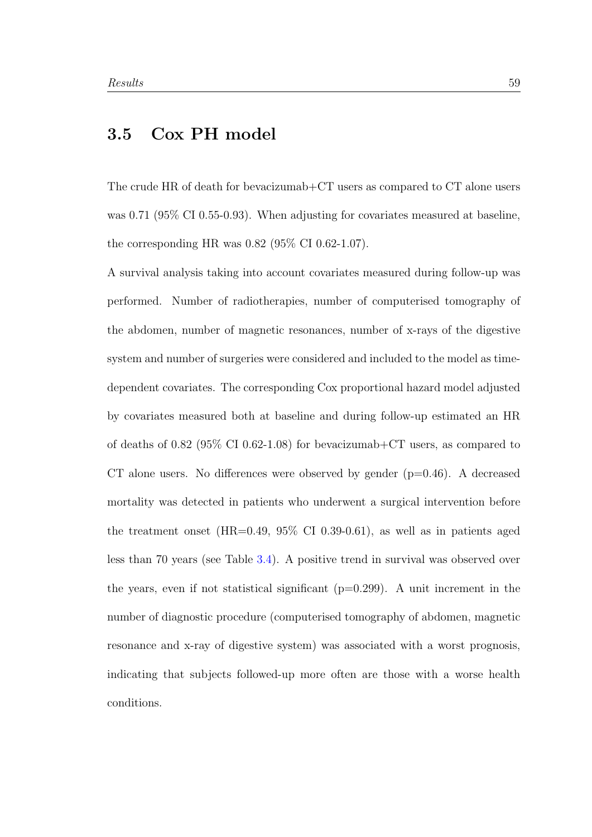## 3.5 Cox PH model

The crude HR of death for bevacizumab+CT users as compared to CT alone users was 0.71 (95% CI 0.55-0.93). When adjusting for covariates measured at baseline, the corresponding HR was 0.82 (95% CI 0.62-1.07).

A survival analysis taking into account covariates measured during follow-up was performed. Number of radiotherapies, number of computerised tomography of the abdomen, number of magnetic resonances, number of x-rays of the digestive system and number of surgeries were considered and included to the model as timedependent covariates. The corresponding Cox proportional hazard model adjusted by covariates measured both at baseline and during follow-up estimated an HR of deaths of 0.82 (95% CI 0.62-1.08) for bevacizumab+CT users, as compared to CT alone users. No differences were observed by gender  $(p=0.46)$ . A decreased mortality was detected in patients who underwent a surgical intervention before the treatment onset (HR=0.49, 95% CI 0.39-0.61), as well as in patients aged less than 70 years (see Table [3.4\)](#page-69-0). A positive trend in survival was observed over the years, even if not statistical significant  $(p=0.299)$ . A unit increment in the number of diagnostic procedure (computerised tomography of abdomen, magnetic resonance and x-ray of digestive system) was associated with a worst prognosis, indicating that subjects followed-up more often are those with a worse health conditions.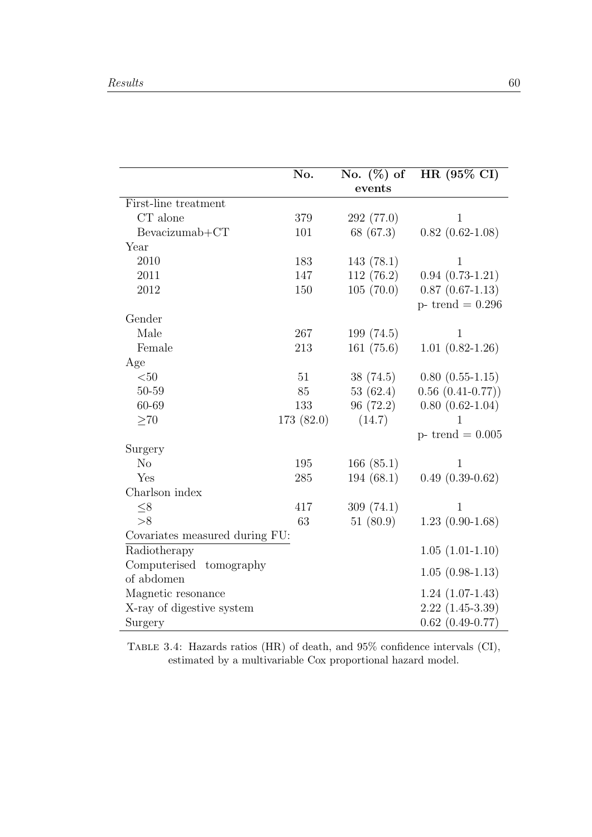<span id="page-69-0"></span>

|                                | No.       | No. $(\%)$ of<br>events | HR (95% CI)            |
|--------------------------------|-----------|-------------------------|------------------------|
| First-line treatment           |           |                         |                        |
| $\cal CT$ alone                | 379       | 292 (77.0)              | $\mathbf{1}$           |
| $Bevacizumab+CT$               | 101       | 68 (67.3)               | $0.82(0.62-1.08)$      |
| Year                           |           |                         |                        |
| 2010                           | 183       | 143(78.1)               | $\mathbf{1}$           |
| 2011                           | 147       | 112(76.2)               | $0.94(0.73-1.21)$      |
| 2012                           | 150       | 105(70.0)               | $0.87(0.67-1.13)$      |
|                                |           |                         | $p-$ trend = 0.296     |
| Gender                         |           |                         |                        |
| Male                           | 267       | 199(74.5)               | 1                      |
| Female                         | 213       | 161(75.6)               | $1.01(0.82 - 1.26)$    |
| Age                            |           |                         |                        |
| $<$ 50                         | 51        | 38(74.5)                | $0.80(0.55-1.15)$      |
| $50 - 59$                      | 85        | 53 $(62.4)$             | $0.56(0.41-0.77))$     |
| 60-69                          | 133       | 96 (72.2)               | $0.80(0.62-1.04)$      |
| >70                            | 173(82.0) | (14.7)                  | 1                      |
|                                |           |                         | $p-$ trend = 0.005     |
| Surgery                        |           |                         |                        |
| N <sub>o</sub>                 | 195       | 166(85.1)               | $\mathbf 1$            |
| Yes                            | 285       | 194(68.1)               | $0.49(0.39-0.62)$      |
| Charlson index                 |           |                         |                        |
| $\leq 8$                       | 417       | 309(74.1)               | 1                      |
| >8                             | 63        | 51(80.9)                | $1.23(0.90-1.68)$      |
| Covariates measured during FU: |           |                         |                        |
| Radiotherapy                   |           |                         | $1.05(1.01-1.10)$      |
| Computerised<br>tomography     |           |                         | $1.05(0.98-1.13)$      |
| of abdomen                     |           |                         |                        |
| Magnetic resonance             |           |                         | $1.24(1.07-1.43)$      |
| X-ray of digestive system      |           |                         | $2.22(1.45-3.39)$      |
| Surgery                        |           |                         | $0.62$ $(0.49 - 0.77)$ |

Table 3.4: Hazards ratios (HR) of death, and 95% confidence intervals (CI), estimated by a multivariable Cox proportional hazard model.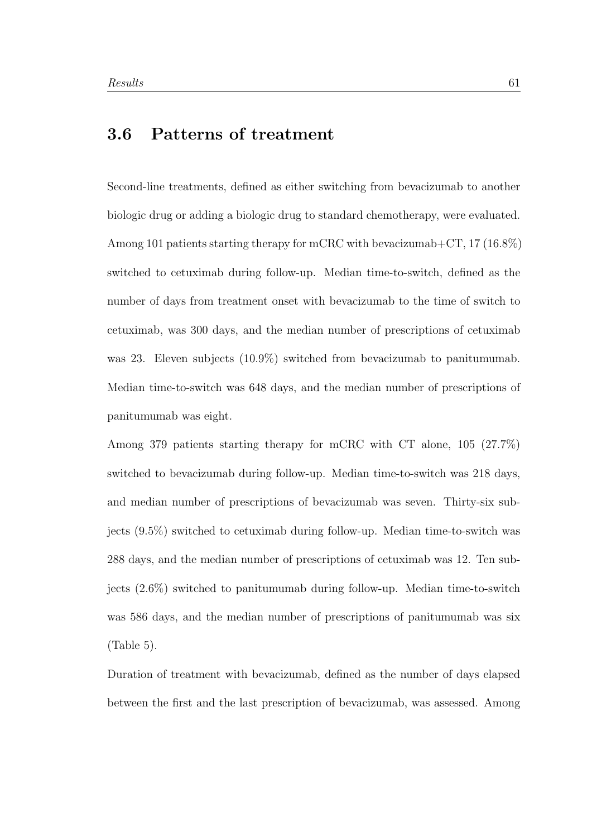## 3.6 Patterns of treatment

Second-line treatments, defined as either switching from bevacizumab to another biologic drug or adding a biologic drug to standard chemotherapy, were evaluated. Among 101 patients starting therapy for mCRC with bevacizumab+CT, 17 (16.8%) switched to cetuximab during follow-up. Median time-to-switch, defined as the number of days from treatment onset with bevacizumab to the time of switch to cetuximab, was 300 days, and the median number of prescriptions of cetuximab was 23. Eleven subjects (10.9%) switched from bevacizumab to panitumumab. Median time-to-switch was 648 days, and the median number of prescriptions of panitumumab was eight.

Among 379 patients starting therapy for mCRC with CT alone, 105 (27.7%) switched to bevacizumab during follow-up. Median time-to-switch was 218 days, and median number of prescriptions of bevacizumab was seven. Thirty-six subjects (9.5%) switched to cetuximab during follow-up. Median time-to-switch was 288 days, and the median number of prescriptions of cetuximab was 12. Ten subjects (2.6%) switched to panitumumab during follow-up. Median time-to-switch was 586 days, and the median number of prescriptions of panitumumab was six (Table 5).

Duration of treatment with bevacizumab, defined as the number of days elapsed between the first and the last prescription of bevacizumab, was assessed. Among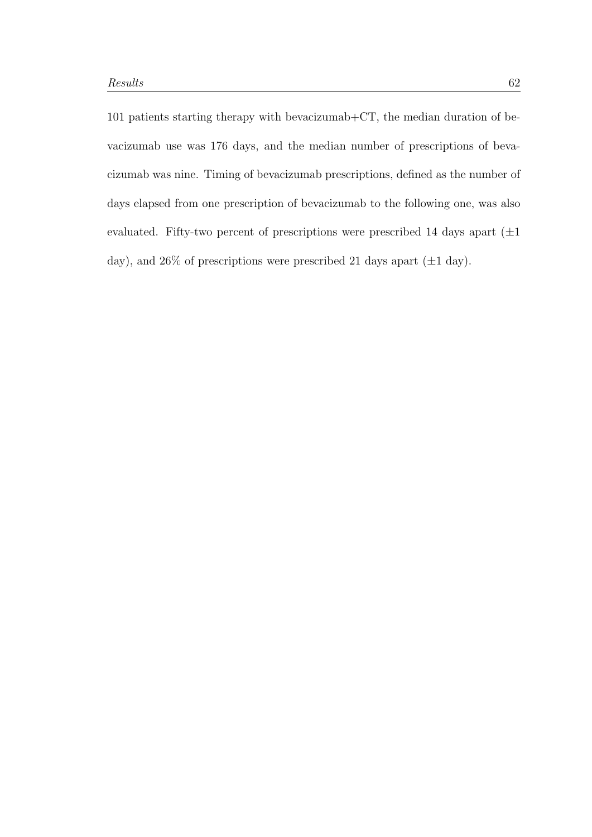101 patients starting therapy with bevacizumab+CT, the median duration of bevacizumab use was 176 days, and the median number of prescriptions of bevacizumab was nine. Timing of bevacizumab prescriptions, defined as the number of days elapsed from one prescription of bevacizumab to the following one, was also evaluated. Fifty-two percent of prescriptions were prescribed 14 days apart  $(\pm 1)$ day), and 26% of prescriptions were prescribed 21 days apart  $(\pm 1 \text{ day})$ .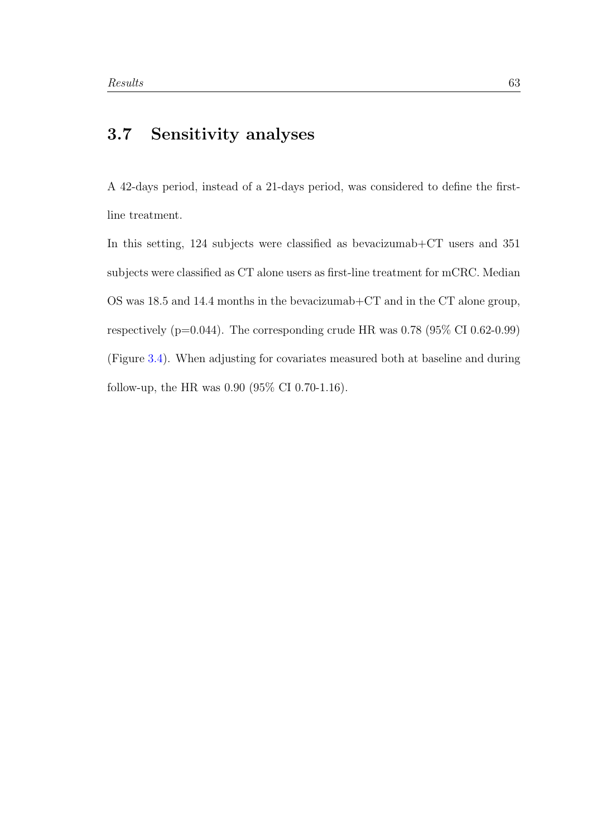#### 3.7 Sensitivity analyses

A 42-days period, instead of a 21-days period, was considered to define the firstline treatment.

In this setting, 124 subjects were classified as bevacizumab+CT users and 351 subjects were classified as CT alone users as first-line treatment for mCRC. Median OS was 18.5 and 14.4 months in the bevacizumab+CT and in the CT alone group, respectively ( $p=0.044$ ). The corresponding crude HR was 0.78 ( $95\%$  CI 0.62-0.99) (Figure [3.4\)](#page-73-0). When adjusting for covariates measured both at baseline and during follow-up, the HR was 0.90 (95% CI 0.70-1.16).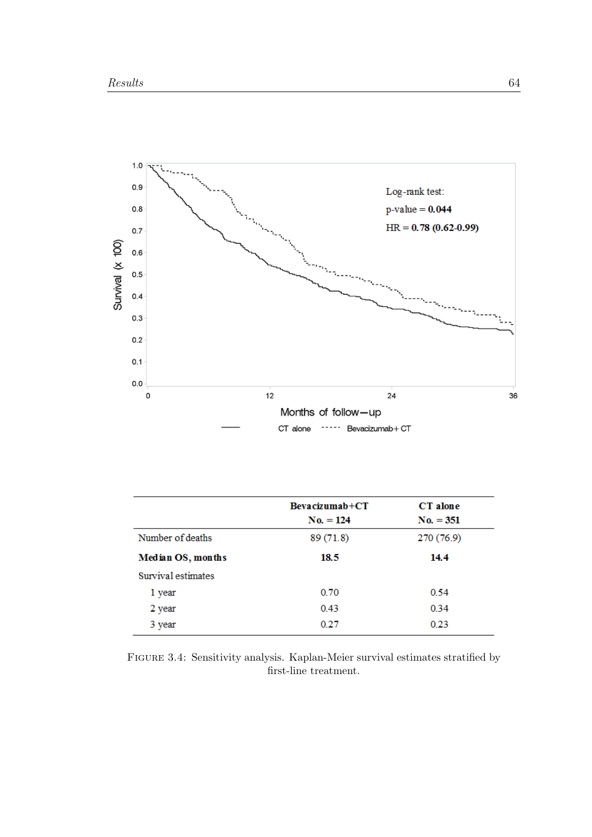<span id="page-73-0"></span>

|                    | $Bevacizumab+CT$<br>$No. = 124$ | <b>CT</b> alone<br>$No. = 351$ |
|--------------------|---------------------------------|--------------------------------|
| Number of deaths   | 89(71.8)                        | 270(76.9)                      |
| Median OS, months  | 18.5                            | 14.4                           |
| Survival estimates |                                 |                                |
| 1 year             | 0.70                            | 0.54                           |
| 2 year             | 0.43                            | 0.34                           |
| 3 year             | 0.27                            | 0.23                           |

Figure 3.4: Sensitivity analysis. Kaplan-Meier survival estimates stratified by first-line treatment.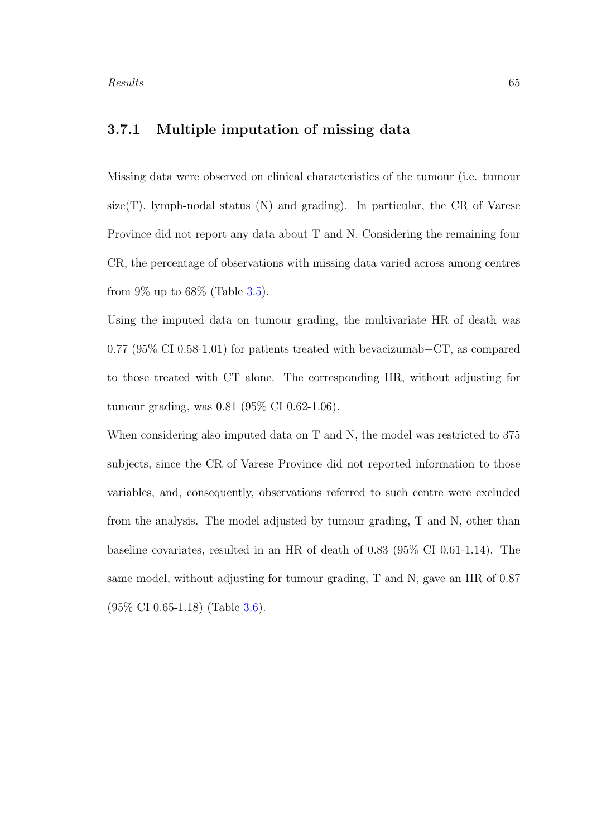#### 3.7.1 Multiple imputation of missing data

Missing data were observed on clinical characteristics of the tumour (i.e. tumour size(T), lymph-nodal status  $(N)$  and grading). In particular, the CR of Varese Province did not report any data about T and N. Considering the remaining four CR, the percentage of observations with missing data varied across among centres from  $9\%$  up to  $68\%$  (Table [3.5\)](#page-75-0).

Using the imputed data on tumour grading, the multivariate HR of death was 0.77 (95% CI 0.58-1.01) for patients treated with bevacizumab +  $CT$ , as compared to those treated with CT alone. The corresponding HR, without adjusting for tumour grading, was 0.81 (95% CI 0.62-1.06).

When considering also imputed data on T and N, the model was restricted to 375 subjects, since the CR of Varese Province did not reported information to those variables, and, consequently, observations referred to such centre were excluded from the analysis. The model adjusted by tumour grading, T and N, other than baseline covariates, resulted in an HR of death of 0.83 (95% CI 0.61-1.14). The same model, without adjusting for tumour grading, T and N, gave an HR of 0.87 (95% CI 0.65-1.18) (Table [3.6\)](#page-76-0).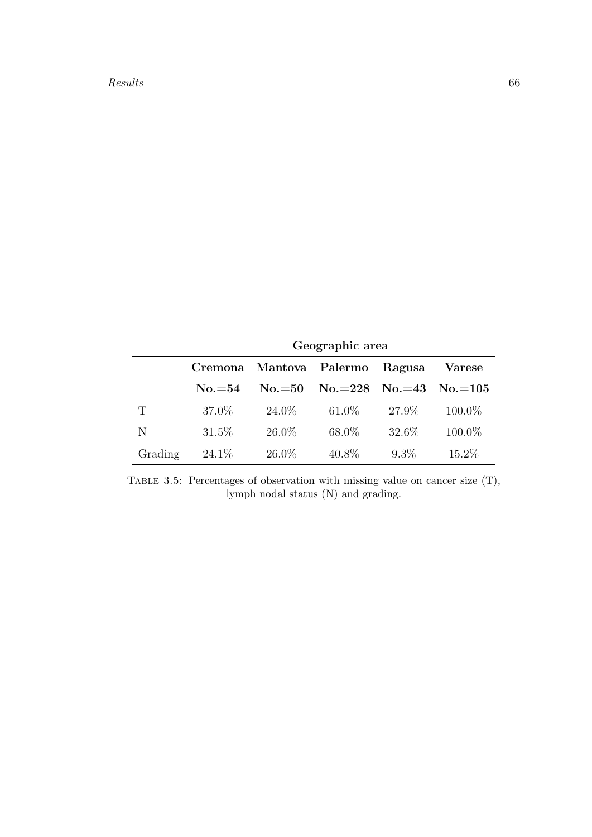<span id="page-75-0"></span>

|         | Geographic area |                 |                                  |         |           |
|---------|-----------------|-----------------|----------------------------------|---------|-----------|
|         | Cremona         | Mantova Palermo |                                  | Ragusa  | Varese    |
|         | $No.=54$        | $No.=50$        | $\text{No.}=228$ $\text{No.}=43$ |         | $No.=105$ |
| T       | 37.0\%          | 24.0\%          | $61.0\%$                         | 27.9%   | 100.0%    |
| N       | 31.5%           | $26.0\%$        | 68.0%                            | 32.6\%  | 100.0%    |
| Grading | 24.1\%          | $26.0\%$        | 40.8%                            | $9.3\%$ | 15.2%     |

TABLE 3.5: Percentages of observation with missing value on cancer size  $(T)$ , lymph nodal status (N) and grading.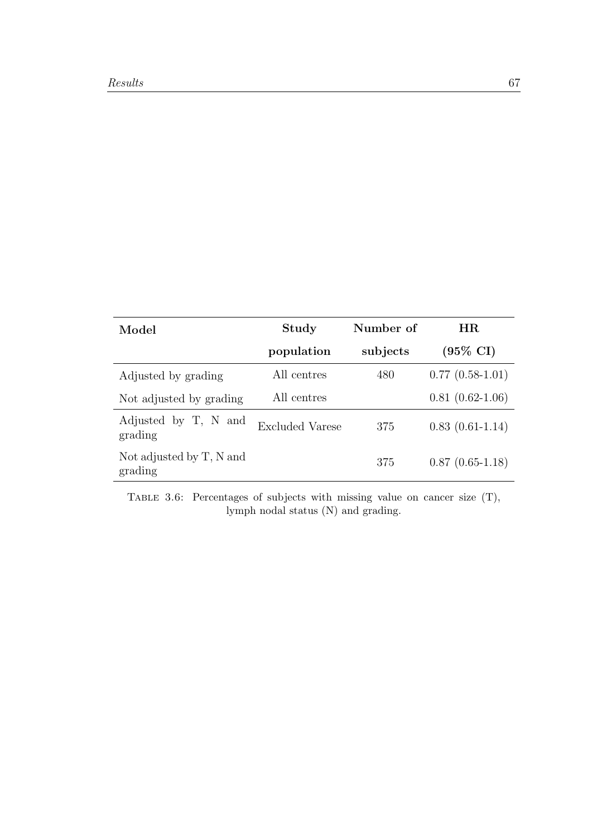<span id="page-76-0"></span>

| Model                               | Study                  | Number of | HR.                 |
|-------------------------------------|------------------------|-----------|---------------------|
|                                     | population             | subjects  | $(95\% \text{ CI})$ |
| Adjusted by grading                 | All centres            | 480       | $0.77(0.58-1.01)$   |
| Not adjusted by grading             | All centres            |           | $0.81(0.62-1.06)$   |
| Adjusted by T, N and<br>grading     | <b>Excluded Varese</b> | 375       | $0.83(0.61-1.14)$   |
| Not adjusted by T, N and<br>grading |                        | 375       | $0.87(0.65-1.18)$   |

Table 3.6: Percentages of subjects with missing value on cancer size (T), lymph nodal status (N) and grading.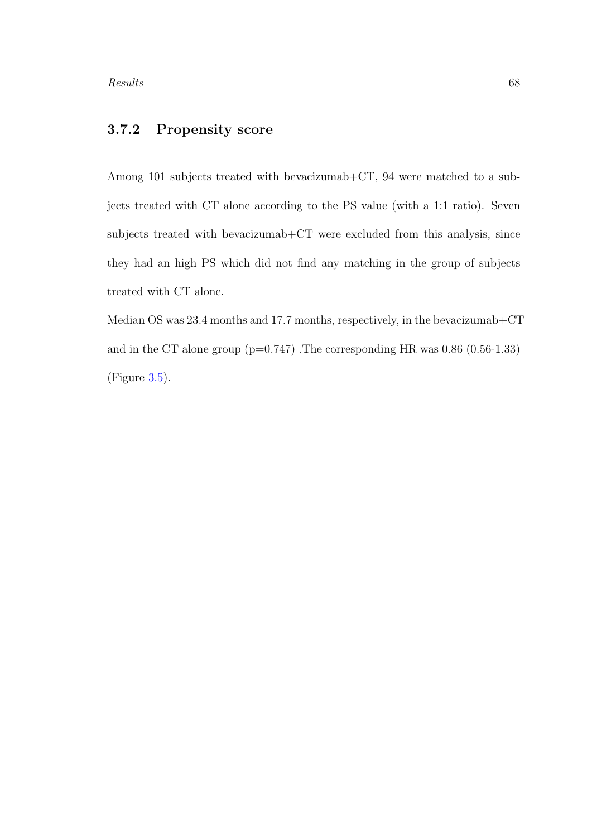#### 3.7.2 Propensity score

Among 101 subjects treated with bevacizumab+CT, 94 were matched to a subjects treated with CT alone according to the PS value (with a 1:1 ratio). Seven subjects treated with bevacizumab+CT were excluded from this analysis, since they had an high PS which did not find any matching in the group of subjects treated with CT alone.

Median OS was 23.4 months and 17.7 months, respectively, in the bevacizumab+CT and in the CT alone group  $(p=0.747)$ . The corresponding HR was 0.86  $(0.56-1.33)$ (Figure [3.5\)](#page-78-0).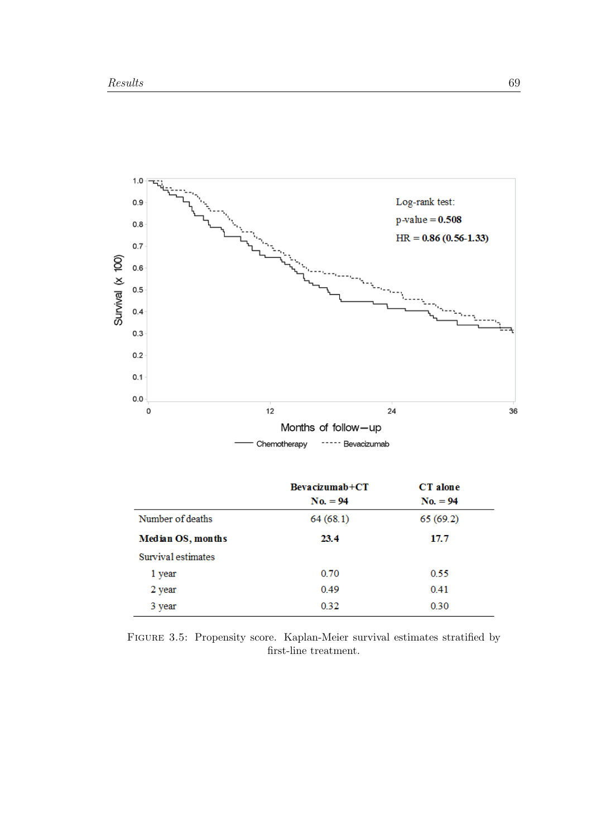<span id="page-78-0"></span>

| $Bevacizumab+CT$ | CT alone   |  |
|------------------|------------|--|
| $No. = 94$       | $No. = 94$ |  |
| 64(68.1)         | 65(69.2)   |  |
| 23.4             | 17.7       |  |
|                  |            |  |
| 0.70             | 0.55       |  |
| 0.49             | 0.41       |  |
| 0.32             | 0.30       |  |
|                  |            |  |

Figure 3.5: Propensity score. Kaplan-Meier survival estimates stratified by first-line treatment.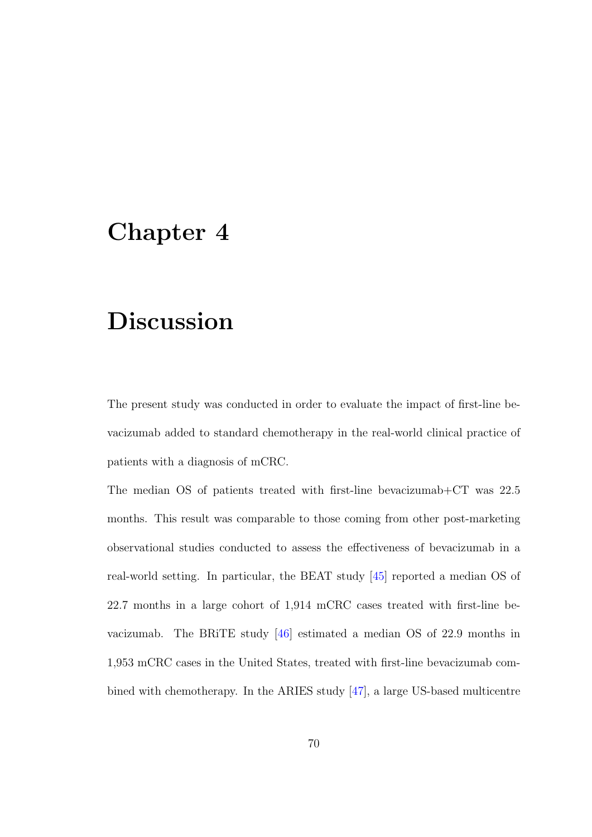#### Chapter 4

# Discussion

The present study was conducted in order to evaluate the impact of first-line bevacizumab added to standard chemotherapy in the real-world clinical practice of patients with a diagnosis of mCRC.

The median OS of patients treated with first-line bevacizumab+CT was 22.5 months. This result was comparable to those coming from other post-marketing observational studies conducted to assess the effectiveness of bevacizumab in a real-world setting. In particular, the BEAT study [\[45\]](#page-92-0) reported a median OS of 22.7 months in a large cohort of 1,914 mCRC cases treated with first-line bevacizumab. The BRiTE study [\[46\]](#page-92-1) estimated a median OS of 22.9 months in 1,953 mCRC cases in the United States, treated with first-line bevacizumab combined with chemotherapy. In the ARIES study [\[47\]](#page-92-2), a large US-based multicentre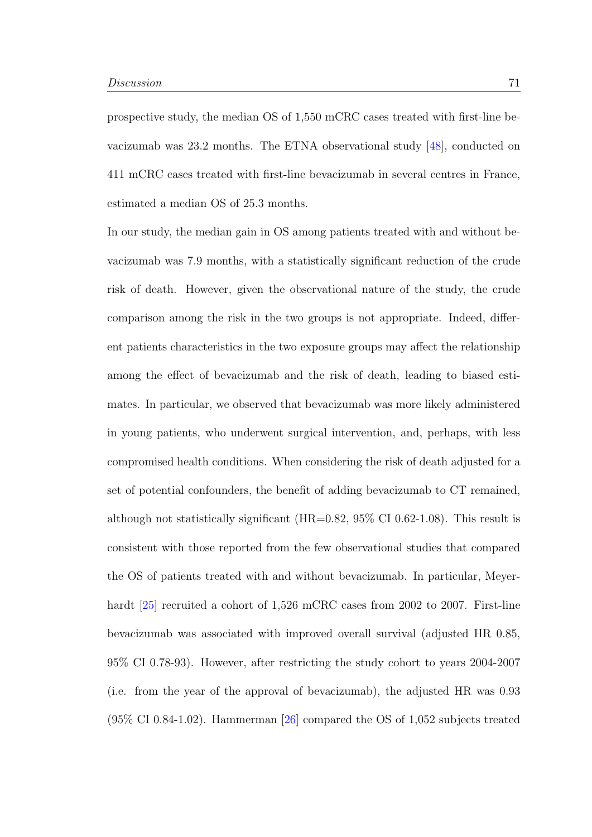prospective study, the median OS of 1,550 mCRC cases treated with first-line bevacizumab was 23.2 months. The ETNA observational study [\[48\]](#page-92-3), conducted on 411 mCRC cases treated with first-line bevacizumab in several centres in France, estimated a median OS of 25.3 months.

In our study, the median gain in OS among patients treated with and without bevacizumab was 7.9 months, with a statistically significant reduction of the crude risk of death. However, given the observational nature of the study, the crude comparison among the risk in the two groups is not appropriate. Indeed, different patients characteristics in the two exposure groups may affect the relationship among the effect of bevacizumab and the risk of death, leading to biased estimates. In particular, we observed that bevacizumab was more likely administered in young patients, who underwent surgical intervention, and, perhaps, with less compromised health conditions. When considering the risk of death adjusted for a set of potential confounders, the benefit of adding bevacizumab to CT remained, although not statistically significant  $(HR=0.82, 95\% \text{ CI } 0.62-1.08)$ . This result is consistent with those reported from the few observational studies that compared the OS of patients treated with and without bevacizumab. In particular, Meyer-hardt [\[25\]](#page-90-0) recruited a cohort of 1,526 mCRC cases from 2002 to 2007. First-line bevacizumab was associated with improved overall survival (adjusted HR 0.85, 95% CI 0.78-93). However, after restricting the study cohort to years 2004-2007 (i.e. from the year of the approval of bevacizumab), the adjusted HR was 0.93  $(95\% \text{ CI } 0.84\t{-}1.02)$ . Hammerman [\[26\]](#page-90-1) compared the OS of 1,052 subjects treated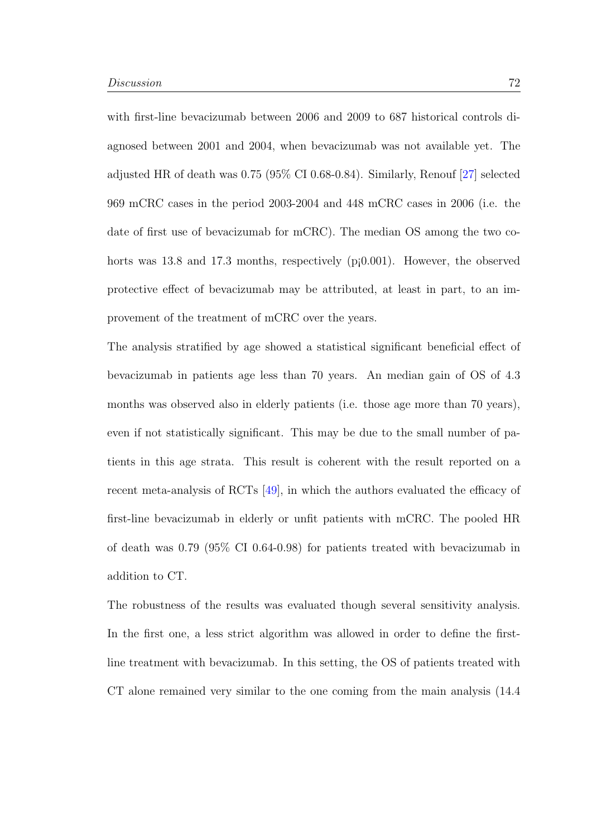with first-line bevacizumab between 2006 and 2009 to 687 historical controls diagnosed between 2001 and 2004, when bevacizumab was not available yet. The adjusted HR of death was 0.75 (95% CI 0.68-0.84). Similarly, Renouf [\[27\]](#page-90-2) selected 969 mCRC cases in the period 2003-2004 and 448 mCRC cases in 2006 (i.e. the date of first use of bevacizumab for mCRC). The median OS among the two cohorts was 13.8 and 17.3 months, respectively  $(pj0.001)$ . However, the observed protective effect of bevacizumab may be attributed, at least in part, to an improvement of the treatment of mCRC over the years.

The analysis stratified by age showed a statistical significant beneficial effect of bevacizumab in patients age less than 70 years. An median gain of OS of 4.3 months was observed also in elderly patients (i.e. those age more than 70 years), even if not statistically significant. This may be due to the small number of patients in this age strata. This result is coherent with the result reported on a recent meta-analysis of RCTs [\[49\]](#page-92-4), in which the authors evaluated the efficacy of first-line bevacizumab in elderly or unfit patients with mCRC. The pooled HR of death was 0.79 (95% CI 0.64-0.98) for patients treated with bevacizumab in addition to CT.

The robustness of the results was evaluated though several sensitivity analysis. In the first one, a less strict algorithm was allowed in order to define the firstline treatment with bevacizumab. In this setting, the OS of patients treated with CT alone remained very similar to the one coming from the main analysis (14.4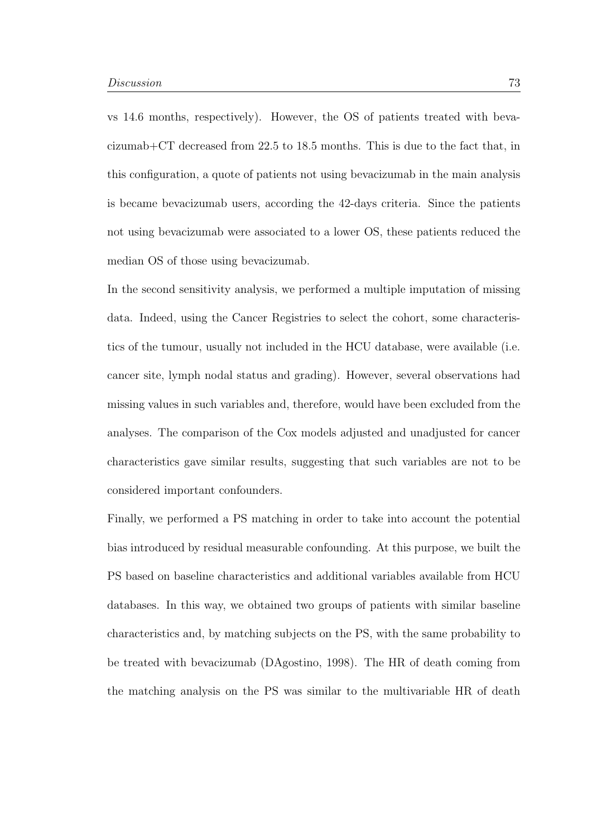vs 14.6 months, respectively). However, the OS of patients treated with bevacizumab+CT decreased from 22.5 to 18.5 months. This is due to the fact that, in this configuration, a quote of patients not using bevacizumab in the main analysis is became bevacizumab users, according the 42-days criteria. Since the patients not using bevacizumab were associated to a lower OS, these patients reduced the median OS of those using bevacizumab.

In the second sensitivity analysis, we performed a multiple imputation of missing data. Indeed, using the Cancer Registries to select the cohort, some characteristics of the tumour, usually not included in the HCU database, were available (i.e. cancer site, lymph nodal status and grading). However, several observations had missing values in such variables and, therefore, would have been excluded from the analyses. The comparison of the Cox models adjusted and unadjusted for cancer characteristics gave similar results, suggesting that such variables are not to be considered important confounders.

Finally, we performed a PS matching in order to take into account the potential bias introduced by residual measurable confounding. At this purpose, we built the PS based on baseline characteristics and additional variables available from HCU databases. In this way, we obtained two groups of patients with similar baseline characteristics and, by matching subjects on the PS, with the same probability to be treated with bevacizumab (DAgostino, 1998). The HR of death coming from the matching analysis on the PS was similar to the multivariable HR of death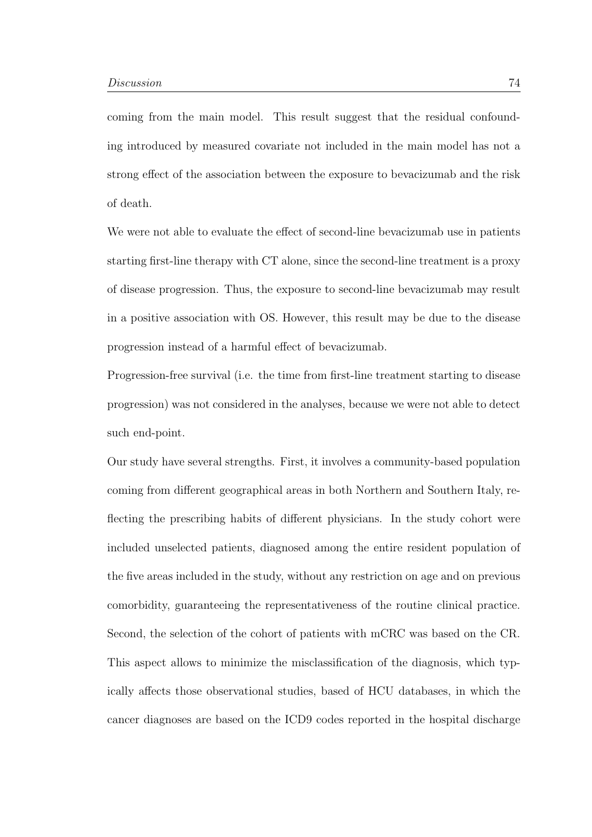coming from the main model. This result suggest that the residual confounding introduced by measured covariate not included in the main model has not a strong effect of the association between the exposure to bevacizumab and the risk of death.

We were not able to evaluate the effect of second-line bevacizumab use in patients starting first-line therapy with CT alone, since the second-line treatment is a proxy of disease progression. Thus, the exposure to second-line bevacizumab may result in a positive association with OS. However, this result may be due to the disease progression instead of a harmful effect of bevacizumab.

Progression-free survival (i.e. the time from first-line treatment starting to disease progression) was not considered in the analyses, because we were not able to detect such end-point.

Our study have several strengths. First, it involves a community-based population coming from different geographical areas in both Northern and Southern Italy, reflecting the prescribing habits of different physicians. In the study cohort were included unselected patients, diagnosed among the entire resident population of the five areas included in the study, without any restriction on age and on previous comorbidity, guaranteeing the representativeness of the routine clinical practice. Second, the selection of the cohort of patients with mCRC was based on the CR. This aspect allows to minimize the misclassification of the diagnosis, which typically affects those observational studies, based of HCU databases, in which the cancer diagnoses are based on the ICD9 codes reported in the hospital discharge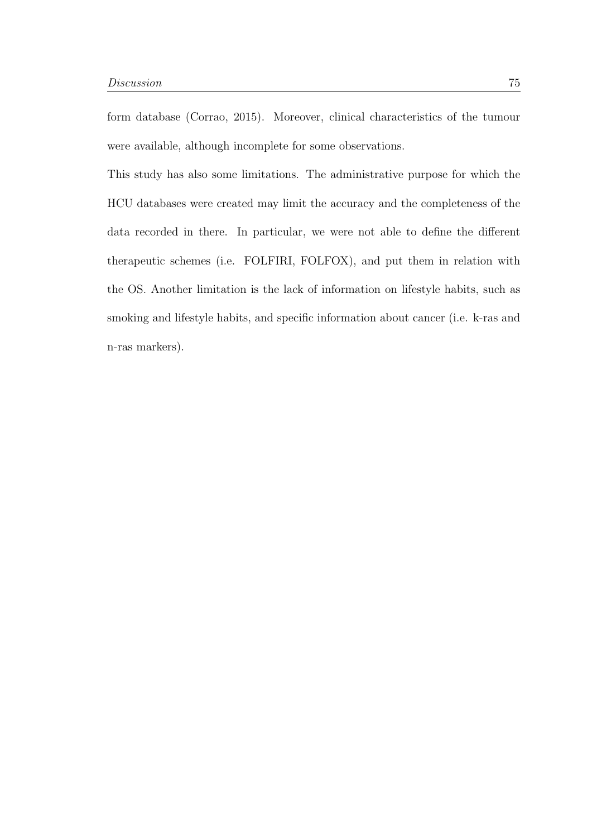form database (Corrao, 2015). Moreover, clinical characteristics of the tumour were available, although incomplete for some observations.

This study has also some limitations. The administrative purpose for which the HCU databases were created may limit the accuracy and the completeness of the data recorded in there. In particular, we were not able to define the different therapeutic schemes (i.e. FOLFIRI, FOLFOX), and put them in relation with the OS. Another limitation is the lack of information on lifestyle habits, such as smoking and lifestyle habits, and specific information about cancer (i.e. k-ras and n-ras markers).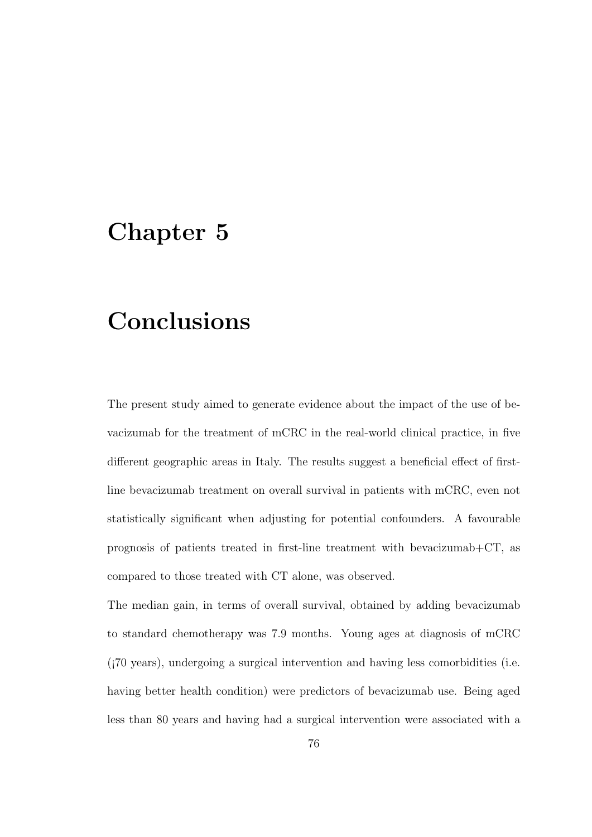### Chapter 5

### Conclusions

The present study aimed to generate evidence about the impact of the use of bevacizumab for the treatment of mCRC in the real-world clinical practice, in five different geographic areas in Italy. The results suggest a beneficial effect of firstline bevacizumab treatment on overall survival in patients with mCRC, even not statistically significant when adjusting for potential confounders. A favourable prognosis of patients treated in first-line treatment with bevacizumab+CT, as compared to those treated with CT alone, was observed.

The median gain, in terms of overall survival, obtained by adding bevacizumab to standard chemotherapy was 7.9 months. Young ages at diagnosis of mCRC (¡70 years), undergoing a surgical intervention and having less comorbidities (i.e. having better health condition) were predictors of bevacizumab use. Being aged less than 80 years and having had a surgical intervention were associated with a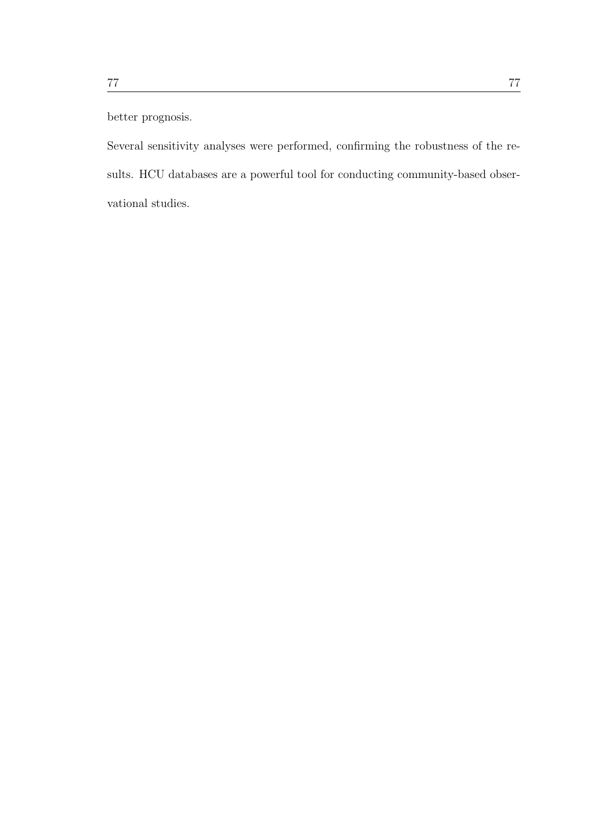#### better prognosis.

Several sensitivity analyses were performed, confirming the robustness of the results. HCU databases are a powerful tool for conducting community-based observational studies.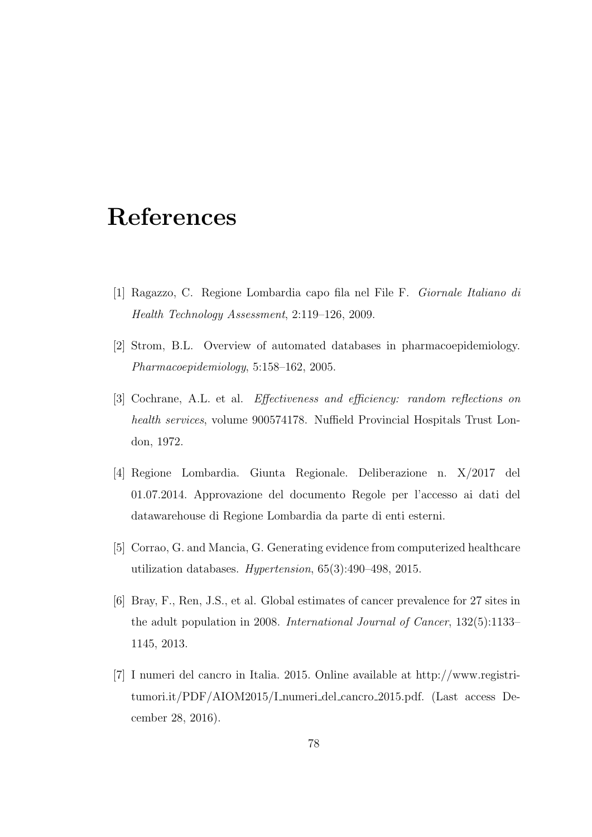#### References

- [1] Ragazzo, C. Regione Lombardia capo fila nel File F. Giornale Italiano di Health Technology Assessment, 2:119–126, 2009.
- [2] Strom, B.L. Overview of automated databases in pharmacoepidemiology. Pharmacoepidemiology, 5:158–162, 2005.
- [3] Cochrane, A.L. et al. Effectiveness and efficiency: random reflections on health services, volume 900574178. Nuffield Provincial Hospitals Trust London, 1972.
- [4] Regione Lombardia. Giunta Regionale. Deliberazione n. X/2017 del 01.07.2014. Approvazione del documento Regole per l'accesso ai dati del datawarehouse di Regione Lombardia da parte di enti esterni.
- [5] Corrao, G. and Mancia, G. Generating evidence from computerized healthcare utilization databases. Hypertension, 65(3):490–498, 2015.
- [6] Bray, F., Ren, J.S., et al. Global estimates of cancer prevalence for 27 sites in the adult population in 2008. International Journal of Cancer, 132(5):1133– 1145, 2013.
- [7] I numeri del cancro in Italia. 2015. Online available at http://www.registritumori.it/PDF/AIOM2015/I numeri del cancro 2015.pdf. (Last access December 28, 2016).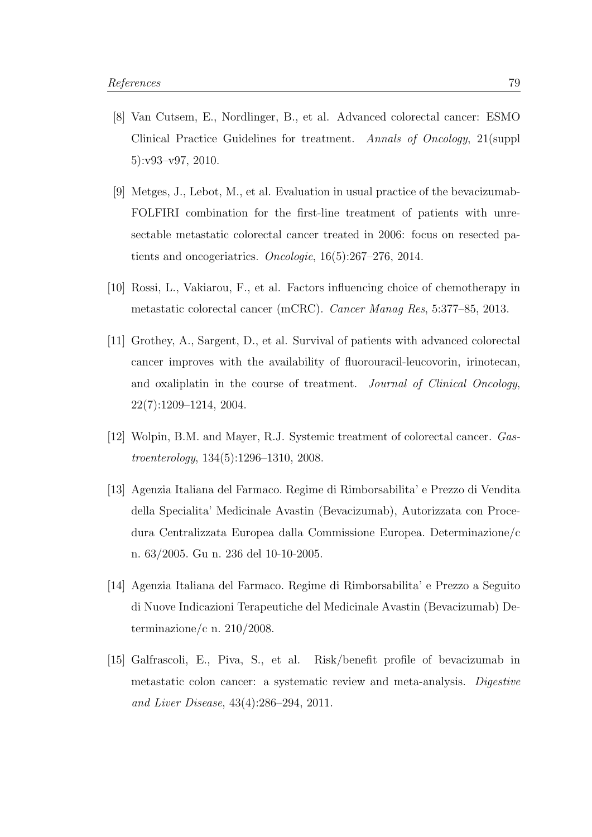- [8] Van Cutsem, E., Nordlinger, B., et al. Advanced colorectal cancer: ESMO Clinical Practice Guidelines for treatment. Annals of Oncology, 21(suppl 5):v93–v97, 2010.
- [9] Metges, J., Lebot, M., et al. Evaluation in usual practice of the bevacizumab-FOLFIRI combination for the first-line treatment of patients with unresectable metastatic colorectal cancer treated in 2006: focus on resected patients and oncogeriatrics. Oncologie, 16(5):267–276, 2014.
- [10] Rossi, L., Vakiarou, F., et al. Factors influencing choice of chemotherapy in metastatic colorectal cancer (mCRC). Cancer Manag Res, 5:377–85, 2013.
- [11] Grothey, A., Sargent, D., et al. Survival of patients with advanced colorectal cancer improves with the availability of fluorouracil-leucovorin, irinotecan, and oxaliplatin in the course of treatment. Journal of Clinical Oncology, 22(7):1209–1214, 2004.
- [12] Wolpin, B.M. and Mayer, R.J. Systemic treatment of colorectal cancer. Gastroenterology, 134(5):1296–1310, 2008.
- [13] Agenzia Italiana del Farmaco. Regime di Rimborsabilita' e Prezzo di Vendita della Specialita' Medicinale Avastin (Bevacizumab), Autorizzata con Procedura Centralizzata Europea dalla Commissione Europea. Determinazione/c n. 63/2005. Gu n. 236 del 10-10-2005.
- [14] Agenzia Italiana del Farmaco. Regime di Rimborsabilita' e Prezzo a Seguito di Nuove Indicazioni Terapeutiche del Medicinale Avastin (Bevacizumab) Determinazione/c n. 210/2008.
- [15] Galfrascoli, E., Piva, S., et al. Risk/benefit profile of bevacizumab in metastatic colon cancer: a systematic review and meta-analysis. Digestive and Liver Disease, 43(4):286–294, 2011.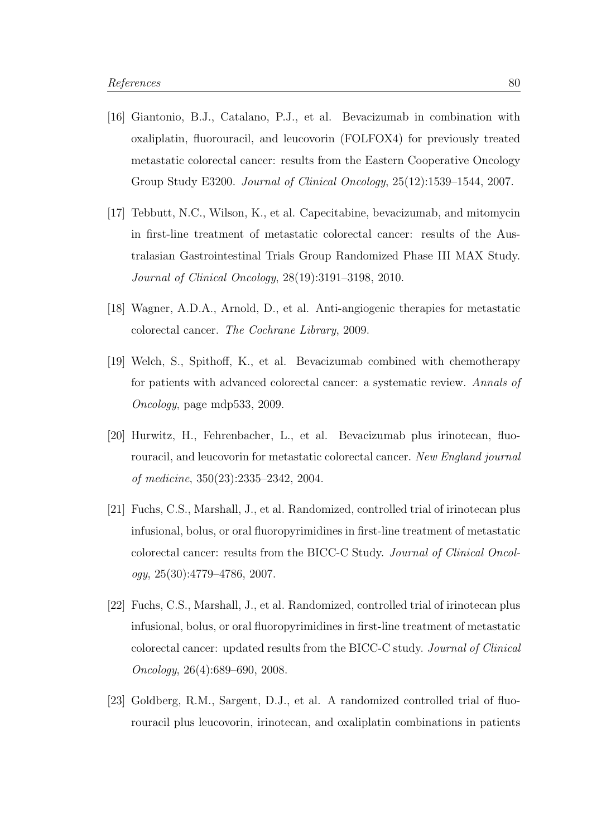- [16] Giantonio, B.J., Catalano, P.J., et al. Bevacizumab in combination with oxaliplatin, fluorouracil, and leucovorin (FOLFOX4) for previously treated metastatic colorectal cancer: results from the Eastern Cooperative Oncology Group Study E3200. Journal of Clinical Oncology, 25(12):1539–1544, 2007.
- [17] Tebbutt, N.C., Wilson, K., et al. Capecitabine, bevacizumab, and mitomycin in first-line treatment of metastatic colorectal cancer: results of the Australasian Gastrointestinal Trials Group Randomized Phase III MAX Study. Journal of Clinical Oncology, 28(19):3191–3198, 2010.
- [18] Wagner, A.D.A., Arnold, D., et al. Anti-angiogenic therapies for metastatic colorectal cancer. The Cochrane Library, 2009.
- [19] Welch, S., Spithoff, K., et al. Bevacizumab combined with chemotherapy for patients with advanced colorectal cancer: a systematic review. Annals of Oncology, page mdp533, 2009.
- [20] Hurwitz, H., Fehrenbacher, L., et al. Bevacizumab plus irinotecan, fluorouracil, and leucovorin for metastatic colorectal cancer. New England journal of medicine, 350(23):2335–2342, 2004.
- [21] Fuchs, C.S., Marshall, J., et al. Randomized, controlled trial of irinotecan plus infusional, bolus, or oral fluoropyrimidines in first-line treatment of metastatic colorectal cancer: results from the BICC-C Study. Journal of Clinical Oncol $ogy, 25(30):4779-4786, 2007.$
- [22] Fuchs, C.S., Marshall, J., et al. Randomized, controlled trial of irinotecan plus infusional, bolus, or oral fluoropyrimidines in first-line treatment of metastatic colorectal cancer: updated results from the BICC-C study. Journal of Clinical Oncology, 26(4):689–690, 2008.
- [23] Goldberg, R.M., Sargent, D.J., et al. A randomized controlled trial of fluorouracil plus leucovorin, irinotecan, and oxaliplatin combinations in patients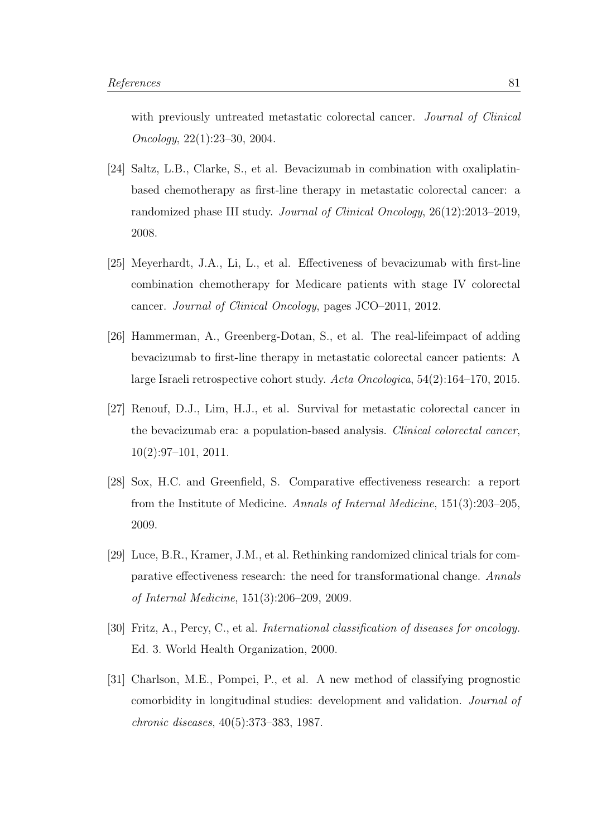with previously untreated metastatic colorectal cancer. *Journal of Clinical* Oncology, 22(1):23–30, 2004.

- [24] Saltz, L.B., Clarke, S., et al. Bevacizumab in combination with oxaliplatinbased chemotherapy as first-line therapy in metastatic colorectal cancer: a randomized phase III study. Journal of Clinical Oncology, 26(12):2013–2019, 2008.
- <span id="page-90-0"></span>[25] Meyerhardt, J.A., Li, L., et al. Effectiveness of bevacizumab with first-line combination chemotherapy for Medicare patients with stage IV colorectal cancer. Journal of Clinical Oncology, pages JCO–2011, 2012.
- <span id="page-90-1"></span>[26] Hammerman, A., Greenberg-Dotan, S., et al. The real-lifeimpact of adding bevacizumab to first-line therapy in metastatic colorectal cancer patients: A large Israeli retrospective cohort study. Acta Oncologica, 54(2):164–170, 2015.
- <span id="page-90-2"></span>[27] Renouf, D.J., Lim, H.J., et al. Survival for metastatic colorectal cancer in the bevacizumab era: a population-based analysis. Clinical colorectal cancer, 10(2):97–101, 2011.
- [28] Sox, H.C. and Greenfield, S. Comparative effectiveness research: a report from the Institute of Medicine. Annals of Internal Medicine, 151(3):203–205, 2009.
- [29] Luce, B.R., Kramer, J.M., et al. Rethinking randomized clinical trials for comparative effectiveness research: the need for transformational change. Annals of Internal Medicine, 151(3):206–209, 2009.
- [30] Fritz, A., Percy, C., et al. International classification of diseases for oncology. Ed. 3. World Health Organization, 2000.
- [31] Charlson, M.E., Pompei, P., et al. A new method of classifying prognostic comorbidity in longitudinal studies: development and validation. Journal of chronic diseases, 40(5):373–383, 1987.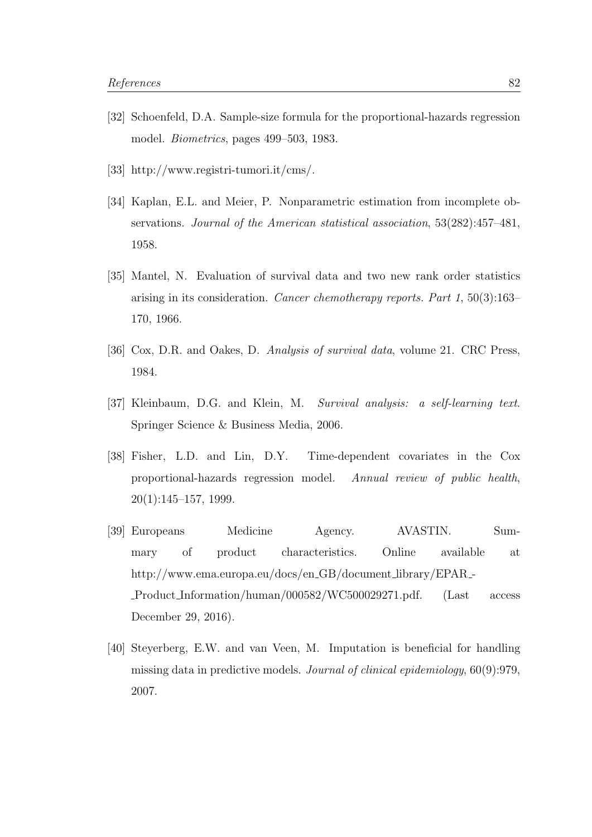- [32] Schoenfeld, D.A. Sample-size formula for the proportional-hazards regression model. Biometrics, pages 499–503, 1983.
- [33] http://www.registri-tumori.it/cms/.
- [34] Kaplan, E.L. and Meier, P. Nonparametric estimation from incomplete observations. Journal of the American statistical association, 53(282):457–481, 1958.
- [35] Mantel, N. Evaluation of survival data and two new rank order statistics arising in its consideration. Cancer chemotherapy reports. Part 1, 50(3):163– 170, 1966.
- [36] Cox, D.R. and Oakes, D. Analysis of survival data, volume 21. CRC Press, 1984.
- [37] Kleinbaum, D.G. and Klein, M. Survival analysis: a self-learning text. Springer Science & Business Media, 2006.
- [38] Fisher, L.D. and Lin, D.Y. Time-dependent covariates in the Cox proportional-hazards regression model. Annual review of public health,  $20(1):145-157, 1999.$
- [39] Europeans Medicine Agency. AVASTIN. Summary of product characteristics. Online available at http://www.ema.europa.eu/docs/en\_GB/document\_library/EPAR\_-Product Information/human/000582/WC500029271.pdf. (Last access December 29, 2016).
- [40] Steyerberg, E.W. and van Veen, M. Imputation is beneficial for handling missing data in predictive models. Journal of clinical epidemiology, 60(9):979, 2007.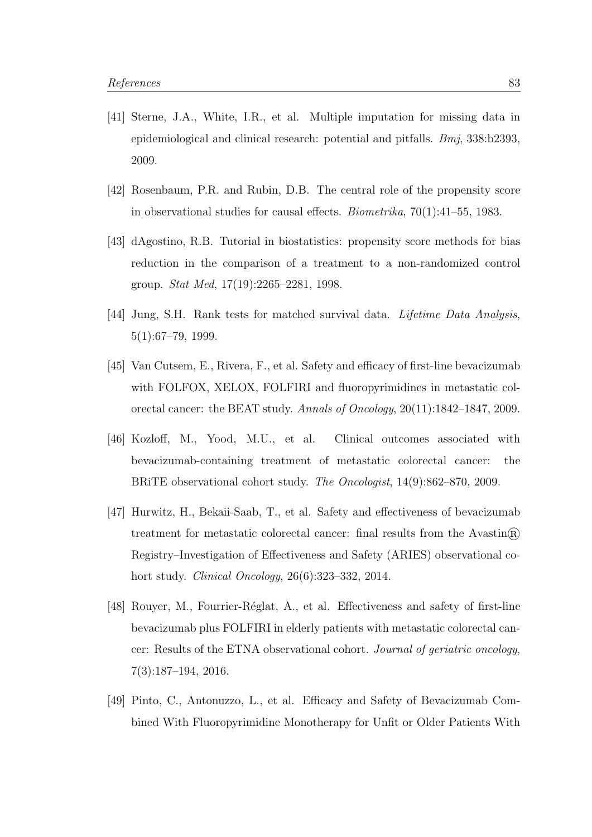- [41] Sterne, J.A., White, I.R., et al. Multiple imputation for missing data in epidemiological and clinical research: potential and pitfalls.  $Bm<sub>i</sub>$ , 338:b2393, 2009.
- [42] Rosenbaum, P.R. and Rubin, D.B. The central role of the propensity score in observational studies for causal effects. Biometrika, 70(1):41–55, 1983.
- [43] dAgostino, R.B. Tutorial in biostatistics: propensity score methods for bias reduction in the comparison of a treatment to a non-randomized control group. Stat Med, 17(19):2265–2281, 1998.
- [44] Jung, S.H. Rank tests for matched survival data. Lifetime Data Analysis, 5(1):67–79, 1999.
- <span id="page-92-0"></span>[45] Van Cutsem, E., Rivera, F., et al. Safety and efficacy of first-line bevacizumab with FOLFOX, XELOX, FOLFIRI and fluoropyrimidines in metastatic colorectal cancer: the BEAT study. Annals of Oncology, 20(11):1842–1847, 2009.
- <span id="page-92-1"></span>[46] Kozloff, M., Yood, M.U., et al. Clinical outcomes associated with bevacizumab-containing treatment of metastatic colorectal cancer: the BRiTE observational cohort study. The Oncologist, 14(9):862–870, 2009.
- <span id="page-92-2"></span>[47] Hurwitz, H., Bekaii-Saab, T., et al. Safety and effectiveness of bevacizumab treatment for metastatic colorectal cancer: final results from the Avastin $\widehat{R}$ Registry–Investigation of Effectiveness and Safety (ARIES) observational cohort study. Clinical Oncology, 26(6):323–332, 2014.
- <span id="page-92-3"></span>[48] Rouyer, M., Fourrier-R´eglat, A., et al. Effectiveness and safety of first-line bevacizumab plus FOLFIRI in elderly patients with metastatic colorectal cancer: Results of the ETNA observational cohort. Journal of geriatric oncology, 7(3):187–194, 2016.
- <span id="page-92-4"></span>[49] Pinto, C., Antonuzzo, L., et al. Efficacy and Safety of Bevacizumab Combined With Fluoropyrimidine Monotherapy for Unfit or Older Patients With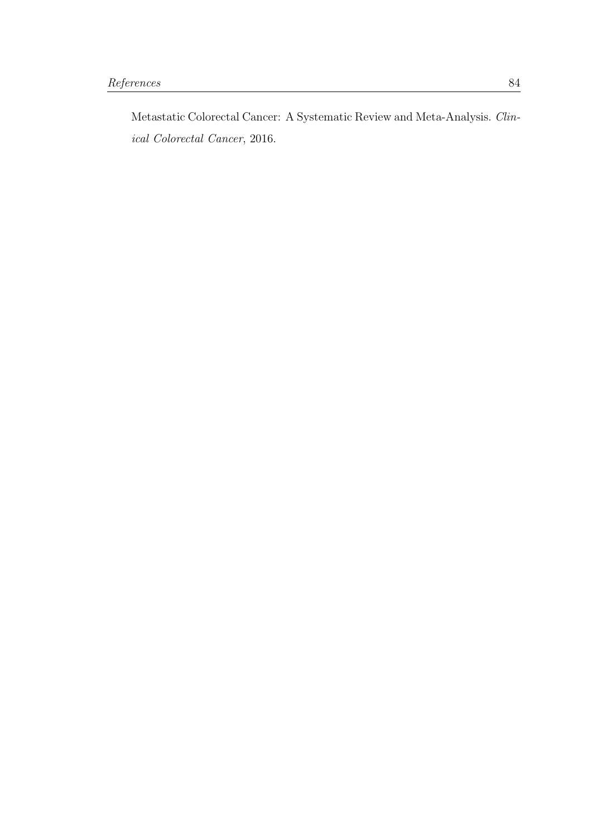Metastatic Colorectal Cancer: A Systematic Review and Meta-Analysis. Clinical Colorectal Cancer, 2016.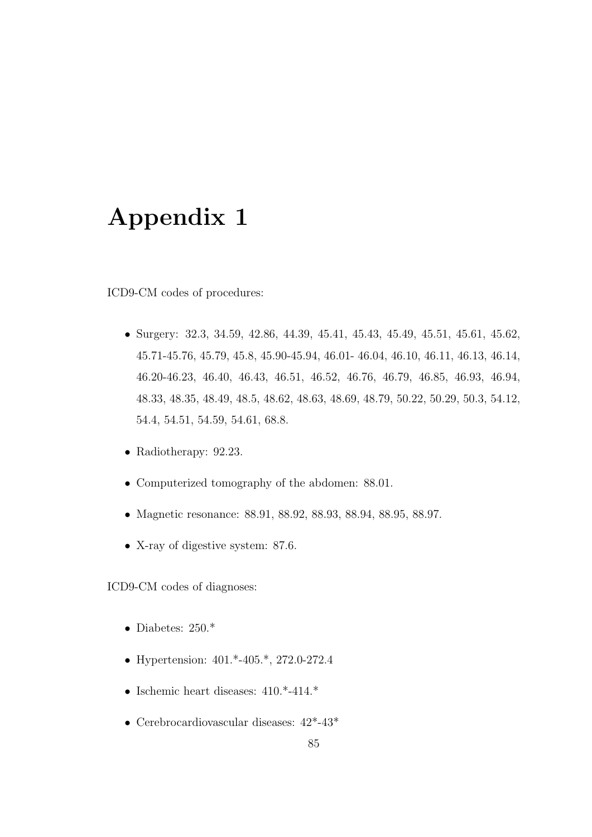## Appendix 1

ICD9-CM codes of procedures:

- Surgery: 32.3, 34.59, 42.86, 44.39, 45.41, 45.43, 45.49, 45.51, 45.61, 45.62, 45.71-45.76, 45.79, 45.8, 45.90-45.94, 46.01- 46.04, 46.10, 46.11, 46.13, 46.14, 46.20-46.23, 46.40, 46.43, 46.51, 46.52, 46.76, 46.79, 46.85, 46.93, 46.94, 48.33, 48.35, 48.49, 48.5, 48.62, 48.63, 48.69, 48.79, 50.22, 50.29, 50.3, 54.12, 54.4, 54.51, 54.59, 54.61, 68.8.
- Radiotherapy: 92.23.
- Computerized tomography of the abdomen: 88.01.
- Magnetic resonance: 88.91, 88.92, 88.93, 88.94, 88.95, 88.97.
- X-ray of digestive system: 87.6.

ICD9-CM codes of diagnoses:

- $\bullet$  Diabetes: 250.\*
- Hypertension: 401.\*-405.\*, 272.0-272.4
- Ischemic heart diseases: 410.\*-414.\*
- Cerebrocardiovascular diseases: 42\*-43\*